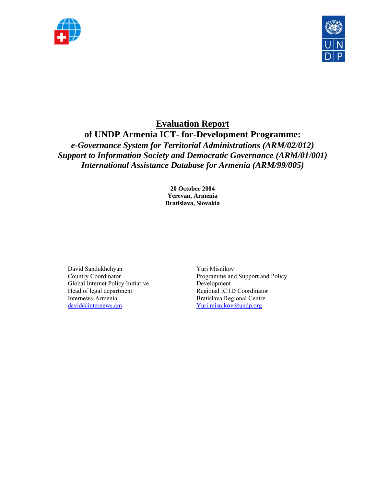



# **Evaluation Report of UNDP Armenia ICT- for-Development Programme:**  *e-Governance System for Territorial Administrations (ARM/02/012)*

*Support to Information Society and Democratic Governance (ARM/01/001) International Assistance Database for Armenia (ARM/99/005)* 

> **20 October 2004 Yerevan, Armenia Bratislava, Slovakia**

David Sandukhchyan Country Coordinator Global Internet Policy Initiative Head of legal department Internews-Armenia david@internews.am

Yuri Misnikov Programme and Support and Policy Development Regional ICTD Coordinator Bratislava Regional Centre Yuri.misnikov@undp.org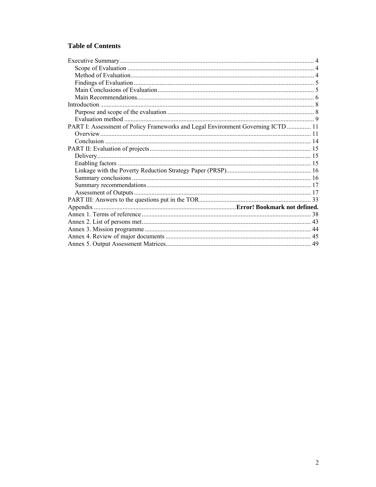# **Table of Contents**

| PART I: Assessment of Policy Frameworks and Legal Environment Governing ICTD  11 |  |
|----------------------------------------------------------------------------------|--|
|                                                                                  |  |
|                                                                                  |  |
|                                                                                  |  |
|                                                                                  |  |
|                                                                                  |  |
|                                                                                  |  |
|                                                                                  |  |
|                                                                                  |  |
|                                                                                  |  |
|                                                                                  |  |
|                                                                                  |  |
|                                                                                  |  |
|                                                                                  |  |
|                                                                                  |  |
|                                                                                  |  |
|                                                                                  |  |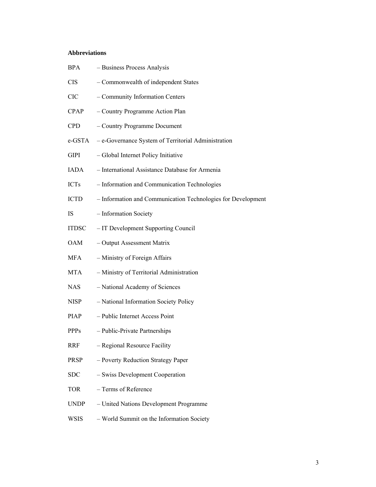# **Abbreviations**

| <b>BPA</b>   | - Business Process Analysis                                  |
|--------------|--------------------------------------------------------------|
| <b>CIS</b>   | - Commonwealth of independent States                         |
| <b>CIC</b>   | - Community Information Centers                              |
| CPAP         | - Country Programme Action Plan                              |
| <b>CPD</b>   | - Country Programme Document                                 |
| e-GSTA       | - e-Governance System of Territorial Administration          |
| GIPI         | - Global Internet Policy Initiative                          |
| IADA         | - International Assistance Database for Armenia              |
| <b>ICTs</b>  | - Information and Communication Technologies                 |
| ICTD         | - Information and Communication Technologies for Development |
| IS           | - Information Society                                        |
| <b>ITDSC</b> | - IT Development Supporting Council                          |
| OAM          | - Output Assessment Matrix                                   |
| MFA          | - Ministry of Foreign Affairs                                |
| <b>MTA</b>   | - Ministry of Territorial Administration                     |
| <b>NAS</b>   | - National Academy of Sciences                               |
| <b>NISP</b>  | - National Information Society Policy                        |
| PIAP         | - Public Internet Access Point                               |
| <b>PPPs</b>  | - Public-Private Partnerships                                |
| <b>RRF</b>   | - Regional Resource Facility                                 |
| <b>PRSP</b>  | - Poverty Reduction Strategy Paper                           |
| <b>SDC</b>   | - Swiss Development Cooperation                              |
| <b>TOR</b>   | - Terms of Reference                                         |
| <b>UNDP</b>  | - United Nations Development Programme                       |
| <b>WSIS</b>  | - World Summit on the Information Society                    |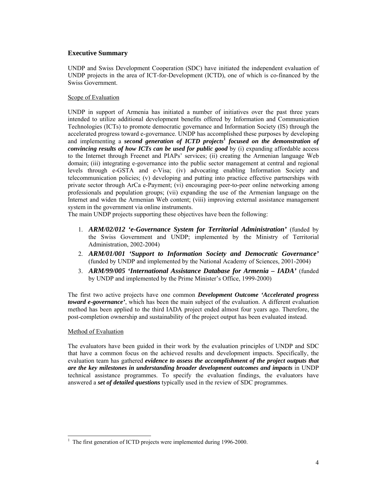# **Executive Summary**

UNDP and Swiss Development Cooperation (SDC) have initiated the independent evaluation of UNDP projects in the area of ICT-for-Development (ICTD), one of which is co-financed by the Swiss Government.

### Scope of Evaluation

UNDP in support of Armenia has initiated a number of initiatives over the past three years intended to utilize additional development benefits offered by Information and Communication Technologies (ICTs) to promote democratic governance and Information Society (IS) through the accelerated progress toward e-governance. UNDP has accomplished these purposes by developing and implementing a *second generation of ICTD projects***<sup>1</sup>**  *focused on the demonstration of convincing results of how ICTs can be used for public good* by (i) expanding affordable access to the Internet through Freenet and PIAPs' services; (ii) creating the Armenian language Web domain; (iii) integrating e-governance into the public sector management at central and regional levels through e-GSTA and e-Visa; (iv) advocating enabling Information Society and telecommunication policies; (v) developing and putting into practice effective partnerships with private sector through ArCa e-Payment; (vi) encouraging peer-to-peer online networking among professionals and population groups; (vii) expanding the use of the Armenian language on the Internet and widen the Armenian Web content; (viii) improving external assistance management system in the government via online instruments.

The main UNDP projects supporting these objectives have been the following:

- 1. *ARM/02/012 'e-Governance System for Territorial Administration'* (funded by the Swiss Government and UNDP; implemented by the Ministry of Territorial Administration, 2002-2004)
- 2. *ARM/01/001 'Support to Information Society and Democratic Governance'* (funded by UNDP and implemented by the National Academy of Sciences, 2001-2004)
- 3. *ARM/99/005 'International Assistance Database for Armenia IADA'* (funded by UNDP and implemented by the Prime Minister's Office, 1999-2000)

The first two active projects have one common *Development Outcome 'Accelerated progress toward e-governance'*, which has been the main subject of the evaluation. A different evaluation method has been applied to the third IADA project ended almost four years ago. Therefore, the post-completion ownership and sustainability of the project output has been evaluated instead.

### Method of Evaluation

 $\overline{a}$ 

The evaluators have been guided in their work by the evaluation principles of UNDP and SDC that have a common focus on the achieved results and development impacts. Specifically, the evaluation team has gathered *evidence to assess the accomplishment of the project outputs that are the key milestones in understanding broader development outcomes and impacts* in UNDP technical assistance programmes. To specify the evaluation findings, the evaluators have answered a *set of detailed questions* typically used in the review of SDC programmes.

<sup>1</sup> The first generation of ICTD projects were implemented during 1996-2000.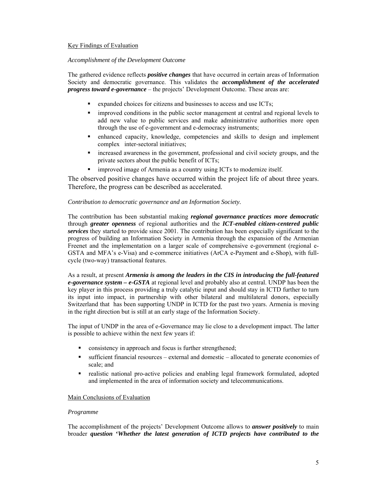### Key Findings of Evaluation

### *Accomplishment of the Development Outcome*

The gathered evidence reflects *positive changes* that have occurred in certain areas of Information Society and democratic governance. This validates the *accomplishment of the accelerated progress toward e-governance* – the projects' Development Outcome. These areas are:

- expanded choices for citizens and businesses to access and use ICTs;
- **In** improved conditions in the public sector management at central and regional levels to add new value to public services and make administrative authorities more open through the use of e-government and e-democracy instruments;
- enhanced capacity, knowledge, competencies and skills to design and implement complex inter-sectoral initiatives;
- increased awareness in the government, professional and civil society groups, and the private sectors about the public benefit of ICTs;
- **Indeed image of Armenia as a country using ICTs to modernize itself.**

The observed positive changes have occurred within the project life of about three years. Therefore, the progress can be described as accelerated.

### *Contribution to democratic governance and an Information Society.*

The contribution has been substantial making *regional governance practices more democratic* through *greater openness* of regional authorities and the *ICT-enabled citizen-centered public services* they started to provide since 2001. The contribution has been especially significant to the progress of building an Information Society in Armenia through the expansion of the Armenian Freenet and the implementation on a larger scale of comprehensive e-government (regional e-GSTA and MFA's e-Visa) and e-commerce initiatives (ArCA e-Payment and e-Shop), with fullcycle (two-way) transactional features.

As a result, at present *Armenia is among the leaders in the CIS in introducing the full-featured e-governance system – e-GSTA* at regional level and probably also at central. UNDP has been the key player in this process providing a truly catalytic input and should stay in ICTD further to turn its input into impact, in partnership with other bilateral and multilateral donors, especially Switzerland that has been supporting UNDP in ICTD for the past two years. Armenia is moving in the right direction but is still at an early stage of the Information Society.

The input of UNDP in the area of e-Governance may lie close to a development impact. The latter is possible to achieve within the next few years if:

- consistency in approach and focus is further strengthened;
- sufficient financial resources external and domestic allocated to generate economies of scale; and
- realistic national pro-active policies and enabling legal framework formulated, adopted and implemented in the area of information society and telecommunications.

### Main Conclusions of Evaluation

### *Programme*

The accomplishment of the projects' Development Outcome allows to *answer positively* to main broader *question* **'***Whether the latest generation of ICTD projects have contributed to the*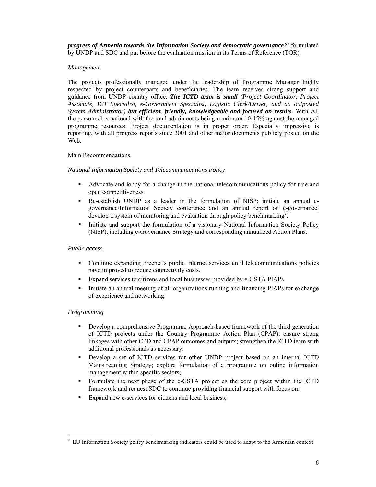*progress of Armenia towards the Information Society and democratic governance?'* formulated by UNDP and SDC and put before the evaluation mission in its Terms of Reference (TOR).

### *Management*

The projects professionally managed under the leadership of Programme Manager highly respected by project counterparts and beneficiaries. The team receives strong support and guidance from UNDP country office. *The ICTD team is small (Project Coordinator, Project Associate, ICT Specialist, e-Government Specialist, Logistic Clerk/Driver, and an outposted System Administrator) but efficient, friendly, knowledgeable and focused on results.* With All the personnel is national with the total admin costs being maximum 10-15% against the managed programme resources. Project documentation is in proper order. Especially impressive is reporting, with all progress reports since 2001 and other major documents publicly posted on the Web.

### Main Recommendations

### *National Information Society and Telecommunications Policy*

- Advocate and lobby for a change in the national telecommunications policy for true and open competitiveness.
- Re-establish UNDP as a leader in the formulation of NISP; initiate an annual egovernance/Information Society conference and an annual report on e-governance; develop a system of monitoring and evaluation through policy benchmarking<sup>2</sup>.
- Initiate and support the formulation of a visionary National Information Society Policy (NISP), including e-Governance Strategy and corresponding annualized Action Plans.

### *Public access*

- Continue expanding Freenet's public Internet services until telecommunications policies have improved to reduce connectivity costs.
- Expand services to citizens and local businesses provided by e-GSTA PIAPs.
- Initiate an annual meeting of all organizations running and financing PIAPs for exchange of experience and networking.

### *Programming*

- Develop a comprehensive Programme Approach-based framework of the third generation of ICTD projects under the Country Programme Action Plan (CPAP); ensure strong linkages with other CPD and CPAP outcomes and outputs; strengthen the ICTD team with additional professionals as necessary.
- Develop a set of ICTD services for other UNDP project based on an internal ICTD Mainstreaming Strategy; explore formulation of a programme on online information management within specific sectors;
- Formulate the next phase of the e-GSTA project as the core project within the ICTD framework and request SDC to continue providing financial support with focus on:
- Expand new e-services for citizens and local business;

 $\overline{a}$ 2 EU Information Society policy benchmarking indicators could be used to adapt to the Armenian context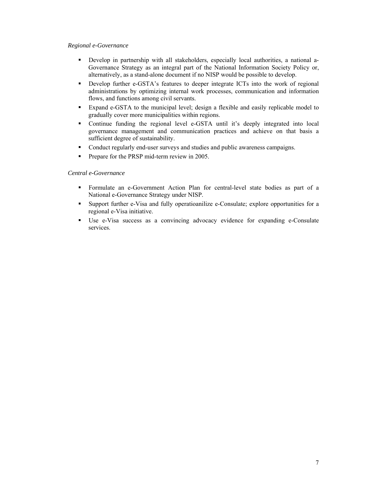### *Regional e-Governance*

- Develop in partnership with all stakeholders, especially local authorities, a national a-Governance Strategy as an integral part of the National Information Society Policy or, alternatively, as a stand-alone document if no NISP would be possible to develop.
- Develop further e-GSTA's features to deeper integrate ICTs into the work of regional administrations by optimizing internal work processes, communication and information flows, and functions among civil servants.
- Expand e-GSTA to the municipal level; design a flexible and easily replicable model to gradually cover more municipalities within regions.
- Continue funding the regional level e-GSTA until it's deeply integrated into local governance management and communication practices and achieve on that basis a sufficient degree of sustainability.
- Conduct regularly end-user surveys and studies and public awareness campaigns.
- **Prepare for the PRSP mid-term review in 2005.**

### *Central e-Governance*

- Formulate an e-Government Action Plan for central-level state bodies as part of a National e-Governance Strategy under NISP.
- Support further e-Visa and fully operatioanilize e-Consulate; explore opportunities for a regional e-Visa initiative.
- Use e-Visa success as a convincing advocacy evidence for expanding e-Consulate services.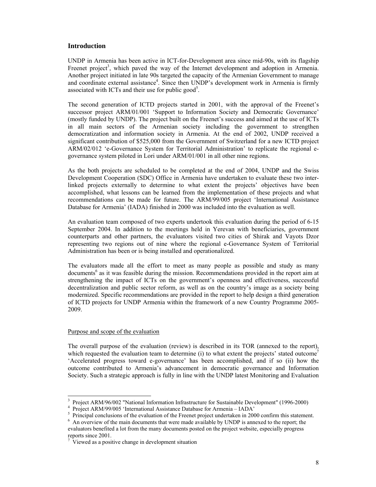### **Introduction**

UNDP in Armenia has been active in ICT-for-Development area since mid-90s, with its flagship Freenet project<sup>3</sup>, which paved the way of the Internet development and adoption in Armenia. Another project initiated in late 90s targeted the capacity of the Armenian Government to manage and coordinate external assistance<sup>4</sup>. Since then UNDP's development work in Armenia is firmly associated with ICTs and their use for public good<sup>5</sup>.

The second generation of ICTD projects started in 2001, with the approval of the Freenet's successor project ARM/01/001 'Support to Information Society and Democratic Governance' (mostly funded by UNDP). The project built on the Freenet's success and aimed at the use of ICTs in all main sectors of the Armenian society including the government to strengthen democratization and information society in Armenia. At the end of 2002, UNDP received a significant contribution of \$525,000 from the Government of Switzerland for a new ICTD project ARM/02/012 'e-Governance System for Territorial Administration' to replicate the regional egovernance system piloted in Lori under ARM/01/001 in all other nine regions.

As the both projects are scheduled to be completed at the end of 2004, UNDP and the Swiss Development Cooperation (SDC) Office in Armenia have undertaken to evaluate these two interlinked projects externally to determine to what extent the projects' objectives have been accomplished, what lessons can be learned from the implementation of these projects and what recommendations can be made for future. The ARM/99/005 project 'International Assistance Database for Armenia' (IADA) finished in 2000 was included into the evaluation as well.

An evaluation team composed of two experts undertook this evaluation during the period of 6-15 September 2004. In addition to the meetings held in Yerevan with beneficiaries, government counterparts and other partners, the evaluators visited two cities of Shirak and Vayots Dzor representing two regions out of nine where the regional e-Governance System of Territorial Administration has been or is being installed and operationalized.

The evaluators made all the effort to meet as many people as possible and study as many documents<sup>6</sup> as it was feasible during the mission. Recommendations provided in the report aim at strengthening the impact of ICTs on the government's openness and effectiveness, successful decentralization and public sector reform, as well as on the country's image as a society being modernized. Specific recommendations are provided in the report to help design a third generation of ICTD projects for UNDP Armenia within the framework of a new Country Programme 2005- 2009.

### Purpose and scope of the evaluation

 $\overline{a}$ 

The overall purpose of the evaluation (review) is described in its TOR (annexed to the report), which requested the evaluation team to determine (i) to what extent the projects' stated outcome<sup>7</sup> 'Accelerated progress toward e-governance' has been accomplished, and if so (ii) how the outcome contributed to Armenia's advancement in democratic governance and Information Society. Such a strategic approach is fully in line with the UNDP latest Monitoring and Evaluation

<sup>&</sup>lt;sup>3</sup> Project ARM/96/002 "National Information Infrastructure for Sustainable Development" (1996-2000)

<sup>&</sup>lt;sup>4</sup> Project ARM/99/005 'International Assistance Database for Armenia - IADA'

<sup>&</sup>lt;sup>5</sup> Principal conclusions of the evaluation of the Freenet project undertaken in 2000 confirm this statement.

<sup>&</sup>lt;sup>6</sup> An overview of the main documents that were made available by UNDP is annexed to the report; the evaluators benefited a lot from the many documents posted on the project website, especially progress reports since 2001.

Viewed as a positive change in development situation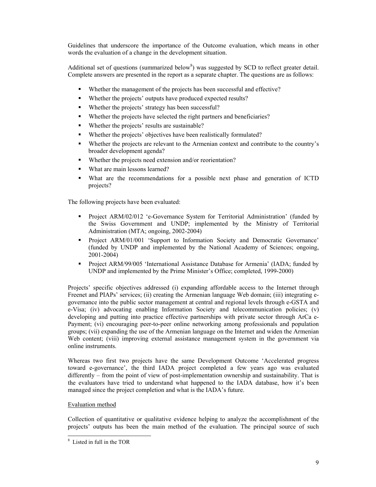Guidelines that underscore the importance of the Outcome evaluation, which means in other words the evaluation of a change in the development situation.

Additional set of questions (summarized below<sup>8</sup>) was suggested by SCD to reflect greater detail. Complete answers are presented in the report as a separate chapter. The questions are as follows:

- Whether the management of the projects has been successful and effective?
- Whether the projects' outputs have produced expected results?
- Whether the projects' strategy has been successful?
- Whether the projects have selected the right partners and beneficiaries?
- Whether the projects' results are sustainable?
- Whether the projects' objectives have been realistically formulated?
- Whether the projects are relevant to the Armenian context and contribute to the country's broader development agenda?
- Whether the projects need extension and/or reorientation?
- What are main lessons learned?
- What are the recommendations for a possible next phase and generation of ICTD projects?

The following projects have been evaluated:

- **Project ARM/02/012 'e-Governance System for Territorial Administration' (funded by** the Swiss Government and UNDP; implemented by the Ministry of Territorial Administration (MTA; ongoing, 2002-2004)
- Project ARM/01/001 'Support to Information Society and Democratic Governance' (funded by UNDP and implemented by the National Academy of Sciences; ongoing, 2001-2004)
- **Project ARM/99/005 'International Assistance Database for Armenia' (IADA; funded by** UNDP and implemented by the Prime Minister's Office; completed, 1999-2000)

Projects' specific objectives addressed (i) expanding affordable access to the Internet through Freenet and PIAPs' services; (ii) creating the Armenian language Web domain; (iii) integrating egovernance into the public sector management at central and regional levels through e-GSTA and e-Visa; (iv) advocating enabling Information Society and telecommunication policies; (v) developing and putting into practice effective partnerships with private sector through ArCa e-Payment; (vi) encouraging peer-to-peer online networking among professionals and population groups; (vii) expanding the use of the Armenian language on the Internet and widen the Armenian Web content; (viii) improving external assistance management system in the government via online instruments.

Whereas two first two projects have the same Development Outcome 'Accelerated progress toward e-governance', the third IADA project completed a few years ago was evaluated differently – from the point of view of post-implementation ownership and sustainability. That is the evaluators have tried to understand what happened to the IADA database, how it's been managed since the project completion and what is the IADA's future.

# Evaluation method

 $\overline{a}$ 

Collection of quantitative or qualitative evidence helping to analyze the accomplishment of the projects' outputs has been the main method of the evaluation. The principal source of such

<sup>8</sup> Listed in full in the TOR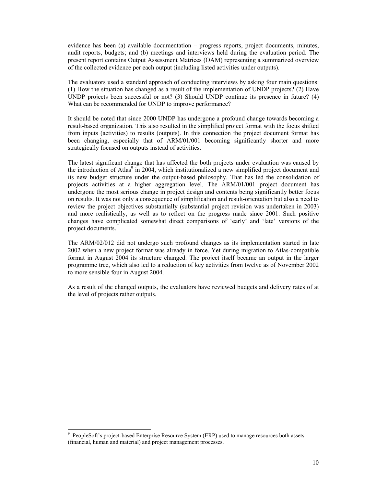evidence has been (a) available documentation – progress reports, project documents, minutes, audit reports, budgets; and (b) meetings and interviews held during the evaluation period. The present report contains Output Assessment Matrices (OAM) representing a summarized overview of the collected evidence per each output (including listed activities under outputs).

The evaluators used a standard approach of conducting interviews by asking four main questions: (1) How the situation has changed as a result of the implementation of UNDP projects? (2) Have UNDP projects been successful or not? (3) Should UNDP continue its presence in future? (4) What can be recommended for UNDP to improve performance?

It should be noted that since 2000 UNDP has undergone a profound change towards becoming a result-based organization. This also resulted in the simplified project format with the focus shifted from inputs (activities) to results (outputs). In this connection the project document format has been changing, especially that of ARM/01/001 becoming significantly shorter and more strategically focused on outputs instead of activities.

The latest significant change that has affected the both projects under evaluation was caused by the introduction of Atlas<sup>9</sup> in 2004, which institutionalized a new simplified project document and its new budget structure under the output-based philosophy. That has led the consolidation of projects activities at a higher aggregation level. The ARM/01/001 project document has undergone the most serious change in project design and contents being significantly better focus on results. It was not only a consequence of simplification and result-orientation but also a need to review the project objectives substantially (substantial project revision was undertaken in 2003) and more realistically, as well as to reflect on the progress made since 2001. Such positive changes have complicated somewhat direct comparisons of 'early' and 'late' versions of the project documents.

The ARM/02/012 did not undergo such profound changes as its implementation started in late 2002 when a new project format was already in force. Yet during migration to Atlas-compatible format in August 2004 its structure changed. The project itself became an output in the larger programme tree, which also led to a reduction of key activities from twelve as of November 2002 to more sensible four in August 2004.

As a result of the changed outputs, the evaluators have reviewed budgets and delivery rates of at the level of projects rather outputs.

 $\overline{a}$ 

<sup>9</sup> PeopleSoft's project-based Enterprise Resource System (ERP) used to manage resources both assets (financial, human and material) and project management processes.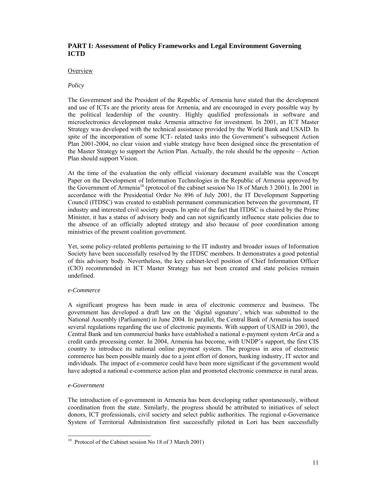# **PART I: Assessment of Policy Frameworks and Legal Environment Governing ICTD**

### **Overview**

### *Policy*

The Government and the President of the Republic of Armenia have stated that the development and use of ICTs are the priority areas for Armenia, and are encouraged in every possible way by the political leadership of the country. Highly qualified professionals in software and microelectronics development make Armenia attractive for investment. In 2001, an ICT Master Strategy was developed with the technical assistance provided by the World Bank and USAID. In spite of the incorporation of some ICT- related tasks into the Government's subsequent Action Plan 2001-2004, no clear vision and viable strategy have been designed since the presentation of the Master Strategy to support the Action Plan. Actually, the role should be the opposite – Action Plan should support Vision.

At the time of the evaluation the only official visionary document available was the Concept Paper on the Development of Information Technologies in the Republic of Armenia approved by the Government of Armenia<sup>10</sup> (protocol of the cabinet session No 18 of March 3 2001). In 2001 in accordance with the Presidential Order No 896 of July 2001, the IT Development Supporting Council (ITDSC) was created to establish permanent communication between the government, IT industry and interested civil society groups. In spite of the fact that ITDSC is chaired by the Prime Minister, it has a status of advisory body and can not significantly influence state policies due to the absence of an officially adopted strategy and also because of poor coordination among ministries of the present coalition government.

Yet, some policy-related problems pertaining to the IT industry and broader issues of Information Society have been successfully resolved by the ITDSC members. It demonstrates a good potential of this advisory body. Nevertheless, the key cabinet-level position of Chief Information Officer (CIO) recommended in ICT Master Strategy has not been created and state policies remain undefined.

### *e-Commerce*

A significant progress has been made in area of electronic commerce and business. The government has developed a draft law on the 'digital signature', which was submitted to the National Assembly (Parliament) in June 2004. In parallel, the Central Bank of Armenia has issued several regulations regarding the use of electronic payments. With support of USAID in 2003, the Central Bank and ten commercial banks have established a national e-payment system *ArCa* and a credit cards processing center. In 2004, Armenia has become, with UNDP's support, the first CIS country to introduce its national online payment system. The progress in area of electronic commerce has been possible mainly due to a joint effort of donors, banking industry, IT sector and individuals. The impact of e-commerce could have been more significant if the government would have adopted a national e-commerce action plan and promoted electronic commerce in rural areas.

### *e-Government*

 $\overline{a}$ 

The introduction of e-government in Armenia has been developing rather spontaneously, without coordination from the state. Similarly, the progress should be attributed to initiatives of select donors, ICT professionals, civil society and select public authorities. The regional e-Governance System of Territorial Administration first successfully piloted in Lori has been successfully

<sup>&</sup>lt;sup>10</sup> Protocol of the Cabinet session No 18 of 3 March 2001)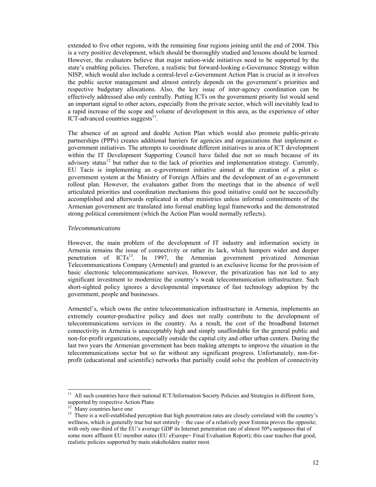extended to five other regions, with the remaining four regions joining until the end of 2004. This is a very positive development, which should be thoroughly studied and lessons should be learned. However, the evaluators believe that major nation-wide initiatives need to be supported by the state's enabling policies. Therefore, a realistic but forward-looking e-Governance Strategy within NISP, which would also include a central-level e-Government Action Plan is crucial as it involves the public sector management and almost entirely depends on the government's priorities and respective budgetary allocations. Also, the key issue of inter-agency coordination can be effectively addressed also only centrally. Putting ICTs on the government priority list would send an important signal to other actors, especially from the private sector, which will inevitably lead to a rapid increase of the scope and volume of development in this area, as the experience of other ICT-advanced countries suggests $^{11}$ .

The absence of an agreed and doable Action Plan which would also promote public-private partnerships (PPPs) creates additional barriers for agencies and organizations that implement egovernment initiatives. The attempts to coordinate different initiatives in area of ICT development within the IT Development Supporting Council have failed due not so much because of its advisory status<sup>12</sup> but rather due to the lack of priorities and implementation strategy. Currently, EU Tacis is implementing an e-government initiative aimed at the creation of a pilot egovernment system at the Ministry of Foreign Affairs and the development of an e-government rollout plan. However, the evaluators gather from the meetings that in the absence of well articulated priorities and coordination mechanisms this good initiative could not be successfully accomplished and afterwards replicated in other ministries unless informal commitments of the Armenian government are translated into formal enabling legal frameworks and the demonstrated strong political commitment (which the Action Plan would normally reflects).

#### *Telecommunications*

However, the main problem of the development of IT industry and information society in Armenia remains the issue of connectivity or rather its lack, which hampers wider and deeper penetration of  $ICTs<sup>13</sup>$ . In 1997, the Armenian government privatized Armenian Telecommunications Company (Armentel) and granted is an exclusive license for the provision of basic electronic telecommunications services. However, the privatization has not led to any significant investment to modernize the country's weak telecommunication infrastructure. Such short-sighted policy ignores a developmental importance of fast technology adoption by the government, people and businesses.

Armentel's, which owns the entire telecommunication infrastructure in Armenia, implements an extremely counter-productive policy and does not really contribute to the development of telecommunications services in the country. As a result, the cost of the broadband Internet connectivity in Armenia is unacceptably high and simply unaffordable for the general public and non-for-profit organizations, especially outside the capital city and other urban centers. During the last two years the Armenian government has been making attempts to improve the situation in the telecommunications sector but so far without any significant progress. Unfortunately, non-forprofit (educational and scientific) networks that partially could solve the problem of connectivity

 $11$ 11 All such countries have their national ICT/Information Society Policies and Strategies in different form, supported by respective Action Plans

Many countries have one

<sup>&</sup>lt;sup>13</sup> There is a well-established perception that high penetration rates are closely correlated with the country's wellness, which is generally true but not entirely – the case of a relatively poor Estonia proves the opposite; with only one-third of the EU's average GDP its Internet penetration rate of almost 50% surpasses that of some more affluent EU member states (EU eEurope+ Final Evaluation Report); this case teaches that good, realistic policies supported by main stakeholders matter most.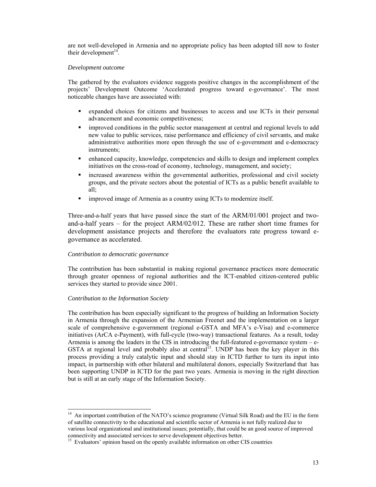are not well-developed in Armenia and no appropriate policy has been adopted till now to foster their development $14$ .

### *Development outcome*

The gathered by the evaluators evidence suggests positive changes in the accomplishment of the projects' Development Outcome 'Accelerated progress toward e-governance'. The most noticeable changes have are associated with:

- expanded choices for citizens and businesses to access and use ICTs in their personal advancement and economic competitiveness;
- improved conditions in the public sector management at central and regional levels to add new value to public services, raise performance and efficiency of civil servants, and make administrative authorities more open through the use of e-government and e-democracy instruments;
- enhanced capacity, knowledge, competencies and skills to design and implement complex initiatives on the cross-road of economy, technology, management, and society;
- increased awareness within the governmental authorities, professional and civil society groups, and the private sectors about the potential of ICTs as a public benefit available to all;
- **Indeed image of Armenia as a country using ICTs to modernize itself.**

Three-and-a-half years that have passed since the start of the ARM/01/001 project and twoand-a-half years – for the project ARM/02/012. These are rather short time frames for development assistance projects and therefore the evaluators rate progress toward egovernance as accelerated.

### *Contribution to democratic governance*

The contribution has been substantial in making regional governance practices more democratic through greater openness of regional authorities and the ICT-enabled citizen-centered public services they started to provide since 2001.

### *Contribution to the Information Society*

The contribution has been especially significant to the progress of building an Information Society in Armenia through the expansion of the Armenian Freenet and the implementation on a larger scale of comprehensive e-government (regional e-GSTA and MFA's e-Visa) and e-commerce initiatives (ArCA e-Payment), with full-cycle (two-way) transactional features. As a result, today Armenia is among the leaders in the CIS in introducing the full-featured e-governance system – e-GSTA at regional level and probably also at central<sup>15</sup>. UNDP has been the key player in this process providing a truly catalytic input and should stay in ICTD further to turn its input into impact, in partnership with other bilateral and multilateral donors, especially Switzerland that has been supporting UNDP in ICTD for the past two years. Armenia is moving in the right direction but is still at an early stage of the Information Society.

l  $14$  An important contribution of the NATO's science programme (Virtual Silk Road) and the EU in the form of satellite connectivity to the educational and scientific sector of Armenia is not fully realized due to various local organizational and institutional issues; potentially, that could be an good source of improved connectivity and associated services to serve development objectives better.

<sup>&</sup>lt;sup>15</sup> Evaluators' opinion based on the openly available information on other CIS countries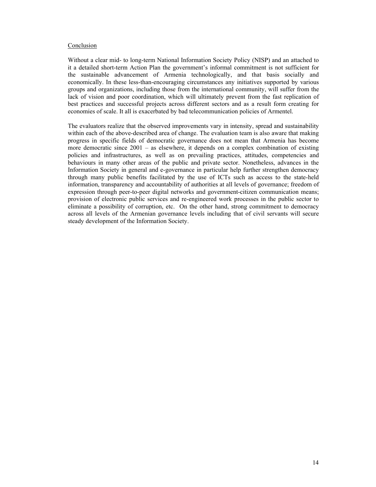### Conclusion

Without a clear mid- to long-term National Information Society Policy (NISP) and an attached to it a detailed short-term Action Plan the government's informal commitment is not sufficient for the sustainable advancement of Armenia technologically, and that basis socially and economically. In these less-than-encouraging circumstances any initiatives supported by various groups and organizations, including those from the international community, will suffer from the lack of vision and poor coordination, which will ultimately prevent from the fast replication of best practices and successful projects across different sectors and as a result form creating for economies of scale. It all is exacerbated by bad telecommunication policies of Armentel.

The evaluators realize that the observed improvements vary in intensity, spread and sustainability within each of the above-described area of change. The evaluation team is also aware that making progress in specific fields of democratic governance does not mean that Armenia has become more democratic since 2001 – as elsewhere, it depends on a complex combination of existing policies and infrastructures, as well as on prevailing practices, attitudes, competencies and behaviours in many other areas of the public and private sector. Nonetheless, advances in the Information Society in general and e-governance in particular help further strengthen democracy through many public benefits facilitated by the use of ICTs such as access to the state-held information, transparency and accountability of authorities at all levels of governance; freedom of expression through peer-to-peer digital networks and government-citizen communication means; provision of electronic public services and re-engineered work processes in the public sector to eliminate a possibility of corruption, etc. On the other hand, strong commitment to democracy across all levels of the Armenian governance levels including that of civil servants will secure steady development of the Information Society.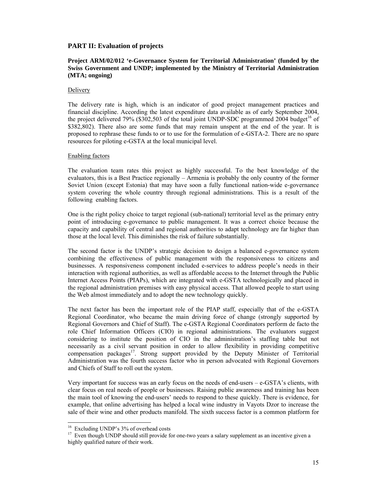### **PART II: Evaluation of projects**

### **Project ARM/02/012 'e-Governance System for Territorial Administration' (funded by the Swiss Government and UNDP; implemented by the Ministry of Territorial Administration (MTA; ongoing)**

#### Delivery

The delivery rate is high, which is an indicator of good project management practices and financial discipline. According the latest expenditure data available as of early September 2004, the project delivered 79% (\$302,503 of the total joint UNDP-SDC programmed 2004 budget<sup>16</sup> of \$382,802). There also are some funds that may remain unspent at the end of the year. It is proposed to rephrase these funds to or to use for the formulation of e-GSTA-2. There are no spare resources for piloting e-GSTA at the local municipal level.

### Enabling factors

The evaluation team rates this project as highly successful. To the best knowledge of the evaluators, this is a Best Practice regionally – Armenia is probably the only country of the former Soviet Union (except Estonia) that may have soon a fully functional nation-wide e-governance system covering the whole country through regional administrations. This is a result of the following enabling factors.

One is the right policy choice to target regional (sub-national) territorial level as the primary entry point of introducing e-governance to public management. It was a correct choice because the capacity and capability of central and regional authorities to adapt technology are far higher than those at the local level. This diminishes the risk of failure substantially.

The second factor is the UNDP's strategic decision to design a balanced e-governance system combining the effectiveness of public management with the responsiveness to citizens and businesses. A responsiveness component included e-services to address people's needs in their interaction with regional authorities, as well as affordable access to the Internet through the Public Internet Access Points (PIAPs), which are integrated with e-GSTA technologically and placed in the regional administration premises with easy physical access. That allowed people to start using the Web almost immediately and to adopt the new technology quickly.

The next factor has been the important role of the PIAP staff, especially that of the e-GSTA Regional Coordinator, who became the main driving force of change (strongly supported by Regional Governors and Chief of Staff). The e-GSTA Regional Coordinators perform de facto the role Chief Information Officers (CIO) in regional administrations. The evaluators suggest considering to institute the position of CIO in the administration's staffing table but not necessarily as a civil servant position in order to allow flexibility in providing competitive compensation packages $17$ . Strong support provided by the Deputy Minister of Territorial Administration was the fourth success factor who in person advocated with Regional Governors and Chiefs of Staff to roll out the system.

Very important for success was an early focus on the needs of end-users – e-GSTA's clients, with clear focus on real needs of people or businesses. Raising public awareness and training has been the main tool of knowing the end-users' needs to respond to these quickly. There is evidence, for example, that online advertising has helped a local wine industry in Vayots Dzor to increase the sale of their wine and other products manifold. The sixth success factor is a common platform for

l

<sup>&</sup>lt;sup>16</sup> Excluding UNDP's 3% of overhead costs

<sup>&</sup>lt;sup>17</sup> Even though UNDP should still provide for one-two years a salary supplement as an incentive given a highly qualified nature of their work.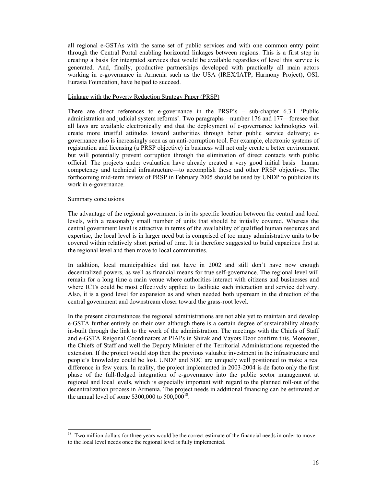all regional e-GSTAs with the same set of public services and with one common entry point through the Central Portal enabling horizontal linkages between regions. This is a first step in creating a basis for integrated services that would be available regardless of level this service is generated. And, finally, productive partnerships developed with practically all main actors working in e-governance in Armenia such as the USA (IREX/IATP, Harmony Project), OSI, Eurasia Foundation, have helped to succeed.

### Linkage with the Poverty Reduction Strategy Paper (PRSP)

There are direct references to e-governance in the PRSP's – sub-chapter 6.3.1 'Public administration and judicial system reforms'. Two paragraphs—number 176 and 177—foresee that all laws are available electronically and that the deployment of e-governance technologies will create more trustful attitudes toward authorities through better public service delivery; egovernance also is increasingly seen as an anti-corruption tool. For example, electronic systems of registration and licensing (a PRSP objective) in business will not only create a better environment but will potentially prevent corruption through the elimination of direct contacts with public official. The projects under evaluation have already created a very good initial basis—human competency and technical infrastructure—to accomplish these and other PRSP objectives. The forthcoming mid-term review of PRSP in February 2005 should be used by UNDP to publicize its work in e-governance.

### Summary conclusions

 $\overline{a}$ 

The advantage of the regional government is in its specific location between the central and local levels, with a reasonably small number of units that should be initially covered. Whereas the central government level is attractive in terms of the availability of qualified human resources and expertise, the local level is in larger need but is comprised of too many administrative units to be covered within relatively short period of time. It is therefore suggested to build capacities first at the regional level and then move to local communities.

In addition, local municipalities did not have in 2002 and still don't have now enough decentralized powers, as well as financial means for true self-governance. The regional level will remain for a long time a main venue where authorities interact with citizens and businesses and where ICTs could be most effectively applied to facilitate such interaction and service delivery. Also, it is a good level for expansion as and when needed both upstream in the direction of the central government and downstream closer toward the grass-root level.

In the present circumstances the regional administrations are not able yet to maintain and develop e-GSTA further entirely on their own although there is a certain degree of sustainability already in-built through the link to the work of the administration. The meetings with the Chiefs of Staff and e-GSTA Reigonal Coordinators at PIAPs in Shirak and Vayots Dzor confirm this. Moreover, the Chiefs of Staff and well the Deputy Minister of the Territorial Administrations requested the extension. If the project would stop then the previous valuable investment in the infrastructure and people's knowledge could be lost. UNDP and SDC are uniquely well positioned to make a real difference in few years. In reality, the project implemented in 2003-2004 is de facto only the first phase of the full-fledged integration of e-governance into the public sector management at regional and local levels, which is especially important with regard to the planned roll-out of the decentralization process in Armenia. The project needs in additional financing can be estimated at the annual level of some \$300,000 to  $500,000^{18}$ .

<sup>&</sup>lt;sup>18</sup> Two million dollars for three years would be the correct estimate of the financial needs in order to move to the local level needs once the regional level is fully implemented.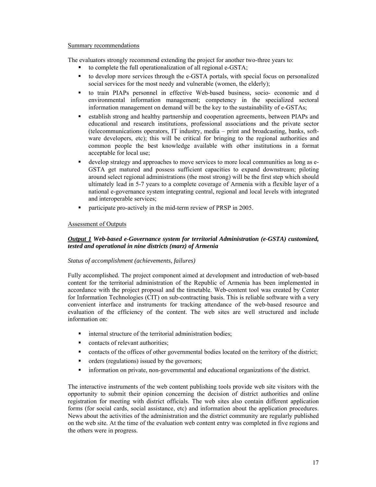#### Summary recommendations

The evaluators strongly recommend extending the project for another two-three years to:

- to complete the full operationalization of all regional e-GSTA;
- to develop more services through the e-GSTA portals, with special focus on personalized social services for the most needy and vulnerable (women, the elderly);
- to train PIAPs personnel in effective Web-based business, socio- economic and d environmental information management; competency in the specialized sectoral information management on demand will be the key to the sustainability of e-GSTAs;
- establish strong and healthy partnership and cooperation agreements, between PIAPs and educational and research institutions, professional associations and the private sector (telecommunications operators, IT industry, media – print and broadcasting, banks, software developers, etc); this will be critical for bringing to the regional authorities and common people the best knowledge available with other institutions in a format acceptable for local use;
- develop strategy and approaches to move services to more local communities as long as e-GSTA get matured and possess sufficient capacities to expand downstream; piloting around select regional administrations (the most strong) will be the first step which should ultimately lead in 5-7 years to a complete coverage of Armenia with a flexible layer of a national e-governance system integrating central, regional and local levels with integrated and interoperable services;
- participate pro-actively in the mid-term review of PRSP in 2005.

# Assessment of Outputs

# *Output 1 Web-based e-Governance system for territorial Administration (e-GSTA) customized, tested and operational in nine districts (marz) of Armenia*

# *Status of accomplishment (achievements, failures)*

Fully accomplished. The project component aimed at development and introduction of web-based content for the territorial administration of the Republic of Armenia has been implemented in accordance with the project proposal and the timetable. Web-content tool was created by Center for Information Technologies (CIT) on sub-contracting basis. This is reliable software with a very convenient interface and instruments for tracking attendance of the web-based resource and evaluation of the efficiency of the content. The web sites are well structured and include information on:

- internal structure of the territorial administration bodies;
- contacts of relevant authorities:
- contacts of the offices of other governmental bodies located on the territory of the district;
- orders (regulations) issued by the governors;
- information on private, non-governmental and educational organizations of the district.

The interactive instruments of the web content publishing tools provide web site visitors with the opportunity to submit their opinion concerning the decision of district authorities and online registration for meeting with district officials. The web sites also contain different application forms (for social cards, social assistance, etc) and information about the application procedures. News about the activities of the administration and the district community are regularly published on the web site. At the time of the evaluation web content entry was completed in five regions and the others were in progress.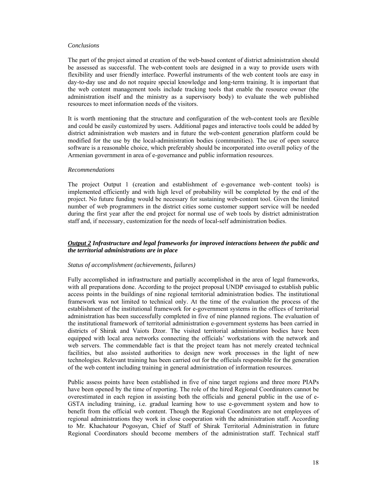#### *Conclusions*

The part of the project aimed at creation of the web-based content of district administration should be assessed as successful. The web-content tools are designed in a way to provide users with flexibility and user friendly interface. Powerful instruments of the web content tools are easy in day-to-day use and do not require special knowledge and long-term training. It is important that the web content management tools include tracking tools that enable the resource owner (the administration itself and the ministry as a supervisory body) to evaluate the web published resources to meet information needs of the visitors.

It is worth mentioning that the structure and configuration of the web-content tools are flexible and could be easily customized by users. Additional pages and interactive tools could be added by district administration web masters and in future the web-content generation platform could be modified for the use by the local-administration bodies (communities). The use of open source software is a reasonable choice, which preferably should be incorporated into overall policy of the Armenian government in area of e-governance and public information resources.

#### *Recommendations*

The project Output 1 (creation and establishment of e-governance web–content tools) is implemented efficiently and with high level of probability will be completed by the end of the project. No future funding would be necessary for sustaining web-content tool. Given the limited number of web programmers in the district cities some customer support service will be needed during the first year after the end project for normal use of web tools by district administration staff and, if necessary, customization for the needs of local-self administration bodies.

### *Output 2 Infrastructure and legal frameworks for improved interactions between the public and the territorial administrations are in place*

#### *Status of accomplishment (achievements, failures)*

Fully accomplished in infrastructure and partially accomplished in the area of legal frameworks, with all preparations done. According to the project proposal UNDP envisaged to establish public access points in the buildings of nine regional territorial administration bodies. The institutional framework was not limited to technical only. At the time of the evaluation the process of the establishment of the institutional framework for e-government systems in the offices of territorial administration has been successfully completed in five of nine planned regions. The evaluation of the institutional framework of territorial administration e-government systems has been carried in districts of Shirak and Vaiots Dzor. The visited territorial administration bodies have been equipped with local area networks connecting the officials' workstations with the network and web servers. The commendable fact is that the project team has not merely created technical facilities, but also assisted authorities to design new work processes in the light of new technologies. Relevant training has been carried out for the officials responsible for the generation of the web content including training in general administration of information resources.

Public assess points have been established in five of nine target regions and three more PIAPs have been opened by the time of reporting. The role of the hired Regional Coordinators cannot be overestimated in each region in assisting both the officials and general public in the use of e-GSTA including training, i.e. gradual learning how to use e-government system and how to benefit from the official web content. Though the Regional Coordinators are not employees of regional administrations they work in close cooperation with the administration staff. According to Mr. Khachatour Pogosyan, Chief of Staff of Shirak Territorial Administration in future Regional Coordinators should become members of the administration staff. Technical staff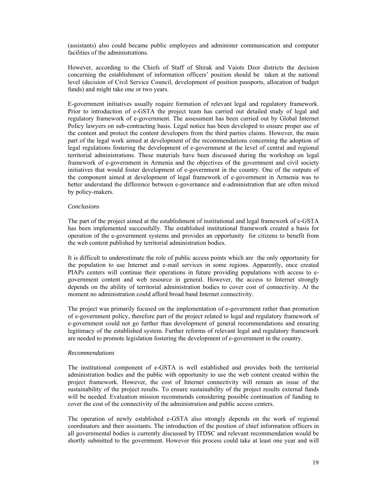(assistants) also could became public employees and administer communication and computer facilities of the administrations.

However, according to the Chiefs of Staff of Shirak and Vaiots Dzor districts the decision concerning the establishment of information officers' position should be taken at the national level (decision of Civil Service Council, development of position passports, allocation of budget funds) and might take one or two years.

E-government initiatives usually require formation of relevant legal and regulatory framework. Prior to introduction of e-GSTA the project team has carried out detailed study of legal and regulatory framework of e-government. The assessment has been curried out by Global Internet Policy lawyers on sub-contracting basis. Legal notice has been developed to ensure proper use of the content and protect the content developers from the third parties claims. However, the main part of the legal work aimed at development of the recommendations concerning the adoption of legal regulations fostering the development of e-government at the level of central and regional territorial administrations. These materials have been discussed during the workshop on legal framework of e-government in Armenia and the objectives of the government and civil society initiatives that would foster development of e-government in the country. One of the outputs of the component aimed at development of legal framework of e-government in Armenia was to better understand the difference between e-governance and e-administration that are often mixed by policy-makers.

### *Conclusions*

The part of the project aimed at the establishment of institutional and legal framework of e-GSTA has been implemented successfully. The established institutional framework created a basis for operation of the e-government systems and provides an opportunity for citizens to benefit from the web content published by territorial administration bodies.

It is difficult to underestimate the role of public access points which are the only opportunity for the population to use Internet and e-mail services in some regions. Apparently, once created PIAPs centers will continue their operations in future providing populations with access to egovernment content and web resource in general. However, the access to Internet strongly depends on the ability of territorial administration bodies to cover cost of connectivity. At the moment no administration could afford broad band Internet connectivity.

The project was primarily focused on the implementation of e-government rather than promotion of e-government policy, therefore part of the project related to legal and regulatory framework of e-government could not go further than development of general recommendations and ensuring legitimacy of the established system. Further reforms of relevant legal and regulatory framework are needed to promote legislation fostering the development of e-government in the country.

### *Recommendations*

The institutional component of e-GSTA is well established and provides both the territorial administration bodies and the public with opportunity to use the web content created within the project framework. However, the cost of Internet connectivity will remain an issue of the sustainability of the project results. To ensure sustainability of the project results external funds will be needed. Evaluation mission recommends considering possible continuation of funding to cover the cost of the connectivity of the administration and public access centers.

The operation of newly established e-GSTA also strongly depends on the work of regional coordinators and their assistants. The introduction of the position of chief information officers in all governmental bodies is currently discussed by ITDSC and relevant recommendation would be shortly submitted to the government. However this process could take at least one year and will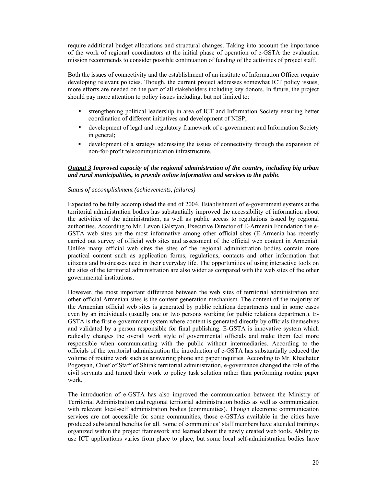require additional budget allocations and structural changes. Taking into account the importance of the work of regional coordinators at the initial phase of operation of e-GSTA the evaluation mission recommends to consider possible continuation of funding of the activities of project staff.

Both the issues of connectivity and the establishment of an institute of Information Officer require developing relevant policies. Though, the current project addresses somewhat ICT policy issues, more efforts are needed on the part of all stakeholders including key donors. In future, the project should pay more attention to policy issues including, but not limited to:

- strengthening political leadership in area of ICT and Information Society ensuring better coordination of different initiatives and development of NISP;
- development of legal and regulatory framework of e-government and Information Society in general;
- development of a strategy addressing the issues of connectivity through the expansion of non-for-profit telecommunication infrastructure.

### *Output 3 Improved capacity of the regional administration of the country, including big urban and rural municipalities, to provide online information and services to the public*

### *Status of accomplishment (achievements, failures)*

Expected to be fully accomplished the end of 2004. Establishment of e-government systems at the territorial administration bodies has substantially improved the accessibility of information about the activities of the administration, as well as public access to regulations issued by regional authorities. According to Mr. Levon Galstyan, Executive Director of E-Armenia Foundation the e-GSTA web sites are the most informative among other official sites (E-Armenia has recently carried out survey of official web sites and assessment of the official web content in Armenia). Unlike many official web sites the sites of the regional administration bodies contain more practical content such as application forms, regulations, contacts and other information that citizens and businesses need in their everyday life. The opportunities of using interactive tools on the sites of the territorial administration are also wider as compared with the web sites of the other governmental institutions.

However, the most important difference between the web sites of territorial administration and other official Armenian sites is the content generation mechanism. The content of the majority of the Armenian official web sites is generated by public relations departments and in some cases even by an individuals (usually one or two persons working for public relations department). E-GSTA is the first e-government system where content is generated directly by officials themselves and validated by a person responsible for final publishing. E-GSTA is innovative system which radically changes the overall work style of governmental officials and make them feel more responsible when communicating with the public without intermediaries. According to the officials of the territorial administration the introduction of e-GSTA has substantially reduced the volume of routine work such as answering phone and paper inquiries. According to Mr. Khachatur Pogosyan, Chief of Staff of Shirak territorial administration, e-governance changed the role of the civil servants and turned their work to policy task solution rather than performing routine paper work.

The introduction of e-GSTA has also improved the communication between the Ministry of Territorial Administration and regional territorial administration bodies as well as communication with relevant local-self administration bodies (communities). Though electronic communication services are not accessible for some communities, those e-GSTAs available in the cities have produced substantial benefits for all. Some of communities' staff members have attended trainings organized within the project framework and learned about the newly created web tools. Ability to use ICT applications varies from place to place, but some local self-administration bodies have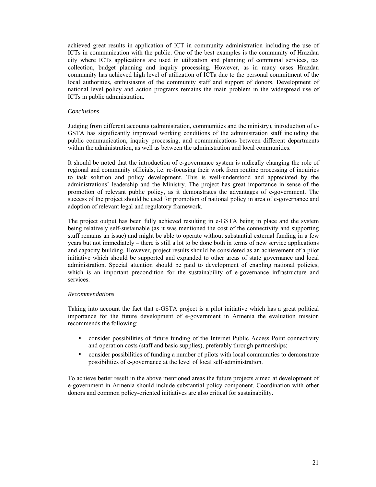achieved great results in application of ICT in community administration including the use of ICTs in communication with the public. One of the best examples is the community of Hrazdan city where ICTs applications are used in utilization and planning of communal services, tax collection, budget planning and inquiry processing. However, as in many cases Hrazdan community has achieved high level of utilization of ICTa due to the personal commitment of the local authorities, enthusiasms of the community staff and support of donors. Development of national level policy and action programs remains the main problem in the widespread use of ICTs in public administration.

### *Conclusions*

Judging from different accounts (administration, communities and the ministry), introduction of e-GSTA has significantly improved working conditions of the administration staff including the public communication, inquiry processing, and communications between different departments within the administration, as well as between the administration and local communities.

It should be noted that the introduction of e-governance system is radically changing the role of regional and community officials, i.e. re-focusing their work from routine processing of inquiries to task solution and policy development. This is well-understood and appreciated by the administrations' leadership and the Ministry. The project has great importance in sense of the promotion of relevant public policy, as it demonstrates the advantages of e-government. The success of the project should be used for promotion of national policy in area of e-governance and adoption of relevant legal and regulatory framework.

The project output has been fully achieved resulting in e-GSTA being in place and the system being relatively self-sustainable (as it was mentioned the cost of the connectivity and supporting stuff remains an issue) and might be able to operate without substantial external funding in a few years but not immediately – there is still a lot to be done both in terms of new service applications and capacity building. However, project results should be considered as an achievement of a pilot initiative which should be supported and expanded to other areas of state governance and local administration. Special attention should be paid to development of enabling national policies, which is an important precondition for the sustainability of e-governance infrastructure and services.

### *Recommendations*

Taking into account the fact that e-GSTA project is a pilot initiative which has a great political importance for the future development of e-government in Armenia the evaluation mission recommends the following:

- consider possibilities of future funding of the Internet Public Access Point connectivity and operation costs (staff and basic supplies), preferably through partnerships;
- consider possibilities of funding а number of pilots with local communities to demonstrate possibilities of e-governance at the level of local self-administration.

To achieve better result in the above mentioned areas the future projects aimed at development of e-government in Armenia should include substantial policy component. Coordination with other donors and common policy-oriented initiatives are also critical for sustainability.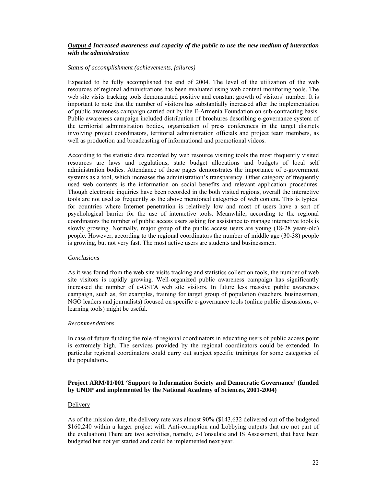### *Output 4 Increased awareness and capacity of the public to use the new medium of interaction with the administration*

### *Status of accomplishment (achievements, failures)*

Expected to be fully accomplished the end of 2004. The level of the utilization of the web resources of regional administrations has been evaluated using web content monitoring tools. The web site visits tracking tools demonstrated positive and constant growth of visitors' number. It is important to note that the number of visitors has substantially increased after the implementation of public awareness campaign carried out by the E-Armenia Foundation on sub-contracting basis. Public awareness campaign included distribution of brochures describing e-governance system of the territorial administration bodies, organization of press conferences in the target districts involving project coordinators, territorial administration officials and project team members, as well as production and broadcasting of informational and promotional videos.

According to the statistic data recorded by web resource visiting tools the most frequently visited resources are laws and regulations, state budget allocations and budgets of local self administration bodies. Attendance of those pages demonstrates the importance of e-government systems as a tool, which increases the administration's transparency. Other category of frequently used web contents is the information on social benefits and relevant application procedures. Though electronic inquiries have been recorded in the both visited regions, overall the interactive tools are not used as frequently as the above mentioned categories of web content. This is typical for countries where Internet penetration is relatively low and most of users have a sort of psychological barrier for the use of interactive tools. Meanwhile, according to the regional coordinators the number of public access users asking for assistance to manage interactive tools is slowly growing. Normally, major group of the public access users are young (18-28 years-old) people. However, according to the regional coordinators the number of middle age (30-38) people is growing, but not very fast. The most active users are students and businessmen.

#### *Conclusions*

As it was found from the web site visits tracking and statistics collection tools, the number of web site visitors is rapidly growing. Well-organized public awareness campaign has significantly increased the number of e-GSTA web site visitors. In future less massive public awareness campaign, such as, for examples, training for target group of population (teachers, businessman, NGO leaders and journalists) focused on specific e-governance tools (online public discussions, elearning tools) might be useful.

### *Recommendations*

In case of future funding the role of regional coordinators in educating users of public access point is extremely high. The services provided by the regional coordinators could be extended. In particular regional coordinators could curry out subject specific trainings for some categories of the populations.

### **Project ARM/01/001 'Support to Information Society and Democratic Governance' (funded by UNDP and implemented by the National Academy of Sciences, 2001-2004)**

### Delivery

As of the mission date, the delivery rate was almost 90% (\$143,632 delivered out of the budgeted \$160,240 within a larger project with Anti-corruption and Lobbying outputs that are not part of the evaluation).There are two activities, namely, e-Consulate and IS Assessment, that have been budgeted but not yet started and could be implemented next year.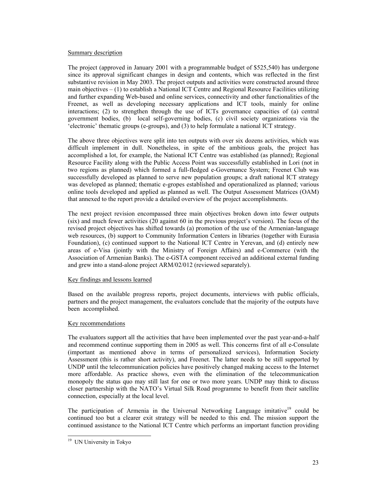### Summary description

The project (approved in January 2001 with a programmable budget of \$525,540) has undergone since its approval significant changes in design and contents, which was reflected in the first substantive revision in May 2003. The project outputs and activities were constructed around three main objectives  $- (1)$  to establish a National ICT Centre and Regional Resource Facilities utilizing and further expanding Web-based and online services, connectivity and other functionalities of the Freenet, as well as developing necessary applications and ICT tools, mainly for online interactions; (2) to strengthen through the use of ICTs governance capacities of (a) central government bodies, (b) local self-governing bodies, (c) civil society organizations via the 'electronic' thematic groups (e-groups), and (3) to help formulate a national ICT strategy.

The above three objectives were split into ten outputs with over six dozens activities, which was difficult implement in dull. Nonetheless, in spite of the ambitious goals, the project has accomplished a lot, for example, the National ICT Centre was established (as planned); Regional Resource Facility along with the Public Access Point was successfully established in Lori (not in two regions as planned) which formed a full-fledged e-Governance System; Freenet Club was successfully developed as planned to serve new population groups; a draft national ICT strategy was developed as planned; thematic e-gropes established and operationalized as planned; various online tools developed and applied as planned as well. The Output Assessment Matrices (OAM) that annexed to the report provide a detailed overview of the project accomplishments.

The next project revision encompassed three main objectives broken down into fewer outputs (six) and much fewer activities (20 against 60 in the previous project's version). The focus of the revised project objectives has shifted towards (a) promotion of the use of the Armenian-language web resources, (b) support to Community Information Centers in libraries (together with Eurasia Foundation), (c) continued support to the National ICT Centre in Yerevan, and (d) entirely new areas of e-Visa (jointly with the Ministry of Foreign Affairs) and e-Commerce (with the Association of Armenian Banks). The e-GSTA component received an additional external funding and grew into a stand-alone project ARM/02/012 (reviewed separately).

### Key findings and lessons learned

Based on the available progress reports, project documents, interviews with public officials, partners and the project management, the evaluators conclude that the majority of the outputs have been accomplished.

### Key recommendations

The evaluators support all the activities that have been implemented over the past year-and-a-half and recommend continue supporting them in 2005 as well. This concerns first of all e-Consulate (important as mentioned above in terms of personalized services), Information Society Assessment (this is rather short activity), and Freenet. The latter needs to be still supported by UNDP until the telecommunication policies have positively changed making access to the Internet more affordable. As practice shows, even with the elimination of the telecommunication monopoly the status quo may still last for one or two more years. UNDP may think to discuss closer partnership with the NATO's Virtual Silk Road programme to benefit from their satellite connection, especially at the local level.

The participation of Armenia in the Universal Networking Language imitative<sup>19</sup> could be continued too but a clearer exit strategy will be needed to this end. The mission support the continued assistance to the National ICT Centre which performs an important function providing

 $\overline{a}$ <sup>19</sup> UN University in Tokyo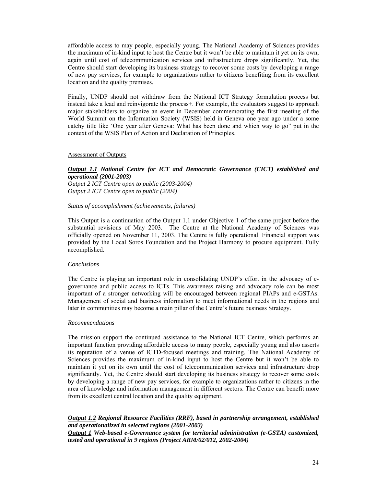affordable access to may people, especially young. The National Academy of Sciences provides the maximum of in-kind input to host the Centre but it won't be able to maintain it yet on its own, again until cost of telecommunication services and infrastructure drops significantly. Yet, the Centre should start developing its business strategy to recover some costs by developing a range of new pay services, for example to organizations rather to citizens benefiting from its excellent location and the quality premises.

Finally, UNDP should not withdraw from the National ICT Strategy formulation process but instead take a lead and reinvigorate the process+. For example, the evaluators suggest to approach major stakeholders to organize an event in December commemorating the first meeting of the World Summit on the Information Society (WSIS) held in Geneva one year ago under a some catchy title like 'One year after Geneva: What has been done and which way to go" put in the context of the WSIS Plan of Action and Declaration of Principles.

### Assessment of Outputs

### *Output 1.1 National Centre for ICT and Democratic Governance (CICT) established and operational (2001-2003)*

*Output 2 ICT Centre open to public (2003-2004) Output 2 ICT Centre open to public (2004)* 

#### *Status of accomplishment (achievements, failures)*

This Output is a continuation of the Output 1.1 under Objective 1 of the same project before the substantial revisions of May 2003. The Centre at the National Academy of Sciences was officially opened on November 11, 2003. The Centre is fully operational. Financial support was provided by the Local Soros Foundation and the Project Harmony to procure equipment. Fully accomplished.

#### *Conclusions*

The Centre is playing an important role in consolidating UNDP's effort in the advocacy of egovernance and public access to ICTs. This awareness raising and advocacy role can be most important of a stronger networking will be encouraged between regional PIAPs and e-GSTAs. Management of social and business information to meet informational needs in the regions and later in communities may become a main pillar of the Centre's future business Strategy.

#### *Recommendations*

The mission support the continued assistance to the National ICT Centre, which performs an important function providing affordable access to many people, especially young and also asserts its reputation of a venue of ICTD-focused meetings and training. The National Academy of Sciences provides the maximum of in-kind input to host the Centre but it won't be able to maintain it yet on its own until the cost of telecommunication services and infrastructure drop significantly. Yet, the Centre should start developing its business strategy to recover some costs by developing a range of new pay services, for example to organizations rather to citizens in the area of knowledge and information management in different sectors. The Centre can benefit more from its excellent central location and the quality equipment.

### *Output 1.2 Regional Resource Facilities (RRF), based in partnership arrangement, established and operationalized in selected regions (2001-2003) Output 1 Web-based e-Governance system for territorial administration (e-GSTA) customized, tested and operational in 9 regions (Project ARM/02/012, 2002-2004)*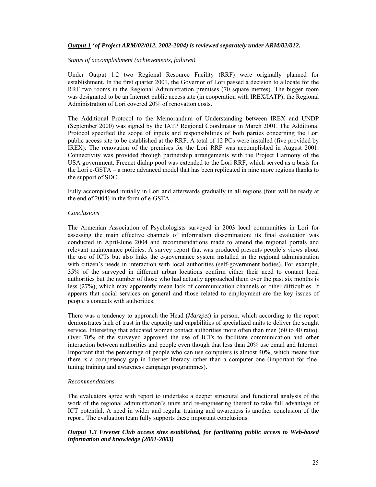### *Output 1 'of Project ARM/02/012, 2002-2004) is reviewed separately under ARM/02/012.*

#### *Status of accomplishment (achievements, failures)*

Under Output 1.2 two Regional Resource Facility (RRF) were originally planned for establishment. In the first quarter 2001, the Governor of Lori passed a decision to allocate for the RRF two rooms in the Regional Administration premises (70 square metres). The bigger room was designated to be an Internet public access site (in cooperation with IREX/IATP); the Regional Administration of Lori covered 20% of renovation costs.

The Additional Protocol to the Memorandum of Understanding between IREX and UNDP (September 2000) was signed by the IATP Regional Coordinator in March 2001. The Additional Protocol specified the scope of inputs and responsibilities of both parties concerning the Lori public access site to be established at the RRF. A total of 12 PCs were installed (five provided by IREX). The renovation of the premises for the Lori RRF was accomplished in August 2001. Connectivity was provided through partnership arrangements with the Project Harmony of the USA government. Freenet dialup pool was extended to the Lori RRF, which served as a basis for the Lori e-GSTA – a more advanced model that has been replicated in nine more regions thanks to the support of SDC.

Fully accomplished initially in Lori and afterwards gradually in all regions (four will be ready at the end of 2004) in the form of e-GSTA.

### *Conclusions*

The Armenian Association of Psychologists surveyed in 2003 local communities in Lori for assessing the main effective channels of information dissemination; its final evaluation was conducted in April-June 2004 and recommendations made to amend the regional portals and relevant maintenance policies. A survey report that was produced presents people's views about the use of ICTs but also links the e-governance system installed in the regional administration with citizen's needs in interaction with local authorities (self-government bodies). For example, 35% of the surveyed in different urban locations confirm either their need to contact local authorities but the number of those who had actually approached them over the past six months is less (27%), which may apparently mean lack of communication channels or other difficulties. It appears that social services on general and those related to employment are the key issues of people's contacts with authorities.

There was a tendency to approach the Head (*Marzpet*) in person, which according to the report demonstrates lack of trust in the capacity and capabilities of specialized units to deliver the sought service. Interesting that educated women contact authorities more often than men (60 to 40 ratio). Over 70% of the surveyed approved the use of ICTs to facilitate communication and other interaction between authorities and people even though that less than 20% use email and Internet. Important that the percentage of people who can use computers is almost 40%, which means that there is a competency gap in Internet literacy rather than a computer one (important for finetuning training and awareness campaign programmes).

### *Recommendations*

The evaluators agree with report to undertake a deeper structural and functional analysis of the work of the regional administration's units and re-engineering thereof to take full advantage of ICT potential. A need in wider and regular training and awareness is another conclusion of the report. The evaluation team fully supports these important conclusions.

### *Output 1.3 Freenet Club access sites established, for facilitating public access to Web-based information and knowledge (2001-2003)*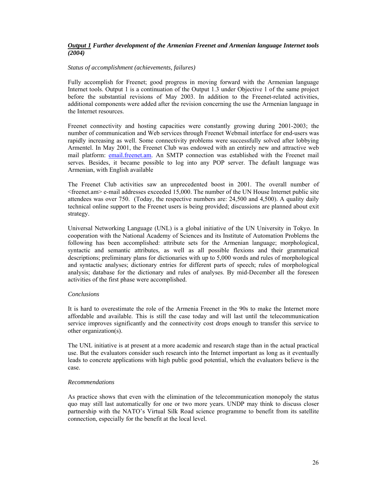### *Output 1 Further development of the Armenian Freenet and Armenian language Internet tools (2004)*

### *Status of accomplishment (achievements, failures)*

Fully accomplish for Freenet; good progress in moving forward with the Armenian language Internet tools. Output 1 is a continuation of the Output 1.3 under Objective 1 of the same project before the substantial revisions of May 2003. In addition to the Freenet-related activities, additional components were added after the revision concerning the use the Armenian language in the Internet resources.

Freenet connectivity and hosting capacities were constantly growing during 2001-2003; the number of communication and Web services through Freenet Webmail interface for end-users was rapidly increasing as well. Some connectivity problems were successfully solved after lobbying Armentel. In May 2001, the Freenet Club was endowed with an entirely new and attractive web mail platform: email.freenet.am. An SMTP connection was established with the Freenet mail serves. Besides, it became possible to log into any POP server. The default language was Armenian, with English available

The Freenet Club activities saw an unprecedented boost in 2001. The overall number of <freenet.am> e-mail addresses exceeded 15,000. The number of the UN House Internet public site attendees was over 750. (Today, the respective numbers are: 24,500 and 4,500). A quality daily technical online support to the Freenet users is being provided; discussions are planned about exit strategy.

Universal Networking Language (UNL) is a global initiative of the UN University in Tokyo. In cooperation with the National Academy of Sciences and its Institute of Automation Problems the following has been accomplished: attribute sets for the Armenian language; morphological, syntactic and semantic attributes, as well as all possible flexions and their grammatical descriptions; preliminary plans for dictionaries with up to 5,000 words and rules of morphological and syntactic analyses; dictionary entries for different parts of speech; rules of morphological analysis; database for the dictionary and rules of analyses. By mid-December all the foreseen activities of the first phase were accomplished.

### *Conclusions*

It is hard to overestimate the role of the Armenia Freenet in the 90s to make the Internet more affordable and available. This is still the case today and will last until the telecommunication service improves significantly and the connectivity cost drops enough to transfer this service to other organization(s).

The UNL initiative is at present at a more academic and research stage than in the actual practical use. But the evaluators consider such research into the Internet important as long as it eventually leads to concrete applications with high public good potential, which the evaluators believe is the case.

### *Recommendations*

As practice shows that even with the elimination of the telecommunication monopoly the status quo may still last automatically for one or two more years. UNDP may think to discuss closer partnership with the NATO's Virtual Silk Road science programme to benefit from its satellite connection, especially for the benefit at the local level.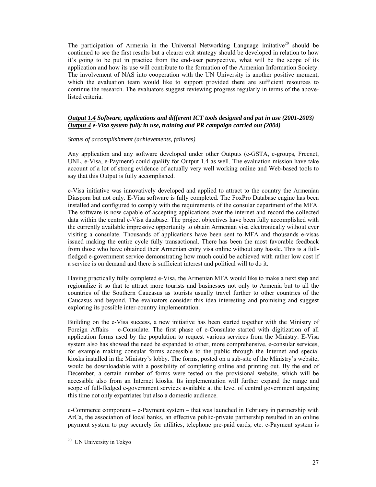The participation of Armenia in the Universal Networking Language imitative<sup>20</sup> should be continued to see the first results but a clearer exit strategy should be developed in relation to how it's going to be put in practice from the end-user perspective, what will be the scope of its application and how its use will contribute to the formation of the Armenian Information Society. The involvement of NAS into cooperation with the UN University is another positive moment, which the evaluation team would like to support provided there are sufficient resources to continue the research. The evaluators suggest reviewing progress regularly in terms of the abovelisted criteria.

## *Output 1.4 Software, applications and different ICT tools designed and put in use (2001-2003) Output 4 e-Visa system fully in use, training and PR campaign carried out (2004)*

### *Status of accomplishment (achievements, failures)*

Any application and any software developed under other Outputs (e-GSTA, e-groups, Freenet, UNL, e-Visa, e-Payment) could qualify for Output 1.4 as well. The evaluation mission have take account of a lot of strong evidence of actually very well working online and Web-based tools to say that this Output is fully accomplished.

e-Visa initiative was innovatively developed and applied to attract to the country the Armenian Diaspora but not only. E-Visa software is fully completed. The FoxPro Database engine has been installed and configured to comply with the requirements of the consular department of the MFA. The software is now capable of accepting applications over the internet and record the collected data within the central e-Visa database. The project objectives have been fully accomplished with the currently available impressive opportunity to obtain Armenian visa electronically without ever visiting a consulate. Thousands of applications have been sent to MFA and thousands e-visas issued making the entire cycle fully transactional. There has been the most favorable feedback from those who have obtained their Armenian entry visa online without any hassle. This is a fullfledged e-government service demonstrating how much could be achieved with rather low cost if a service is on demand and there is sufficient interest and political will to do it.

Having practically fully completed e-Visa, the Armenian MFA would like to make a next step and regionalize it so that to attract more tourists and businesses not only to Armenia but to all the countries of the Southern Caucasus as tourists usually travel further to other countries of the Caucasus and beyond. The evaluators consider this idea interesting and promising and suggest exploring its possible inter-country implementation.

Building on the e-Visa success, a new initiative has been started together with the Ministry of Foreign Affairs – e-Consulate. The first phase of e-Consulate started with digitization of all application forms used by the population to request various services from the Ministry. E-Visa system also has showed the need be expanded to other, more comprehensive, e-consular services, for example making consular forms accessible to the public through the Internet and special kiosks installed in the Ministry's lobby. The forms, posted on a sub-site of the Ministry's website, would be downloadable with a possibility of completing online and printing out. By the end of December, a certain number of forms were tested on the provisional website, which will be accessible also from an Internet kiosks. Its implementation will further expand the range and scope of full-fledged e-government services available at the level of central government targeting this time not only expatriates but also a domestic audience.

e-Commerce component – e-Payment system – that was launched in February in partnership with ArCa, the association of local banks, an effective public-private partnership resulted in an online payment system to pay securely for utilities, telephone pre-paid cards, etc. e-Payment system is

 $\overline{a}$ 

<sup>&</sup>lt;sup>20</sup> UN University in Tokyo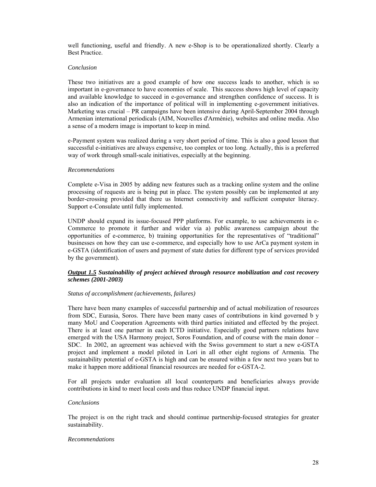well functioning, useful and friendly. A new e-Shop is to be operationalized shortly. Clearly a Best Practice.

### *Conclusion*

These two initiatives are a good example of how one success leads to another, which is so important in e-governance to have economies of scale. This success shows high level of capacity and available knowledge to succeed in e-governance and strengthen confidence of success. It is also an indication of the importance of political will in implementing e-government initiatives. Marketing was crucial – PR campaigns have been intensive during April-September 2004 through Armenian international periodicals (AIM, Nouvelles d'Arménie), websites and online media. Also a sense of a modern image is important to keep in mind.

e-Payment system was realized during a very short period of time. This is also a good lesson that successful e-initiatives are always expensive, too complex or too long. Actually, this is a preferred way of work through small-scale initiatives, especially at the beginning.

### *Recommendations*

Complete e-Visa in 2005 by adding new features such as a tracking online system and the online processing of requests are is being put in place. The system possibly can be implemented at any border-crossing provided that there us Internet connectivity and sufficient computer literacy. Support e-Consulate until fully implemented.

UNDP should expand its issue-focused PPP platforms. For example, to use achievements in e-Commerce to promote it further and wider via a) public awareness campaign about the opportunities of e-commerce, b) training opportunities for the representatives of "traditional" businesses on how they can use e-commerce, and especially how to use ArCa payment system in e-GSTA (identification of users and payment of state duties for different type of services provided by the government).

### *Output 1.5 Sustainability of project achieved through resource mobilization and cost recovery schemes (2001-2003)*

### *Status of accomplishment (achievements, failures)*

There have been many examples of successful partnership and of actual mobilization of resources from SDC, Eurasia, Soros. There have been many cases of contributions in kind governed b y many MoU and Cooperation Agreements with third parties initiated and effected by the project. There is at least one partner in each ICTD initiative. Especially good partners relations have emerged with the USA Harmony project, Soros Foundation, and of course with the main donor – SDC. In 2002, an agreement was achieved with the Swiss government to start a new e-GSTA project and implement a model piloted in Lori in all other eight regions of Armenia. The sustainability potential of e-GSTA is high and can be ensured within a few next two years but to make it happen more additional financial resources are needed for e-GSTA-2.

For all projects under evaluation all local counterparts and beneficiaries always provide contributions in kind to meet local costs and thus reduce UNDP financial input.

### *Conclusions*

The project is on the right track and should continue partnership-focused strategies for greater sustainability.

#### *Recommendations*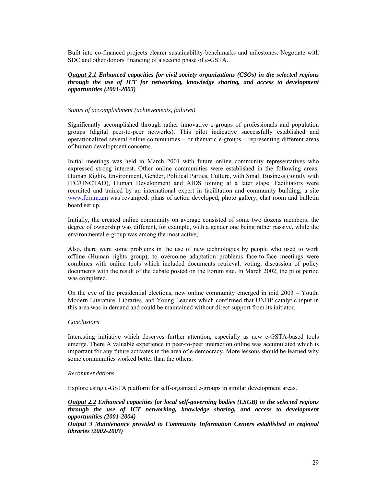Built into co-financed projects clearer sustainability benchmarks and milestones. Negotiate with SDC and other donors financing of a second phase of e-GSTA.

### *Output 2.1 Enhanced capacities for civil society organizations (CSOs) in the selected regions through the use of ICT for networking, knowledge sharing, and access to development opportunities (2001-2003)*

#### *Status of accomplishment (achievements, failures)*

Significantly accomplished through rather innovative e-groups of professionals and population groups (digital peer-to-peer networks). This pilot indicative successfully established and operationalized several online communities – or thematic e-groups – representing different areas of human development concerns.

Initial meetings was held in March 2001 with future online community representatives who expressed strong interest. Other online communities were established in the following areas: Human Rights, Environment, Gender, Political Parties, Culture, with Small Business (jointly with ITC/UNCTAD), Human Development and AIDS joining at a later stage. Facilitators were recruited and trained by an international expert in facilitation and community building; a site www.forum.am was revamped; plans of action developed; photo gallery, chat room and bulletin board set up.

Initially, the created online community on average consisted of some two dozens members; the degree of ownership was different, for example, with a gender one being rather passive, while the environmental e-group was among the most active;

Also, there were some problems in the use of new technologies by people who used to work offline (Human rights group); to overcome adaptation problems face-to-face meetings were combines with online tools which included documents retrieval, voting, discussion of policy documents with the result of the debate posted on the Forum site. In March 2002, the pilot period was completed.

On the eve of the presidential elections, new online community emerged in mid 2003 – Youth, Modern Literature, Libraries, and Young Leaders which confirmed that UNDP catalytic input in this area was in demand and could be maintained without direct support from its initiator.

#### *Conclusions*

Interesting initiative which deserves further attention, especially as new e-GSTA-based tools emerge. There A valuable experience in peer-to-peer interaction online was accumulated which is important for any future activates in the area of e-democracy. More lessons should be learned why some communities worked better than the others.

#### *Recommendations*

Explore using e-GSTA platform for self-organized e-groups in similar development areas.

*Output 2.2 Enhanced capacities for local self-governing bodies (LSGB) in the selected regions through the use of ICT networking, knowledge sharing, and access to development opportunities (2001-2004)* 

*Output 3 Maintenance provided to Community Information Centers established in regional libraries (2002-2003)*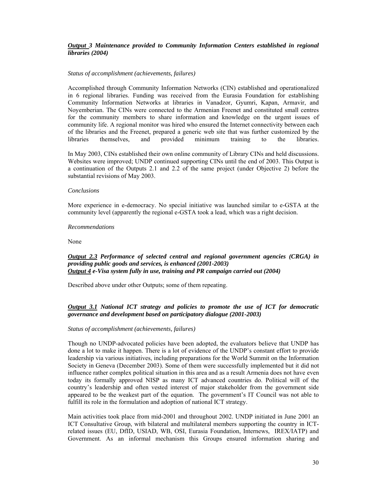### *Output 3 Maintenance provided to Community Information Centers established in regional libraries (2004)*

#### *Status of accomplishment (achievements, failures)*

Accomplished through Community Information Networks (CIN) established and operationalized in 6 regional libraries. Funding was received from the Eurasia Foundation for establishing Community Information Networks at libraries in Vanadzor, Gyumri, Kapan, Armavir, and Noyemberian. The CINs were connected to the Armenian Freenet and constituted small centres for the community members to share information and knowledge on the urgent issues of community life. A regional monitor was hired who ensured the Internet connectivity between each of the libraries and the Freenet, prepared a generic web site that was further customized by the libraries themselves, and provided minimum training to the libraries. libraries themselves, and provided minimum training to the libraries.

In May 2003, CINs established their own online community of Library CINs and held discussions. Websites were improved; UNDP continued supporting CINs until the end of 2003. This Output is a continuation of the Outputs 2.1 and 2.2 of the same project (under Objective 2) before the substantial revisions of May 2003.

### *Conclusions*

More experience in e-democracy. No special initiative was launched similar to e-GSTA at the community level (apparently the regional e-GSTA took a lead, which was a right decision.

#### *Recommendations*

None

### *Output 2.3 Performance of selected central and regional government agencies (CRGA) in providing public goods and services, is enhanced (2001-2003) Output 4 e-Visa system fully in use, training and PR campaign carried out (2004)*

Described above under other Outputs; some of them repeating.

### *Output 3.1 National ICT strategy and policies to promote the use of ICT for democratic governance and development based on participatory dialogue (2001-2003)*

#### *Status of accomplishment (achievements, failures)*

Though no UNDP-advocated policies have been adopted, the evaluators believe that UNDP has done a lot to make it happen. There is a lot of evidence of the UNDP's constant effort to provide leadership via various initiatives, including preparations for the World Summit on the Information Society in Geneva (December 2003). Some of them were successfully implemented but it did not influence rather complex political situation in this area and as a result Armenia does not have even today its formally approved NISP as many ICT advanced countries do. Political will of the country's leadership and often vested interest of major stakeholder from the government side appeared to be the weakest part of the equation. The government's IT Council was not able to fulfill its role in the formulation and adoption of national ICT strategy.

Main activities took place from mid-2001 and throughout 2002. UNDP initiated in June 2001 an ICT Consultative Group, with bilateral and multilateral members supporting the country in ICTrelated issues (EU, DfID, USIAD, WB, OSI, Eurasia Foundation, Internews, IREX/IATP) and Government. As an informal mechanism this Groups ensured information sharing and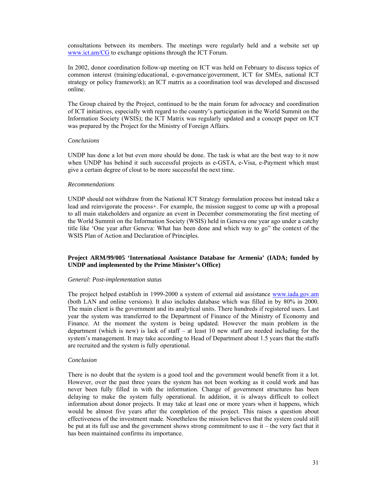consultations between its members. The meetings were regularly held and a website set up www.ict.am/CG to exchange opinions through the ICT Forum.

In 2002, donor coordination follow-up meeting on ICT was held on February to discuss topics of common interest (training/educational, e-governance/government, ICT for SMEs, national ICT strategy or policy framework); an ICT matrix as a coordination tool was developed and discussed online.

The Group chaired by the Project, continued to be the main forum for advocacy and coordination of ICT initiatives, especially with regard to the country's participation in the World Summit on the Information Society (WSIS); the ICT Matrix was regularly updated and a concept paper on ICT was prepared by the Project for the Ministry of Foreign Affairs.

#### *Conclusions*

UNDP has done a lot but even more should be done. The task is what are the best way to it now when UNDP has behind it such successful projects as e-GSTA, e-Visa, e-Payment which must give a certain degree of clout to be more successful the next time.

#### *Recommendations*

UNDP should not withdraw from the National ICT Strategy formulation process but instead take a lead and reinvigorate the process+. For example, the mission suggest to come up with a proposal to all main stakeholders and organize an event in December commemorating the first meeting of the World Summit on the Information Society (WSIS) held in Geneva one year ago under a catchy title like 'One year after Geneva: What has been done and which way to go" the context of the WSIS Plan of Action and Declaration of Principles.

### **Project ARM/99/005 'International Assistance Database for Armenia' (IADA; funded by UNDP and implemented by the Prime Minister's Office)**

#### *General: Post-implementation status*

The project helped establish in 1999-2000 a system of external aid assistance www.iada.gov.am (both LAN and online versions). It also includes database which was filled in by 80% in 2000. The main client is the government and its analytical units. There hundreds if registered users. Last year the system was transferred to the Department of Finance of the Ministry of Economy and Finance. At the moment the system is being updated. However the main problem in the department (which is new) is lack of staff – at least 10 new staff are needed including for the system's management. It may take according to Head of Department about 1.5 years that the staffs are recruited and the system is fully operational.

#### *Conclusion*

There is no doubt that the system is a good tool and the government would benefit from it a lot. However, over the past three years the system has not been working as it could work and has never been fully filled in with the information. Change of government structures has been delaying to make the system fully operational. In addition, it is always difficult to collect information about donor projects. It may take at least one or more years when it happens, which would be almost five years after the completion of the project. This raises a question about effectiveness of the investment made. Nonetheless the mission believes that the system could still be put at its full use and the government shows strong commitment to use it – the very fact that it has been maintained confirms its importance.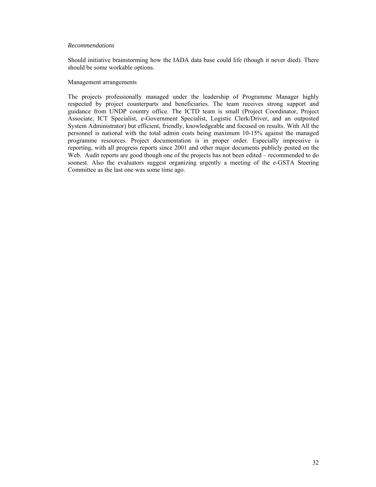#### *Recommendations*

Should initiative brainstorming how the IADA data base could life (though it never died). There should be some workable options.

#### Management arrangements

The projects professionally managed under the leadership of Programme Manager highly respected by project counterparts and beneficiaries. The team receives strong support and guidance from UNDP country office. The ICTD team is small (Project Coordinator, Project Associate, ICT Specialist, e-Government Specialist, Logistic Clerk/Driver, and an outposted System Administrator) but efficient, friendly, knowledgeable and focused on results. With All the personnel is national with the total admin costs being maximum 10-15% against the managed programme resources. Project documentation is in proper order. Especially impressive is reporting, with all progress reports since 2001 and other major documents publicly posted on the Web. Audit reports are good though one of the projects has not been edited – recommended to do soonest. Also the evaluators suggest organizing urgently a meeting of the e-GSTA Steering Committee as the last one was some time ago.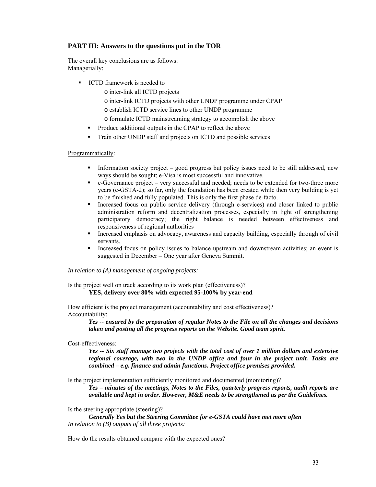# **PART III: Answers to the questions put in the TOR**

The overall key conclusions are as follows: Managerially:

- **ICTD** framework is needed to
	- o inter-link all ICTD projects
	- o inter-link ICTD projects with other UNDP programme under CPAP
	- o establish ICTD service lines to other UNDP programme
	- o formulate ICTD mainstreaming strategy to accomplish the above
	- **Produce additional outputs in the CPAP to reflect the above**
	- Train other UNDP staff and projects on ICTD and possible services

# Programmatically:

- Information society project good progress but policy issues need to be still addressed, new ways should be sought; e-Visa is most successful and innovative.
- e-Governance project very successful and needed; needs to be extended for two-three more years (e-GSTA-2); so far, only the foundation has been created while then very building is yet to be finished and fully populated. This is only the first phase de-facto.
- Increased focus on public service delivery (through e-services) and closer linked to public administration reform and decentralization processes, especially in light of strengthening participatory democracy; the right balance is needed between effectiveness and responsiveness of regional authorities
- Increased emphasis on advocacy, awareness and capacity building, especially through of civil servants.
- Increased focus on policy issues to balance upstream and downstream activities; an event is suggested in December – One year after Geneva Summit.

### *In relation to (A) management of ongoing projects:*

Is the project well on track according to its work plan (effectiveness)? **YES, delivery over 80% with expected 95-100% by year-end** 

How efficient is the project management (accountability and cost effectiveness)? Accountability:

*Yes -- ensured by the preparation of regular Notes to the File on all the changes and decisions taken and posting all the progress reports on the Website. Good team spirit.* 

# Cost-effectiveness:

*Yes -- Six staff manage two projects with the total cost of over 1 million dollars and extensive regional coverage, with two in the UNDP office and four in the project unit. Tasks are combined – e.g. finance and admin functions. Project office premises provided.* 

Is the project implementation sufficiently monitored and documented (monitoring)?

*Yes – minutes of the meetings, Notes to the Files, quarterly progress reports, audit reports are available and kept in order. However, M&E needs to be strengthened as per the Guidelines.* 

Is the steering appropriate (steering)?

*Generally Yes but the Steering Committee for e-GSTA could have met more often In relation to (B) outputs of all three projects:* 

How do the results obtained compare with the expected ones?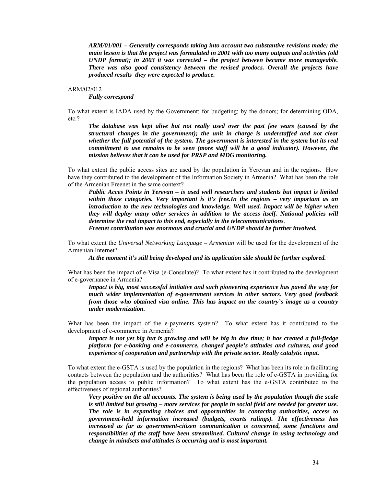*ARM/01/001 – Generally corresponds taking into account two substantive revisions made; the main lesson is that the project was formulated in 2001 with too many outputs and activities (old UNDP format); in 2003 it was corrected – the project between became more manageable. There was also good consistency between the revised prodocs. Overall the projects have produced results they were expected to produce.* 

#### ARM/02/012

*Fully correspond* 

To what extent is IADA used by the Government; for budgeting; by the donors; for determining ODA, etc.?

*The database was kept alive but not really used over the past few years (caused by the structural changes in the government); the unit in charge is understaffed and not clear whether the full potential of the system. The government is interested in the system but its real commitment to use remains to be seen (more staff will be a good indicator). However, the mission believes that it can be used for PRSP and MDG monitoring.* 

To what extent the public access sites are used by the population in Yerevan and in the regions. How have they contributed to the development of the Information Society in Armenia? What has been the role of the Armenian Freenet in the same context?

*Public Acces Points in Yerevan – is used well researchers and students but impact is limited within these categories. Very important is it's free.In the regions – very important as an introduction to the new technologies and knowledge. Well used. Impact will be higher when they will deploy many other services in addition to the access itself. National policies will determine the real impact to this end, especially in the telecommunications*.

*Freenet contribution was enormous and crucial and UNDP should be further involved.* 

To what extent the *Universal Networking Language – Armenian* will be used for the development of the Armenian Internet?

*At the moment it's still being developed and its application side should be further explored.* 

What has been the impact of e-Visa (e-Consulate)? To what extent has it contributed to the development of e-governance in Armenia?

*Impact is big, most successful initiative and such pioneering experience has paved the way for much wider implementation of e-government services in other sectors. Very good feedback from those who obtained visa online. This has impact on the country's image as a country under modernization.* 

What has been the impact of the e-payments system? To what extent has it contributed to the development of e-commerce in Armenia?

*Impact is not yet big but is growing and will be big in due time; it has created a full-fledge platform for e-banking and e-commerce, changed people's attitudes and cultures, and good experience of cooperation and partnership with the private sector. Really catalytic input.* 

To what extent the e-GSTA is used by the population in the regions? What has been its role in facilitating contacts between the population and the authorities? What has been the role of e-GSTA in providing for the population access to public information? To what extent has the e-GSTA contributed to the effectiveness of regional authorities?

*Very positive on the all accounts. The system is being used by the population though the scale is still limited but growing – more services for people in social field are needed for greater use. The role is in expanding choices and opportunities in contacting authorities, access to government-held information increased (budgets, courts rulings). The effectiveness has increased as far as government-citizen communication is concerned, some functions and responsibilities of the staff have been streamlined. Cultural change in using technology and change in mindsets and attitudes is occurring and is most important.*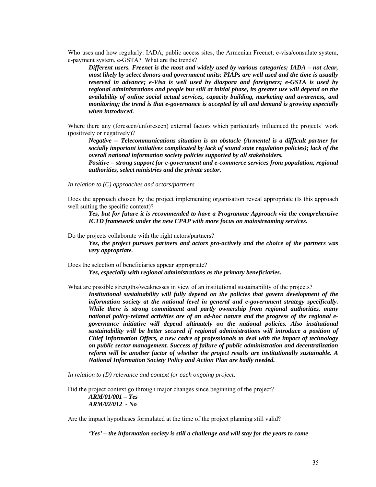Who uses and how regularly: IADA, public access sites, the Armenian Freenet, e-visa/consulate system, e-payment system, e-GSTA? What are the trends?

*Different users. Freenet is the most and widely used by various categories; IADA – not clear, most likely by select donors and government units; PIAPs are well used and the time is usually reserved in advance; e-Visa is well used by diaspora and foreigners; e-GSTA is used by regional administrations and people but still at initial phase, its greater use will depend on the availability of online social actual services, capacity building, marketing and awareness, and monitoring; the trend is that e-governance is accepted by all and demand is growing especially when introduced.* 

Where there any (foreseen/unforeseen) external factors which particularly influenced the projects' work (positively or negatively)?

*Negative -- Telecommunications situation is an obstacle (Armentel is a difficult partner for socially important initiatives complicated by lack of sound state regulation policies); lack of the overall national information society policies supported by all stakeholders.* 

*Positive – strong support for e-government and e-commerce services from population, regional authorities, select ministries and the private sector.* 

*In relation to (C) approaches and actors/partners* 

Does the approach chosen by the project implementing organisation reveal appropriate (Is this approach well suiting the specific context)?

*Yes, but for future it is recommended to have a Programme Approach via the comprehensive ICTD framework under the new CPAP with more focus on mainstreaming services.* 

Do the projects collaborate with the right actors/partners?

*Yes, the project pursues partners and actors pro-actively and the choice of the partners was very appropriate.* 

Does the selection of beneficiaries appear appropriate? *Yes, especially with regional administrations as the primary beneficiaries.* 

What are possible strengths/weaknesses in view of an institutional sustainability of the projects?

*Institutional sustainability will fully depend on the policies that govern development of the information society at the national level in general and e-government strategy specifically. While there is strong commitment and partly ownership from regional authorities, many national policy-related activities are of an ad-hoc nature and the progress of the regional egovernance initiative will depend ultimately on the national policies. Also institutional sustainability will be better secured if regional administrations will introduce a position of Chief Information Offers, a new cadre of professionals to deal with the impact of technology on public sector management. Success of failure of public administration and decentralization reform will be another factor of whether the project results are institutionally sustainable. A National Information Society Policy and Action Plan are badly needed.* 

*In relation to (D) relevance and context for each ongoing project:* 

Did the project context go through major changes since beginning of the project? *ARM/01/001 – Yes ARM/02/012 - No* 

Are the impact hypotheses formulated at the time of the project planning still valid?

*'Yes' – the information society is still a challenge and will stay for the years to come*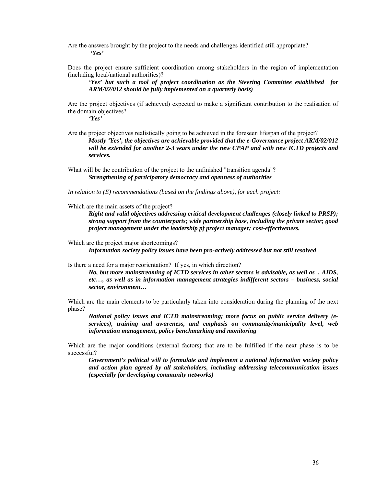Are the answers brought by the project to the needs and challenges identified still appropriate? *'Yes'* 

Does the project ensure sufficient coordination among stakeholders in the region of implementation (including local/national authorities)?

*'Yes' but such a tool of project coordination as the Steering Committee established for ARM/02/012 should be fully implemented on a quarterly basis)* 

Are the project objectives (if achieved) expected to make a significant contribution to the realisation of the domain objectives?

*'Yes'* 

Are the project objectives realistically going to be achieved in the foreseen lifespan of the project? *Mostly 'Yes', the objectives are achievable provided that the e-Governance project ARM/02/012 will be extended for another 2-3 years under the new CPAP and with new ICTD projects and services.* 

What will be the contribution of the project to the unfinished "transition agenda"? *Strengthening of participatory democracy and openness of authorities* 

*In relation to (E) recommendations (based on the findings above), for each project:* 

Which are the main assets of the project?

*Right and valid objectives addressing critical development challenges (closely linked to PRSP); strong support from the counterparts; wide partnership base, including the private sector; good project management under the leadership pf project manager; cost-effectiveness.* 

Which are the project major shortcomings? *Information society policy issues have been pro-actively addressed but not still resolved* 

Is there a need for a major reorientation? If yes, in which direction?

*No, but more mainstreaming of ICTD services in other sectors is advisable, as well as , AIDS, etc…, as well as in information management strategies indifferent sectors – business, social sector, environment…* 

Which are the main elements to be particularly taken into consideration during the planning of the next phase?

*National policy issues and ICTD mainstreaming; more focus on public service delivery (eservices), training and awareness, and emphasis on community/municipality level, web information management, policy benchmarking and monitoring*

Which are the major conditions (external factors) that are to be fulfilled if the next phase is to be successful?

*Government's political will to formulate and implement a national information society policy and action plan agreed by all stakeholders, including addressing telecommunication issues (especially for developing community networks)*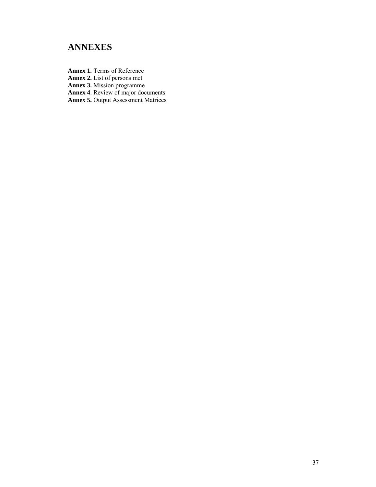# **ANNEXES**

**Annex 1.** Terms of Reference

**Annex 2.** List of persons met

**Annex 3.** Mission programme

**Annex 4**. Review of major documents

**Annex 5.** Output Assessment Matrices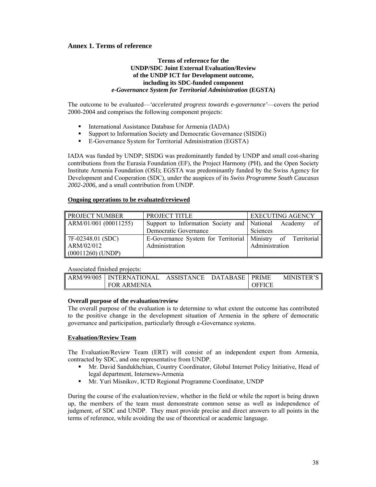# **Annex 1. Terms of reference**

### **Terms of reference for the UNDP/SDC Joint External Evaluation/Review of the UNDP ICT for Development outcome, including its SDC-funded component**  *e-Governance System for Territorial Administration* **(EGSTA)**

The outcome to be evaluated—*'accelerated progress towards e-governance'*—covers the period 2000-2004 and comprises the following component projects:

- International Assistance Database for Armenia (IADA)
- Support to Information Society and Democratic Governance (SISDG)
- E-Governance System for Territorial Administration (EGSTA)

IADA was funded by UNDP; SISDG was predominantly funded by UNDP and small cost-sharing contributions from the Eurasia Foundation (EF), the Project Harmony (PH), and the Open Society Institute Armenia Foundation (OSI); EGSTA was predominantly funded by the Swiss Agency for Development and Cooperation (SDC), under the auspices of its *Swiss Programme South Caucasus 2002-2006,* and a small contribution from UNDP.

### **Ongoing operations to be evaluated/reviewed**

| <b>PROJECT NUMBER</b>     | PROJECT TITLE                                                 | <b>EXECUTING AGENCY</b> |
|---------------------------|---------------------------------------------------------------|-------------------------|
| ARM/01/001 (00011255)     | Support to Information Society and National Academy           | of I                    |
|                           | Democratic Governance                                         | Sciences                |
| $\vert$ 7F-02348.01 (SDC) | E-Governance System for Territorial   Ministry of Territorial |                         |
| ARM/02/012                | Administration                                                | Administration          |
| $(00011260)$ (UNDP)       |                                                               |                         |

### Associated finished projects:

| ARM/99/005 | <b>INTERNATIONAL</b> | ASSISTANCE | <b>DATABASE PRIME</b> |               | <b>MINISTER'S</b> |
|------------|----------------------|------------|-----------------------|---------------|-------------------|
|            | <b>FOR ARMENIA</b>   |            |                       | <b>OFFICE</b> |                   |

### **Overall purpose of the evaluation/review**

The overall purpose of the evaluation is to determine to what extent the outcome has contributed to the positive change in the development situation of Armenia in the sphere of democratic governance and participation, particularly through e-Governance systems.

### **Evaluation/Review Team**

The Evaluation/Review Team (ERT) will consist of an independent expert from Armenia, contracted by SDC, and one representative from UNDP.

- Mr. David Sandukhchian, Country Coordinator, Global Internet Policy Initiative, Head of legal department, Internews-Armenia
- Mr. Yuri Misnikov, ICTD Regional Programme Coordinator, UNDP

During the course of the evaluation/review, whether in the field or while the report is being drawn up, the members of the team must demonstrate common sense as well as independence of judgment, of SDC and UNDP. They must provide precise and direct answers to all points in the terms of reference, while avoiding the use of theoretical or academic language.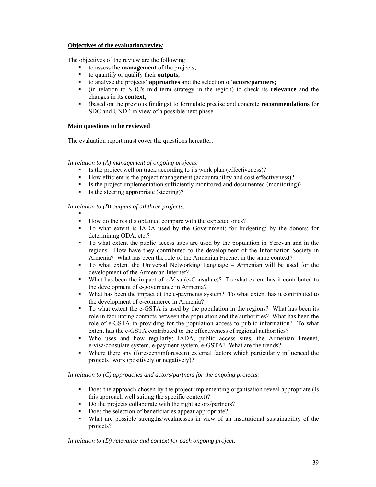### **Objectives of the evaluation/review**

The objectives of the review are the following:

- to assess the **management** of the projects;
- to quantify or qualify their **outputs**;
- to analyse the projects' **approaches** and the selection of **actors/partners;**
- (in relation to SDC's mid term strategy in the region) to check its **relevance** and the changes in its **context**;
- (based on the previous findings) to formulate precise and concrete **recommendations** for SDC and UNDP in view of a possible next phase.

### **Main questions to be reviewed**

The evaluation report must cover the questions hereafter:

*In relation to (A) management of ongoing projects:* 

- Is the project well on track according to its work plan (effectiveness)?
- How efficient is the project management (accountability and cost effectiveness)?
- Is the project implementation sufficiently monitored and documented (monitoring)?
- Is the steering appropriate (steering)?

*In relation to (B) outputs of all three projects:* 

- . How do the results obtained compare with the expected ones?
- To what extent is IADA used by the Government; for budgeting; by the donors; for determining ODA, etc.?
- To what extent the public access sites are used by the population in Yerevan and in the regions. How have they contributed to the development of the Information Society in Armenia? What has been the role of the Armenian Freenet in the same context?
- To what extent the Universal Networking Language Armenian will be used for the development of the Armenian Internet?
- What has been the impact of e-Visa (e-Consulate)? To what extent has it contributed to the development of e-governance in Armenia?
- What has been the impact of the e-payments system? To what extent has it contributed to the development of e-commerce in Armenia?
- To what extent the e-GSTA is used by the population in the regions? What has been its role in facilitating contacts between the population and the authorities? What has been the role of e-GSTA in providing for the population access to public information? To what extent has the e-GSTA contributed to the effectiveness of regional authorities?
- Who uses and how regularly: IADA, public access sites, the Armenian Freenet, e-visa/consulate system, e-payment system, e-GSTA? What are the trends?
- Where there any (foreseen/unforeseen) external factors which particularly influenced the projects' work (positively or negatively)?

*In relation to (C) approaches and actors/partners for the ongoing projects:* 

- Does the approach chosen by the project implementing organisation reveal appropriate (Is this approach well suiting the specific context)?
- Do the projects collaborate with the right actors/partners?
- Does the selection of beneficiaries appear appropriate?
- What are possible strengths/weaknesses in view of an institutional sustainability of the projects?

*In relation to (D) relevance and context for each ongoing project:*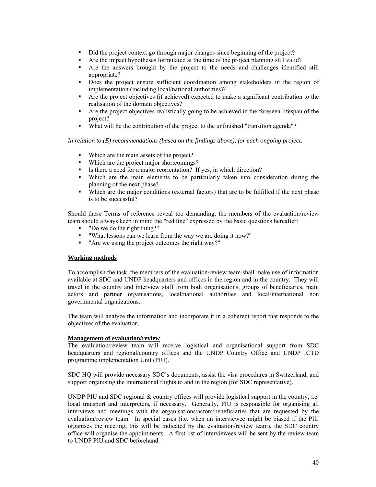- Did the project context go through major changes since beginning of the project?
- Are the impact hypotheses formulated at the time of the project planning still valid?
- Are the answers brought by the project to the needs and challenges identified still appropriate?
- Does the project ensure sufficient coordination among stakeholders in the region of implementation (including local/national authorities)?
- Are the project objectives (if achieved) expected to make a significant contribution to the realisation of the domain objectives?
- Are the project objectives realistically going to be achieved in the foreseen lifespan of the project?
- What will be the contribution of the project to the unfinished "transition agenda"?

*In relation to (E) recommendations (based on the findings above), for each ongoing project:* 

- Which are the main assets of the project?
- Which are the project major shortcomings?<br>
Is there a need for a maior reorientation? If
- Is there a need for a major reorientation? If yes, in which direction?
- Which are the main elements to be particularly taken into consideration during the planning of the next phase?
- Which are the major conditions (external factors) that are to be fulfilled if the next phase is to be successful?

Should these Terms of reference reveal too demanding, the members of the evaluation/review team should always keep in mind the "red line" expressed by the basic questions hereafter:

- "Do we do the right thing?"
- "What lessons can we learn from the way we are doing it now?"
- "Are we using the project outcomes the right way?"

### **Working methods**

To accomplish the task, the members of the evaluation/review team shall make use of information available at SDC and UNDP headquarters and offices in the region and in the country. They will travel in the country and interview staff from both organisations, groups of beneficiaries, main actors and partner organisations, local/national authorities and local/international non governmental organizations.

The team will analyze the information and incorporate it in a coherent report that responds to the objectives of the evaluation.

### **Management of evaluation/review**

The evaluation/review team will receive logistical and organisational support from SDC headquarters and regional/country offices and the UNDP Country Office and UNDP ICTD programme implementation Unit (PIU).

SDC HQ will provide necessary SDC's documents, assist the visa procedures in Switzerland, and support organising the international flights to and in the region (for SDC representative).

UNDP PIU and SDC regional & country offices will provide logistical support in the country, i.e. local transport and interpreters, if necessary. Generally, PIU is responsible for organising all interviews and meetings with the organisations/actors/beneficiaries that are requested by the evaluation/review team. In special cases (i.e. when an interviewee might be biased if the PIU organises the meeting, this will be indicated by the evaluation/review team), the SDC country office will organise the appointments. A first list of interviewees will be sent by the review team to UNDP PIU and SDC beforehand.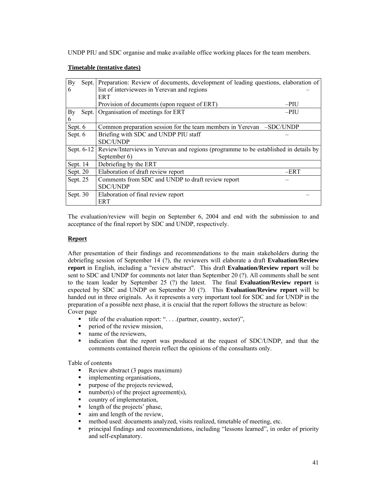UNDP PIU and SDC organise and make available office working places for the team members.

### **Timetable (tentative dates)**

| By       |            | Sept. Preparation: Review of documents, development of leading questions, elaboration of |      |
|----------|------------|------------------------------------------------------------------------------------------|------|
| 6        |            | list of interviewees in Yerevan and regions                                              |      |
|          |            | <b>ERT</b>                                                                               |      |
|          |            | Provision of documents (upon request of ERT)<br>$-PIU$                                   |      |
| By       | Sept.      | Organisation of meetings for ERT<br>$-PIU$                                               |      |
| 6        |            |                                                                                          |      |
| Sept. 6  |            | Common preparation session for the team members in Yerevan -SDC/UNDP                     |      |
| Sept. 6  |            | Briefing with SDC and UNDP PIU staff                                                     |      |
|          |            | <b>SDC/UNDP</b>                                                                          |      |
|          | Sept. 6-12 | Review/Interviews in Yerevan and regions (programme to be established in details by      |      |
|          |            | September 6)                                                                             |      |
| Sept. 14 |            | Debriefing by the ERT                                                                    |      |
| Sept. 20 |            | Elaboration of draft review report                                                       | –ERT |
| Sept. 25 |            | Comments from SDC and UNDP to draft review report                                        |      |
|          |            | <b>SDC/UNDP</b>                                                                          |      |
| Sept. 30 |            | Elaboration of final review report                                                       |      |
|          |            | <b>ERT</b>                                                                               |      |

The evaluation/review will begin on September 6, 2004 and end with the submission to and acceptance of the final report by SDC and UNDP, respectively.

### **Report**

After presentation of their findings and recommendations to the main stakeholders during the debriefing session of September 14 (?), the reviewers will elaborate a draft **Evaluation/Review report** in English, including a "review abstract". This draft **Evaluation/Review report** will be sent to SDC and UNDP for comments not later than September 20 (?). All comments shall be sent to the team leader by September 25 (?) the latest. The final **Evaluation/Review report** is expected by SDC and UNDP on September 30 (?). This **Evaluation/Review report** will be handed out in three originals. As it represents a very important tool for SDC and for UNDP in the preparation of a possible next phase, it is crucial that the report follows the structure as below: Cover page

- ittle of the evaluation report: " $\dots$  (partner, country, sector)", neriod of the review mission
- period of the review mission,
- name of the reviewers,
- indication that the report was produced at the request of SDC/UNDP, and that the comments contained therein reflect the opinions of the consultants only.

Table of contents

- Review abstract  $(3 \text{ pages maximum})$ <br>implementing organisations.
- implementing organisations,
- **Purpose of the projects reviewed.**
- number(s) of the project agreement(s),
- country of implementation,
- length of the projects' phase,
- aim and length of the review,
- method used: documents analyzed, visits realized, timetable of meeting, etc.
- principal findings and recommendations, including "lessons learned", in order of priority and self-explanatory.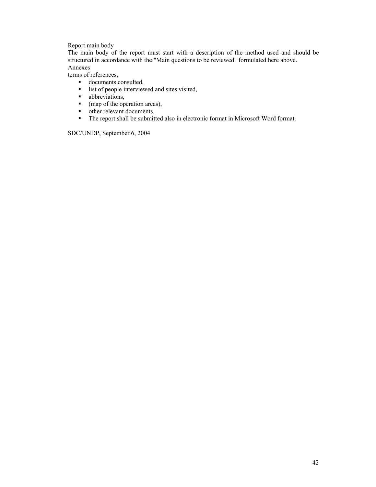Report main body

The main body of the report must start with a description of the method used and should be structured in accordance with the "Main questions to be reviewed" formulated here above. Annexes

terms of references,

- documents consulted,
- $\blacksquare$  list of people interviewed and sites visited,
- **abbreviations**,
- (map of the operation areas),
- other relevant documents.
- The report shall be submitted also in electronic format in Microsoft Word format.

SDC/UNDP, September 6, 2004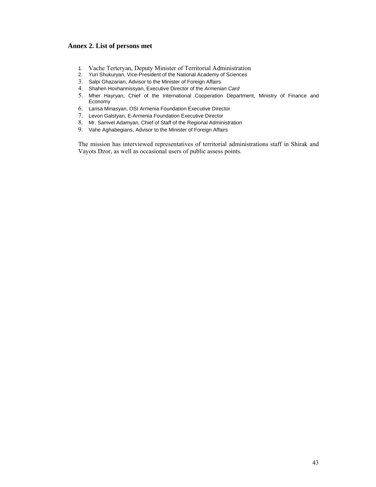# **Annex 2. List of persons met**

- 1. Vache Terteryan, Deputy Minister of Territorial Administration
- 2. Yuri Shukuryan, Vice-President of the National Academy of Sciences
- 3. Salpi Ghazarian, Advisor to the Minister of Foreign Affairs
- 4. Shahen Hovhannissyan, Executive Director of the *Armenian Card*
- 5. Mher Hayryan, Chief of the International Cooperation Department, Ministry of Finance and Economy
- 6. Larisa Minasyan, OSI Armenia Foundation Executive Director
- 7. Levon Galstyan, E-Armenia Foundation Executive Director
- 8. Mr. Samvel Adamyan, Chief of Staff of the Regional Administration
- 9. Vahe Aghabegians, Advisor to the Minister of Foreign Affairs

The mission has interviewed representatives of territorial administrations staff in Shirak and Vayots Dzor, as well as occasional users of public assess points.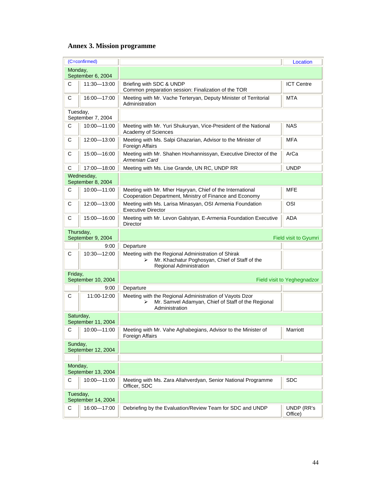# **Annex 3. Mission programme**

|           | (C=confirmed)                   |                                                                                                                                      | Location                    |
|-----------|---------------------------------|--------------------------------------------------------------------------------------------------------------------------------------|-----------------------------|
| Monday,   | September 6, 2004               |                                                                                                                                      |                             |
| C         | 11:30-13:00                     | Briefing with SDC & UNDP<br>Common preparation session: Finalization of the TOR                                                      | <b>ICT Centre</b>           |
| C         | 16:00-17:00                     | Meeting with Mr. Vache Terteryan, Deputy Minister of Territorial<br>Administration                                                   | MTA                         |
| Tuesday,  | September 7, 2004               |                                                                                                                                      |                             |
| C         | 10:00-11:00                     | Meeting with Mr. Yuri Shukuryan, Vice-President of the National<br>Academy of Sciences                                               | <b>NAS</b>                  |
| C         | 12:00-13:00                     | Meeting with Ms. Salpi Ghazarian, Advisor to the Minister of<br>Foreign Affairs                                                      | <b>MFA</b>                  |
| C         | 15:00-16:00                     | Meeting with Mr. Shahen Hovhannissyan, Executive Director of the<br>Armenian Card                                                    | ArCa                        |
| C         | 17:00-18:00                     | Meeting with Ms. Lise Grande, UN RC, UNDP RR                                                                                         | <b>UNDP</b>                 |
|           | Wednesday,<br>September 8, 2004 |                                                                                                                                      |                             |
| C         | 10:00-11:00                     | Meeting with Mr. Mher Hayryan, Chief of the International<br>Cooperation Department, Ministry of Finance and Economy                 | <b>MFE</b>                  |
| C         | 12:00-13:00                     | Meeting with Ms. Larisa Minasyan, OSI Armenia Foundation<br><b>Executive Director</b>                                                | OSI                         |
| C         | 15:00-16:00                     | Meeting with Mr. Levon Galstyan, E-Armenia Foundation Executive<br><b>Director</b>                                                   | <b>ADA</b>                  |
| Thursday, | September 9, 2004               |                                                                                                                                      | Field visit to Gyumri       |
|           | 9:00                            | Departure                                                                                                                            |                             |
| C         | 10:30-12:00                     | Meeting with the Regional Administration of Shirak<br>Mr. Khachatur Poghosyan, Chief of Staff of the<br>⋗<br>Regional Administration |                             |
| Friday,   | September 10, 2004              |                                                                                                                                      | Field visit to Yeghegnadzor |
|           | 9:00                            | Departure                                                                                                                            |                             |
| C         | 11:00-12:00                     | Meeting with the Regional Administration of Vayots Dzor<br>Mr. Samvel Adamyan, Chief of Staff of the Regional<br>⋗<br>Administration |                             |
| Saturday, | September 11, 2004              |                                                                                                                                      |                             |
| С         | 10:00-11:00                     | Meeting with Mr. Vahe Aghabegians, Advisor to the Minister of<br>Foreign Affairs                                                     | Marriott                    |
| Sunday,   | September 12, 2004              |                                                                                                                                      |                             |
|           |                                 |                                                                                                                                      |                             |
| Monday,   | September 13, 2004              |                                                                                                                                      |                             |
| С         | 10:00-11:00                     | Meeting with Ms. Zara Allahverdyan, Senior National Programme<br>Officer. SDC                                                        | <b>SDC</b>                  |
| Tuesday,  | September 14, 2004              |                                                                                                                                      |                             |
| C         | 16:00-17:00                     | Debriefing by the Evaluation/Review Team for SDC and UNDP                                                                            | UNDP (RR's<br>Office)       |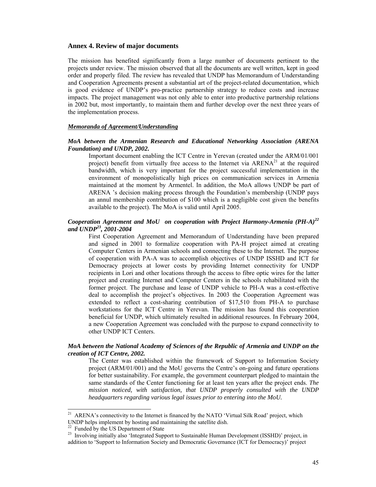#### **Annex 4. Review of major documents**

The mission has benefited significantly from a large number of documents pertinent to the projects under review. The mission observed that all the documents are well written, kept in good order and properly filed. The review has revealed that UNDP has Memorandum of Understanding and Cooperation Agreements present a substantial art of the project-related documentation, which is good evidence of UNDP's pro-practice partnership strategy to reduce costs and increase impacts. The project management was not only able to enter into productive partnership relations in 2002 but, most importantly, to maintain them and further develop over the next three years of the implementation process.

#### *Memoranda of Agreement/Understanding*

### *MoA between the Armenian Research and Educational Networking Association (ARENA Foundation) and UNDP, 2002***.**

Important document enabling the ICT Centre in Yerevan (created under the ARM/01/001 project) benefit from virtually free access to the Internet via  $ARENA^{21}$  at the required bandwidth, which is very important for the project successful implementation in the environment of monopolistically high prices on communication services in Armenia maintained at the moment by Armentel. In addition, the MoA allows UNDP be part of ARENA 's decision making process through the Foundation's membership (UNDP pays an annul membership contribution of \$100 which is a negligible cost given the benefits available to the project). The MoA is valid until April 2005.

### *Cooperation Agreement and MoU on cooperation with Project Harmony-Armenia (PH-A)<sup>22</sup> and UNDP23, 2001-2004*

First Cooperation Agreement and Memorandum of Understanding have been prepared and signed in 2001 to formalize cooperation with PA-H project aimed at creating Computer Centers in Armenian schools and connecting these to the Internet. The purpose of cooperation with PA-A was to accomplish objectives of UNDP ISSHD and ICT for Democracy projects at lower costs by providing Internet connectivity for UNDP recipients in Lori and other locations through the access to fibre optic wires for the latter project and creating Internet and Computer Centers in the schools rehabilitated with the former project. The purchase and lease of UNDP vehicle to PH-A was a cost-effective deal to accomplish the project's objectives. In 2003 the Cooperation Agreement was extended to reflect a cost-sharing contribution of \$17,510 from PH-A to purchase workstations for the ICT Centre in Yerevan. The mission has found this cooperation beneficial for UNDP, which ultimately resulted in additional resources. In February 2004, a new Cooperation Agreement was concluded with the purpose to expand connectivity to other UNDP ICT Centers.

### *MoA between the National Academy of Sciences of the Republic of Armenia and UNDP on the creation of ICT Centre, 2002.*

The Center was established within the framework of Support to Information Society project (ARM/01/001) and the MoU governs the Centre's on-going and future operations for better sustainability. For example, the government counterpart pledged to maintain the same standards of the Center functioning for at least ten years after the project ends. *The mission noticed, with satisfaction, that UNDP properly consulted with the UNDP headquarters regarding various legal issues prior to entering into the MoU.* 

l

<sup>&</sup>lt;sup>21</sup> ARENA's connectivity to the Internet is financed by the NATO 'Virtual Silk Road' project, which UNDP helps implement by hosting and maintaining the satellite dish.

Funded by the US Department of State

<sup>&</sup>lt;sup>23</sup> Involving initially also 'Integrated Support to Sustainable Human Development (ISSHD)' project, in addition to 'Support to Information Society and Democratic Governance (ICT for Democracy)' project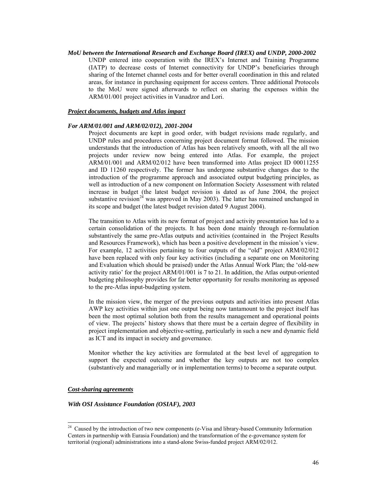#### *MoU between the International Research and Exchange Board (IREX) and UNDP, 2000-2002*

UNDP entered into cooperation with the IREX's Internet and Training Programme (IATP) to decrease costs of Internet connectivity for UNDP's beneficiaries through sharing of the Internet channel costs and for better overall coordination in this and related areas, for instance in purchasing equipment for access centers. Three additional Protocols to the MoU were signed afterwards to reflect on sharing the expenses within the ARM/01/001 project activities in Vanadzor and Lori.

### *Project documents, budgets and Atlas impact*

### *For ARM/01/001 and ARM/02/012), 2001-2004*

Project documents are kept in good order, with budget revisions made regularly, and UNDP rules and procedures concerning project document format followed. The mission understands that the introduction of Atlas has been relatively smooth, with all the all two projects under review now being entered into Atlas. For example, the project ARM/01/001 and ARM/02/012 have been transformed into Atlas project ID 00011255 and ID 11260 respectively. The former has undergone substantive changes due to the introduction of the programme approach and associated output budgeting principles, as well as introduction of a new component on Information Society Assessment with related increase in budget (the latest budget revision is dated as of June 2004, the project substantive revision<sup>24</sup> was approved in May 2003). The latter has remained unchanged in its scope and budget (the latest budget revision dated 9 August 2004).

The transition to Atlas with its new format of project and activity presentation has led to a certain consolidation of the projects. It has been done mainly through re-formulation substantively the same pre-Atlas outputs and activities (contained in the Project Results and Resources Framework), which has been a positive development in the mission's view. For example, 12 activities pertaining to four outputs of the "old" project ARM/02/012 have been replaced with only four key activities (including a separate one on Monitoring and Evaluation which should be praised) under the Atlas Annual Work Plan; the 'old-new activity ratio' for the project ARM/01/001 is 7 to 21. In addition, the Atlas output-oriented budgeting philosophy provides for far better opportunity for results monitoring as apposed to the pre-Atlas input-budgeting system.

In the mission view, the merger of the previous outputs and activities into present Atlas AWP key activities within just one output being now tantamount to the project itself has been the most optimal solution both from the results management and operational points of view. The projects' history shows that there must be a certain degree of flexibility in project implementation and objective-setting, particularly in such a new and dynamic field as ICT and its impact in society and governance.

Monitor whether the key activities are formulated at the best level of aggregation to support the expected outcome and whether the key outputs are not too complex (substantively and managerially or in implementation terms) to become a separate output.

#### *Cost-sharing agreements*

l

#### *With OSI Assistance Foundation (OSIAF), 2003*

<sup>&</sup>lt;sup>24</sup> Caused by the introduction of two new components (e-Visa and library-based Community Information Centers in partnership with Eurasia Foundation) and the transformation of the e-governance system for territorial (regional) administrations into a stand-alone Swiss-funded project ARM/02/012.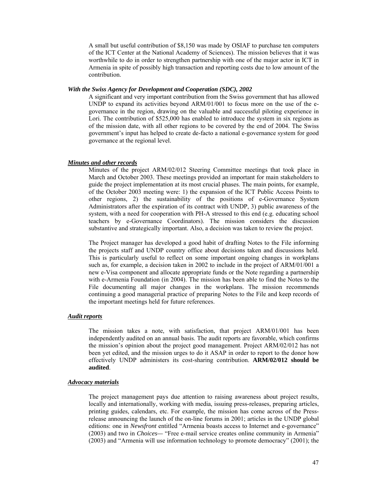A small but useful contribution of \$8,150 was made by OSIAF to purchase ten computers of the ICT Center at the National Academy of Sciences). The mission believes that it was worthwhile to do in order to strengthen partnership with one of the major actor in ICT in Armenia in spite of possibly high transaction and reporting costs due to low amount of the contribution.

#### *With the Swiss Agency for Development and Cooperation (SDC), 2002*

A significant and very important contribution from the Swiss government that has allowed UNDP to expand its activities beyond ARM/01/001 to focus more on the use of the egovernance in the region, drawing on the valuable and successful piloting experience in Lori. The contribution of \$525,000 has enabled to introduce the system in six regions as of the mission date, with all other regions to be covered by the end of 2004. The Swiss government's input has helped to create de-facto a national e-governance system for good governance at the regional level.

### *Minutes and other records*

Minutes of the project ARM/02/012 Steering Committee meetings that took place in March and October 2003. These meetings provided an important for main stakeholders to guide the project implementation at its most crucial phases. The main points, for example, of the October 2003 meeting were: 1) the expansion of the ICT Public Access Points to other regions, 2) the sustainability of the positions of e-Governance System Administrators after the expiration of its contract with UNDP, 3) public awareness of the system, with a need for cooperation with PH-A stressed to this end (e.g. educating school teachers by e-Governance Coordinators). The mission considers the discussion substantive and strategically important. Also, a decision was taken to review the project.

The Project manager has developed a good habit of drafting Notes to the File informing the projects staff and UNDP country office about decisions taken and discussions held. This is particularly useful to reflect on some important ongoing changes in workplans such as, for example, a decision taken in 2002 to include in the project of ARM/01/001 a new e-Visa component and allocate appropriate funds or the Note regarding a partnership with e-Armenia Foundation (in 2004). The mission has been able to find the Notes to the File documenting all major changes in the workplans. The mission recommends continuing a good managerial practice of preparing Notes to the File and keep records of the important meetings held for future references.

#### *Audit reports*

The mission takes a note, with satisfaction, that project ARM/01/001 has been independently audited on an annual basis. The audit reports are favorable, which confirms the mission's opinion about the project good management. Project ARM/02/012 has not been yet edited, and the mission urges to do it ASAP in order to report to the donor how effectively UNDP administers its cost-sharing contribution. **ARM/02/012 should be audited**.

### *Advocacy materials*

The project management pays due attention to raising awareness about project results, locally and internationally, working with media, issuing press-releases, preparing articles, printing guides, calendars, etc. For example, the mission has come across of the Pressrelease announcing the launch of the on-line forums in 2001; articles in the UNDP global editions: one in *Newsfront* entitled "Armenia boasts access to Internet and e-governance" (2003) and two in *Choices—* "Free e-mail service creates online community in Armenia" (2003) and "Armenia will use information technology to promote democracy" (2001); the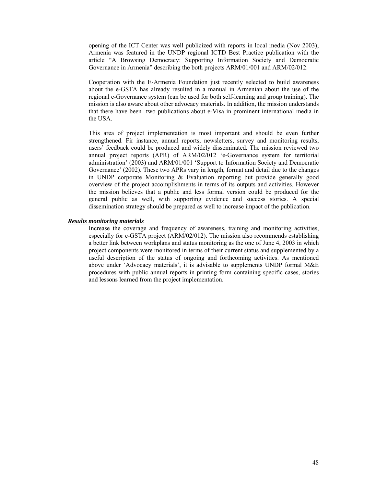opening of the ICT Center was well publicized with reports in local media (Nov 2003); Armenia was featured in the UNDP regional ICTD Best Practice publication with the article "A Browsing Democracy: Supporting Information Society and Democratic Governance in Armenia" describing the both projects ARM/01/001 and ARM/02/012.

Cooperation with the E-Armenia Foundation just recently selected to build awareness about the e-GSTA has already resulted in a manual in Armenian about the use of the regional e-Governance system (can be used for both self-learning and group training). The mission is also aware about other advocacy materials. In addition, the mission understands that there have been two publications about e-Visa in prominent international media in the USA.

This area of project implementation is most important and should be even further strengthened. Fir instance, annual reports, newsletters, survey and monitoring results, users' feedback could be produced and widely disseminated. The mission reviewed two annual project reports (APR) of ARM/02/012 'e-Governance system for territorial administration' (2003) and ARM/01/001 'Support to Information Society and Democratic Governance' (2002). These two APRs vary in length, format and detail due to the changes in UNDP corporate Monitoring & Evaluation reporting but provide generally good overview of the project accomplishments in terms of its outputs and activities. However the mission believes that a public and less formal version could be produced for the general public as well, with supporting evidence and success stories. A special dissemination strategy should be prepared as well to increase impact of the publication.

#### *Results monitoring materials*

Increase the coverage and frequency of awareness, training and monitoring activities, especially for e-GSTA project (ARM/02/012). The mission also recommends establishing a better link between workplans and status monitoring as the one of June 4, 2003 in which project components were monitored in terms of their current status and supplemented by a useful description of the status of ongoing and forthcoming activities. As mentioned above under 'Advocacy materials', it is advisable to supplements UNDP formal M&E procedures with public annual reports in printing form containing specific cases, stories and lessons learned from the project implementation.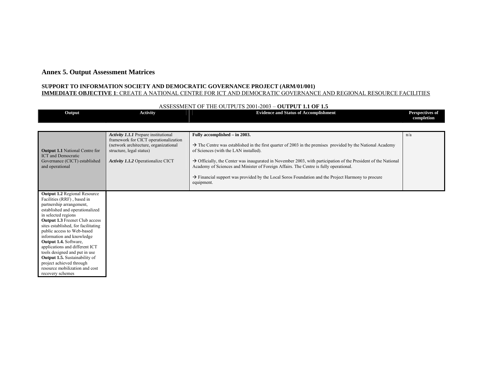## **Annex 5. Output Assessment Matrices**

#### **SUPPORT TO INFORMATION SOCIETY AND DEMOCRATIC GOVERNANCE PROJECT (ARM/01/001) IMMEDIATE OBJECTIVE 1**: CREATE A NATIONAL CENTRE FOR ICT AND DEMOCRATIC GOVERNANCE AND REGIONAL RESOURCE FACILITIES

#### ASSESSMENT OF THE OUTPUTS 2001-2003 – **OUTPUT 1.1 OF 1.5**

| Output                                                                                                                                                                                                                                                                                                                                                                                                                                                                                                                   | <b>Activity</b>                                                                                                                                                                                 | <b>Evidence and Status of Accomplishment</b>                                                                                                                                                                                                                                                                                                                                                                                                                                                                                                           | Perspectives of<br>completion |
|--------------------------------------------------------------------------------------------------------------------------------------------------------------------------------------------------------------------------------------------------------------------------------------------------------------------------------------------------------------------------------------------------------------------------------------------------------------------------------------------------------------------------|-------------------------------------------------------------------------------------------------------------------------------------------------------------------------------------------------|--------------------------------------------------------------------------------------------------------------------------------------------------------------------------------------------------------------------------------------------------------------------------------------------------------------------------------------------------------------------------------------------------------------------------------------------------------------------------------------------------------------------------------------------------------|-------------------------------|
| <b>Output 1.1</b> National Centre for<br><b>ICT</b> and Democratic<br>Governance (CICT) established<br>and operational                                                                                                                                                                                                                                                                                                                                                                                                   | <b>Activity 1.1.1</b> Prepare institutional<br>framework for CICT operationalization<br>(network architecture, organizational<br>structure, legal status)<br>Activity 1.1.2 Operationalize CICT | Fully accomplished – in 2003.<br>$\rightarrow$ The Centre was established in the first quarter of 2003 in the premises provided by the National Academy<br>of Sciences (with the LAN installed).<br>$\rightarrow$ Officially, the Center was inaugurated in November 2003, with participation of the President of the National<br>Academy of Sciences and Minister of Foreign Affairs. The Centre is fully operational.<br>$\rightarrow$ Financial support was provided by the Local Soros Foundation and the Project Harmony to procure<br>equipment. | n/a                           |
| <b>Output 1.2 Regional Resource</b><br>Facilities (RRF), based in<br>partnership arrangement,<br>established and operationalized<br>in selected regions<br><b>Output 1.3</b> Freenet Club access<br>sites established, for facilitating<br>public access to Web-based<br>information and knowledge<br>Output 1.4. Software,<br>applications and different ICT<br>tools designed and put in use<br><b>Output 1.5.</b> Sustainability of<br>project achieved through<br>resource mobilization and cost<br>recovery schemes |                                                                                                                                                                                                 |                                                                                                                                                                                                                                                                                                                                                                                                                                                                                                                                                        |                               |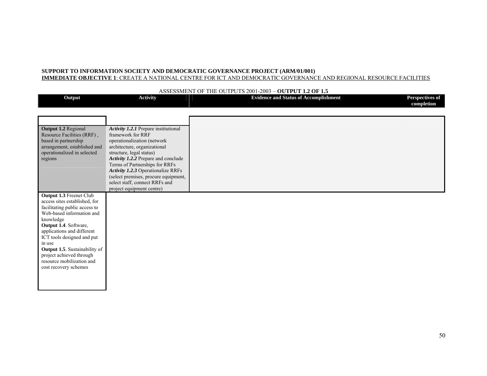#### **IMMEDIATE OBJECTIVE 1**: CREATE A NATIONAL CENTRE FOR ICT AND DEMOCRATIC GOVERNANCE AND REGIONAL RESOURCE FACILITIES

#### **Output Activity Evidence and Status of Accomplishment Perspectives of completion Output 1.2** Regional Resource Facilities (RRF) , based in partnership arrangement, established and operationalized in selected regions *Activity 1.2.1* Prepare institutional framework for RRF operationalization (network architecture, organizational structure, legal status) *Activity 1.2.2* Prepare and conclude Terms of Partnerships for RRFs *Activity 1.2.3* Operationalize RRFs (select premises, procure equipment, select staff, connect RRFs and project equipment centre) **Output 1.3** Freenet Club access sites established, for facilitating public access to Web-based information and knowledge **Output 1.4**. Software, applications and different ICT tools designed and put in use **Output 1.5**. Sustainability of project achieved through resource mobilization and cost recovery schemes

#### ASSESSMENT OF THE OUTPUTS 2001-2003 – **OUTPUT 1.2 OF 1.5**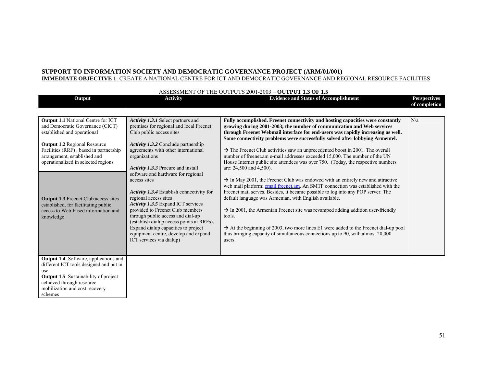#### **IMMEDIATE OBJECTIVE 1**: CREATE A NATIONAL CENTRE FOR ICT AND DEMOCRATIC GOVERNANCE AND REGIONAL RESOURCE FACILITIES

| Output                                                                                                                                                                                                                                                               | <b>Activity</b>                                                                                                                                                                                                                                                                                                                                                                                                                              | <b>Evidence and Status of Accomplishment</b>                                                                                                                                                                                                                                                                                                                                                                                                                                                                                                                                                                                                                       | <b>Perspectives</b><br>of completion |
|----------------------------------------------------------------------------------------------------------------------------------------------------------------------------------------------------------------------------------------------------------------------|----------------------------------------------------------------------------------------------------------------------------------------------------------------------------------------------------------------------------------------------------------------------------------------------------------------------------------------------------------------------------------------------------------------------------------------------|--------------------------------------------------------------------------------------------------------------------------------------------------------------------------------------------------------------------------------------------------------------------------------------------------------------------------------------------------------------------------------------------------------------------------------------------------------------------------------------------------------------------------------------------------------------------------------------------------------------------------------------------------------------------|--------------------------------------|
| <b>Output 1.1</b> National Centre for ICT<br>and Democratic Governance (CICT)<br>established and operational<br><b>Output 1.2 Regional Resource</b><br>Facilities (RRF), based in partnership<br>arrangement, established and<br>operationalized in selected regions | Activity 1.3.1 Select partners and<br>premises for regional and local Freenet<br>Club public access sites<br><b>Activity 1.3.2</b> Conclude partnership<br>agreements with other international<br>organizations                                                                                                                                                                                                                              | Fully accomplished. Freenet connectivity and hosting capacities were constantly<br>growing during 2001-2003; the number of communication and Web services<br>through Freenet Webmail interface for end-users was rapidly increasing as well.<br>Some connectivity problems were successfully solved after lobbying Armentel.<br>$\rightarrow$ The Freenet Club activities saw an unprecedented boost in 2001. The overall<br>number of freenet.am e-mail addresses exceeded 15,000. The number of the UN<br>House Internet public site attendees was over 750. (Today, the respective numbers                                                                      | N/a                                  |
| <b>Output 1.3</b> Freenet Club access sites<br>established, for facilitating public<br>access to Web-based information and<br>knowledge                                                                                                                              | Activity 1.3.3 Procure and install<br>software and hardware for regional<br>access sites<br>Activity 1.3.4 Establish connectivity for<br>regional access sites<br><b>Activity 1.3.5</b> Expand ICT services<br>provided to Freenet Club members<br>through public access and dial-up<br>(establish dialup access points at RRFs).<br>Expand dialup capacities to project<br>equipment centre, develop and expand<br>ICT services via dialup) | are: 24,500 and 4,500).<br>$\rightarrow$ In May 2001, the Freenet Club was endowed with an entirely new and attractive<br>web mail platform: email.freenet.am. An SMTP connection was established with the<br>Freenet mail serves. Besides, it became possible to log into any POP server. The<br>default language was Armenian, with English available.<br>$\rightarrow$ In 2001, the Armenian Freenet site was revamped adding addition user-friendly<br>tools.<br>$\rightarrow$ At the beginning of 2003, two more lines E1 were added to the Freenet dial-up pool<br>thus bringing capacity of simultaneous connections up to 90, with almost 20,000<br>users. |                                      |
| Output 1.4. Software, applications and<br>different ICT tools designed and put in<br>use<br><b>Output 1.5.</b> Sustainability of project<br>achieved through resource<br>mobilization and cost recovery<br>schemes                                                   |                                                                                                                                                                                                                                                                                                                                                                                                                                              |                                                                                                                                                                                                                                                                                                                                                                                                                                                                                                                                                                                                                                                                    |                                      |

### ASSESSMENT OF THE OUTPUTS 2001-2003 – **OUTPUT 1.3 OF 1.5**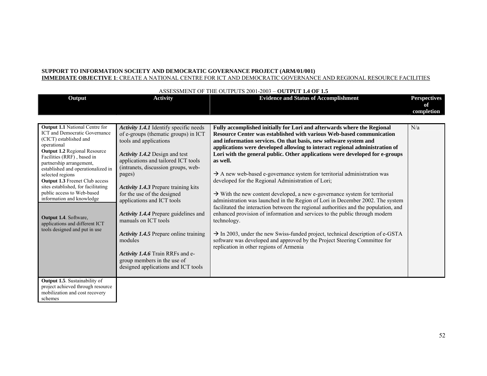#### **SUPPORT TO INFORMATION SOCIETY AND DEMOCRATIC GOVERNANCE PROJECT (ARM/01/001) IMMEDIATE OBJECTIVE 1**: CREATE A NATIONAL CENTRE FOR ICT AND DEMOCRATIC GOVERNANCE AND REGIONAL RESOURCE FACILITIES

|                                                                               | <b>Activity</b>                                               | ASSESSMENT OF THE OUTFUTS 2001-2003 - OUTFUT 1.4 OF 1.3<br><b>Evidence and Status of Accomplishment</b> | <b>Perspectives</b> |
|-------------------------------------------------------------------------------|---------------------------------------------------------------|---------------------------------------------------------------------------------------------------------|---------------------|
| Output                                                                        |                                                               |                                                                                                         | of                  |
|                                                                               |                                                               |                                                                                                         | completion          |
|                                                                               |                                                               |                                                                                                         |                     |
|                                                                               |                                                               |                                                                                                         |                     |
| <b>Output 1.1</b> National Centre for<br><b>ICT</b> and Democratic Governance | Activity 1.4.1 Identify specific needs                        | Fully accomplished initially for Lori and afterwards where the Regional                                 | N/a                 |
| (CICT) established and                                                        | of e-groups (thematic groups) in ICT                          | Resource Center was established with various Web-based communication                                    |                     |
| operational                                                                   | tools and applications                                        | and information services. On that basis, new software system and                                        |                     |
| <b>Output 1.2 Regional Resource</b>                                           |                                                               | applications were developed allowing to interact regional administration of                             |                     |
| Facilities (RRF), based in                                                    | Activity 1.4.2 Design and test                                | Lori with the general public. Other applications were developed for e-groups                            |                     |
| partnership arrangement,                                                      | applications and tailored ICT tools                           | as well.                                                                                                |                     |
| established and operationalized in                                            | (intranets, discussion groups, web-                           |                                                                                                         |                     |
| selected regions                                                              | pages)                                                        | $\rightarrow$ A new web-based e-governance system for territorial administration was                    |                     |
| <b>Output 1.3 Freenet Club access</b>                                         |                                                               | developed for the Regional Administration of Lori;                                                      |                     |
| sites established, for facilitating<br>public access to Web-based             | <b>Activity 1.4.3 Prepare training kits</b>                   |                                                                                                         |                     |
| information and knowledge                                                     | for the use of the designed                                   | $\rightarrow$ With the new content developed, a new e-governance system for territorial                 |                     |
|                                                                               | applications and ICT tools                                    | administration was launched in the Region of Lori in December 2002. The system                          |                     |
|                                                                               |                                                               | facilitated the interaction between the regional authorities and the population, and                    |                     |
| <b>Output 1.4.</b> Software,                                                  | Activity 1.4.4 Prepare guidelines and<br>manuals on ICT tools | enhanced provision of information and services to the public through modern                             |                     |
| applications and different ICT                                                |                                                               | technology.                                                                                             |                     |
| tools designed and put in use                                                 | <b>Activity 1.4.5</b> Prepare online training                 | $\rightarrow$ In 2003, under the new Swiss-funded project, technical description of e-GSTA              |                     |
|                                                                               | modules                                                       | software was developed and approved by the Project Steering Committee for                               |                     |
|                                                                               |                                                               | replication in other regions of Armenia                                                                 |                     |
|                                                                               | Activity 1.4.6 Train RRFs and e-                              |                                                                                                         |                     |
|                                                                               | group members in the use of                                   |                                                                                                         |                     |
|                                                                               | designed applications and ICT tools                           |                                                                                                         |                     |
|                                                                               |                                                               |                                                                                                         |                     |
| <b>Output 1.5.</b> Sustainability of                                          |                                                               |                                                                                                         |                     |
| project achieved through resource                                             |                                                               |                                                                                                         |                     |
| mobilization and cost recovery                                                |                                                               |                                                                                                         |                     |
| schemes                                                                       |                                                               |                                                                                                         |                     |

### ASSESSMENT OF THE OUTPUTS 2001-2003 – **OUTPUT 1.4 OF 1.5**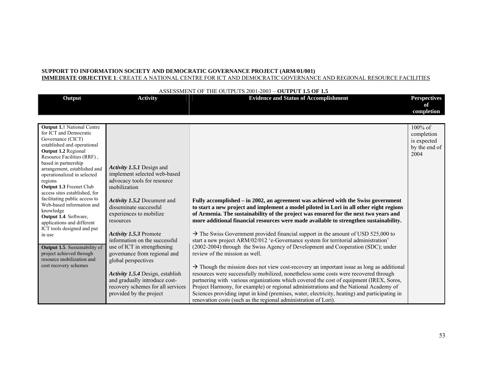#### **IMMEDIATE OBJECTIVE 1**: CREATE A NATIONAL CENTRE FOR ICT AND DEMOCRATIC GOVERNANCE AND REGIONAL RESOURCE FACILITIES

| Output                                                                                                                                                                                                                                                                                                                                                                                                                                                                                                                                                                                                                                 | <b>Activity</b>                                                                                                                                                                                                                                                                                                                                                                                                                                                                                 | <b>Evidence and Status of Accomplishment</b>                                                                                                                                                                                                                                                                                                                                                                                                                                                                                                                                                                                                                                                                                                                                                                                                                                                                                                                                                                                                                                                                                                                                                                                         | <b>Perspectives</b>                                              |
|----------------------------------------------------------------------------------------------------------------------------------------------------------------------------------------------------------------------------------------------------------------------------------------------------------------------------------------------------------------------------------------------------------------------------------------------------------------------------------------------------------------------------------------------------------------------------------------------------------------------------------------|-------------------------------------------------------------------------------------------------------------------------------------------------------------------------------------------------------------------------------------------------------------------------------------------------------------------------------------------------------------------------------------------------------------------------------------------------------------------------------------------------|--------------------------------------------------------------------------------------------------------------------------------------------------------------------------------------------------------------------------------------------------------------------------------------------------------------------------------------------------------------------------------------------------------------------------------------------------------------------------------------------------------------------------------------------------------------------------------------------------------------------------------------------------------------------------------------------------------------------------------------------------------------------------------------------------------------------------------------------------------------------------------------------------------------------------------------------------------------------------------------------------------------------------------------------------------------------------------------------------------------------------------------------------------------------------------------------------------------------------------------|------------------------------------------------------------------|
|                                                                                                                                                                                                                                                                                                                                                                                                                                                                                                                                                                                                                                        |                                                                                                                                                                                                                                                                                                                                                                                                                                                                                                 |                                                                                                                                                                                                                                                                                                                                                                                                                                                                                                                                                                                                                                                                                                                                                                                                                                                                                                                                                                                                                                                                                                                                                                                                                                      | of<br>completion                                                 |
|                                                                                                                                                                                                                                                                                                                                                                                                                                                                                                                                                                                                                                        |                                                                                                                                                                                                                                                                                                                                                                                                                                                                                                 |                                                                                                                                                                                                                                                                                                                                                                                                                                                                                                                                                                                                                                                                                                                                                                                                                                                                                                                                                                                                                                                                                                                                                                                                                                      |                                                                  |
| <b>Output 1.1 National Centre</b><br>for ICT and Democratic<br>Governance (CICT)<br>established and operational<br>Output 1.2 Regional<br>Resource Facilities (RRF),<br>based in partnership<br>arrangement, established and<br>operationalized in selected<br>regions<br><b>Output 1.3 Freenet Club</b><br>access sites established, for<br>facilitating public access to<br>Web-based information and<br>knowledge<br>Output 1.4. Software,<br>applications and different<br>ICT tools designed and put<br>in use<br>Output 1.5. Sustainability of<br>project achieved through<br>resource mobilization and<br>cost recovery schemes | Activity 1.5.1 Design and<br>implement selected web-based<br>advocacy tools for resource<br>mobilization<br>Activity 1.5.2 Document and<br>disseminate successful<br>experiences to mobilize<br>resources<br>Activity 1.5.3 Promote<br>information on the successful<br>use of ICT in strengthening<br>governance from regional and<br>global perspectives<br>Activity 1.5.4 Design, establish<br>and gradually introduce cost-<br>recovery schemes for all services<br>provided by the project | Fully accomplished – in 2002, an agreement was achieved with the Swiss government<br>to start a new project and implement a model piloted in Lori in all other eight regions<br>of Armenia. The sustainability of the project was ensured for the next two years and<br>more additional financial resources were made available to strengthen sustainability.<br>$\rightarrow$ The Swiss Government provided financial support in the amount of USD 525,000 to<br>start a new project ARM/02/012 'e-Governance system for territorial administration'<br>(2002-2004) through the Swiss Agency of Development and Cooperation (SDC); under<br>review of the mission as well.<br>$\rightarrow$ Though the mission does not view cost-recovery an important issue as long as additional<br>resources were successfully mobilized, nonetheless some costs were recovered through<br>partnering with various organizations which covered the cost of equipment (IREX, Soros,<br>Project Harmony, for example) or regional administrations and the National Academy of<br>Sciences providing input in kind (premises, water, electricity, heating) and participating in<br>renovation costs (such as the regional administration of Lori). | $100\%$ of<br>completion<br>is expected<br>by the end of<br>2004 |

#### ASSESSMENT OF THE OUTPUTS 2001-2003 – **OUTPUT 1.5 OF 1.5**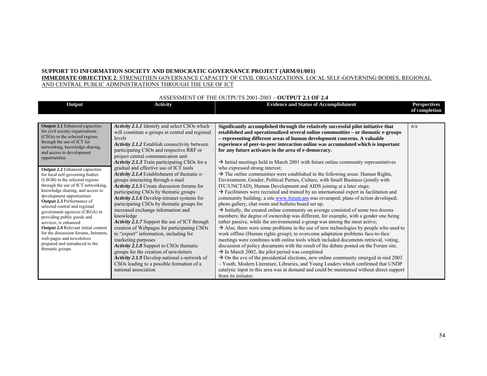**IMMEDIATE OBJECTIVE 2**: STRENGTHEN GOVERNANCE CAPACITY OF CIVIL ORGANIZATIONS. LOCAL SELF-GOVERNING BODIES, REGIONAL AND CENTRAL PUBLIC ADMINISTRATIONS THROUGH THE USE OF ICT

#### ASSESSMENT OF THE OUTPUTS 2001-2003 – **OUTPUT 2.1 OF 2.4**

| Output                                                                                                                                                                                                                                                                                                                                                                                                                                                                                                                                                                                                                                                                                                                                                                | <b>Activity</b>                                                                                                                                                                                                                                                                                                                                                                                                                                                                                                                                                                                                                                                                                                                                                                                                                                                                                                                                                                                                                                                      | <b>Evidence and Status of Accomplishment</b>                                                                                                                                                                                                                                                                                                                                                                                                                                                                                                                                                                                                                                                                                                                                                                                                                                                                                                                                                                                                                                                                                                                                                                                                                                                                                                                                                                                                                                                                                                                                                                                                                                                                                                                                                                                                                                                                                                                                                                                                                                           | <b>Perspectives</b><br>of completion |
|-----------------------------------------------------------------------------------------------------------------------------------------------------------------------------------------------------------------------------------------------------------------------------------------------------------------------------------------------------------------------------------------------------------------------------------------------------------------------------------------------------------------------------------------------------------------------------------------------------------------------------------------------------------------------------------------------------------------------------------------------------------------------|----------------------------------------------------------------------------------------------------------------------------------------------------------------------------------------------------------------------------------------------------------------------------------------------------------------------------------------------------------------------------------------------------------------------------------------------------------------------------------------------------------------------------------------------------------------------------------------------------------------------------------------------------------------------------------------------------------------------------------------------------------------------------------------------------------------------------------------------------------------------------------------------------------------------------------------------------------------------------------------------------------------------------------------------------------------------|----------------------------------------------------------------------------------------------------------------------------------------------------------------------------------------------------------------------------------------------------------------------------------------------------------------------------------------------------------------------------------------------------------------------------------------------------------------------------------------------------------------------------------------------------------------------------------------------------------------------------------------------------------------------------------------------------------------------------------------------------------------------------------------------------------------------------------------------------------------------------------------------------------------------------------------------------------------------------------------------------------------------------------------------------------------------------------------------------------------------------------------------------------------------------------------------------------------------------------------------------------------------------------------------------------------------------------------------------------------------------------------------------------------------------------------------------------------------------------------------------------------------------------------------------------------------------------------------------------------------------------------------------------------------------------------------------------------------------------------------------------------------------------------------------------------------------------------------------------------------------------------------------------------------------------------------------------------------------------------------------------------------------------------------------------------------------------------|--------------------------------------|
| <b>Output 2.1</b> Enhanced capacities<br>for civil society organizations<br>(CSOs) in the selected regions<br>through the use of ICT for<br>networking, knowledge sharing,<br>and access to development<br>opportunities<br><b>Output 2.2</b> Enhanced capacities<br>for local self-governing bodies<br>(LSGB) in the selected regions<br>through the use of ICT networking,<br>knowledge sharing, and access to<br>development opportunities<br>Output 2.3 Performance of<br>selected central and regional<br>government agencies (CRGA) in<br>providing public goods and<br>services, is enhanced<br>Output 2.4 Relevant initial content<br>for the discussion forums, Intranets.<br>web-pages and newsletters<br>prepared and introduced to the<br>thematic groups | Activity 2.1.1 Identify and select CSOs which<br>will constitute e-groups at central and regional<br>levels<br><b>Activity 2.1.2</b> Establish connectivity between<br>participating CSOs and respective RRF or<br>project central communication unit<br>Activity 2.1.3 Train participating CSOs for a<br>gradual and effective use of ICT tools<br>Activity 2.1.4 Establishment of thematic e-<br>groups interacting through e-mail<br>Activity 2.1.5 Create discussion forums for<br>participating CSOs by thematic groups<br><b>Activity 2.1.6</b> Develop intranet systems for<br>participating CSOs by the matic groups for<br>increased exchange information and<br>knowledge<br>Activity 2.1.7 Support the use of ICT through<br>creation of Webpages for participating CSOs<br>to "export" information, including for<br>marketing purposes<br>Activity 2.1.8 Support to CSOs thematic<br>groups for the creation of newsletters<br><b>Activity 2.1.9</b> Develop national e-network of<br>CSOs leading to a possible formation of a<br>national association | Significantly accomplished through the relatively successful pilot initiative that<br>established and operationalized several online communities - or thematic e-groups<br>- representing different areas of human development concerns. A valuable<br>experience of peer-to-peer interaction online was accumulated which is important<br>for any future activates in the area of e-democracy.<br>$\rightarrow$ Initial meetings held in March 2001 with future online community representatives<br>who expressed strong interest;<br>$\rightarrow$ The online communities were established in the following areas: Human Rights,<br>Environment, Gender, Political Parties, Culture, with Small Business (jointly with<br>ITC/UNCTAD), Human Development and AIDS joining at a later stage;<br>$\rightarrow$ Facilitators were recruited and trained by an international expert in facilitation and<br>community building; a site <b>www.forum.am</b> was revamped; plans of action developed;<br>photo gallery, chat room and bulletin board set up;<br>$\rightarrow$ Initially, the created online community on average consisted of some two dozens<br>members; the degree of ownership was different, for example, with a gender one being<br>rather passive, while the environmental e-group was among the most active;<br>$\rightarrow$ Also, there were some problems in the use of new technologies by people who used to<br>work offline (Human rights group); to overcome adaptation problems face-to-face<br>meetings were combines with online tools which included documents retrieval, voting,<br>discussion of policy documents with the result of the debate posted on the Forum site.<br>$\rightarrow$ In March 2002, the pilot period was completed.<br>$\rightarrow$ On the eve of the presidential elections, new online community emerged in mid 2003<br>- Youth, Modern Literature, Libraries, and Young Leaders which confirmed that UNDP<br>catalytic input in this area was in demand and could be maintained without direct support<br>from its initiator. | n/a                                  |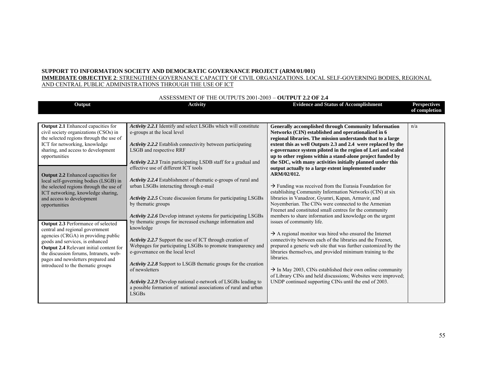**IMMEDIATE OBJECTIVE 2**: STRENGTHEN GOVERNANCE CAPACITY OF CIVIL ORGANIZATIONS. LOCAL SELF-GOVERNING BODIES, REGIONAL AND CENTRAL PUBLIC ADMINISTRATIONS THROUGH THE USE OF ICT

| Output                                                                                                                                                                                                                                                                                                                                                 | <b>Activity</b>                                                                                                                                                                                                                                                                                                                                                                                                       | <b>Evidence and Status of Accomplishment</b>                                                                                                                                                                                                                                                                                                                                                                                                                                                                                                                                              | <b>Perspectives</b><br>of completion |
|--------------------------------------------------------------------------------------------------------------------------------------------------------------------------------------------------------------------------------------------------------------------------------------------------------------------------------------------------------|-----------------------------------------------------------------------------------------------------------------------------------------------------------------------------------------------------------------------------------------------------------------------------------------------------------------------------------------------------------------------------------------------------------------------|-------------------------------------------------------------------------------------------------------------------------------------------------------------------------------------------------------------------------------------------------------------------------------------------------------------------------------------------------------------------------------------------------------------------------------------------------------------------------------------------------------------------------------------------------------------------------------------------|--------------------------------------|
| <b>Output 2.1</b> Enhanced capacities for<br>civil society organizations (CSOs) in<br>the selected regions through the use of<br>ICT for networking, knowledge<br>sharing, and access to development<br>opportunities<br><b>Output 2.2</b> Enhanced capacities for<br>local self-governing bodies (LSGB) in<br>the selected regions through the use of | Activity 2.2.1 Identify and select LSGBs which will constitute<br>e-groups at the local level<br>Activity 2.2.2 Establish connectivity between participating<br>LSGB and respective RRF<br><b>Activity 2.2.3</b> Train participating LSDB staff for a gradual and<br>effective use of different ICT tools<br>Activity 2.2.4 Establishment of thematic e-groups of rural and<br>urban LSGBs interacting through e-mail | <b>Generally accomplished through Community Information</b><br>Networks (CIN) established and operationalized in 6<br>regional libraries. The mission understands that to a large<br>extent this as well Outputs 2.3 and 2.4 were replaced by the<br>e-governance system piloted in the region of Lori and scaled<br>up to other regions within a stand-alone project funded by<br>the SDC, with many activities initially planned under this<br>output actually to a large extent implemented under<br>ARM/02/012.<br>$\rightarrow$ Funding was received from the Eurasia Foundation for | n/a                                  |
| ICT networking, knowledge sharing,<br>and access to development<br>opportunities                                                                                                                                                                                                                                                                       | <b>Activity 2.2.5</b> Create discussion forums for participating LSGBs<br>by thematic groups<br><b>Activity 2.2.6</b> Develop intranet systems for participating LSGBs<br>by thematic groups for increased exchange information and                                                                                                                                                                                   | establishing Community Information Networks (CIN) at six<br>libraries in Vanadzor, Gyumri, Kapan, Armavir, and<br>Novemberian. The CINs were connected to the Armenian<br>Freenet and constituted small centres for the community<br>members to share information and knowledge on the urgent<br>issues of community life.                                                                                                                                                                                                                                                                |                                      |
| Output 2.3 Performance of selected<br>central and regional government<br>agencies (CRGA) in providing public<br>goods and services, is enhanced<br>Output 2.4 Relevant initial content for<br>the discussion forums, Intranets, web-<br>pages and newsletters prepared and<br>introduced to the thematic groups                                        | knowledge<br>Activity 2.2.7 Support the use of ICT through creation of<br>Webpages for participating LSGBs to promote transparency and<br>e-governance on the local level<br><b>Activity 2.2.8</b> Support to LSGB thematic groups for the creation<br>of newsletters                                                                                                                                                 | $\rightarrow$ A regional monitor was hired who ensured the Internet<br>connectivity between each of the libraries and the Freenet,<br>prepared a generic web site that was further customized by the<br>libraries themselves, and provided minimum training to the<br>libraries.<br>$\rightarrow$ In May 2003, CINs established their own online community                                                                                                                                                                                                                                |                                      |
|                                                                                                                                                                                                                                                                                                                                                        | Activity 2.2.9 Develop national e-network of LSGBs leading to<br>a possible formation of national associations of rural and urban<br><b>LSGBs</b>                                                                                                                                                                                                                                                                     | of Library CINs and held discussions; Websites were improved;<br>UNDP continued supporting CINs until the end of 2003.                                                                                                                                                                                                                                                                                                                                                                                                                                                                    |                                      |

#### ASSESSMENT OF THE OUTPUTS 2001-2003 – **OUTPUT 2.2 OF 2.4**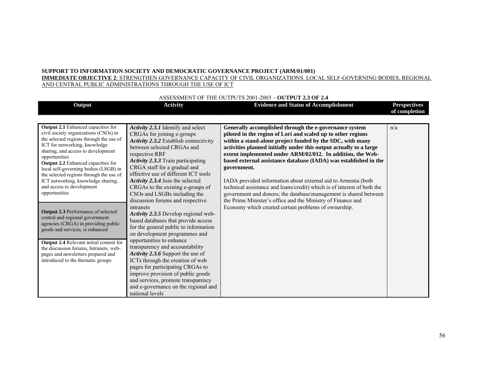**IMMEDIATE OBJECTIVE 2**: STRENGTHEN GOVERNANCE CAPACITY OF CIVIL ORGANIZATIONS. LOCAL SELF-GOVERNING BODIES, REGIONAL AND CENTRAL PUBLIC ADMINISTRATIONS THROUGH THE USE OF ICT

| Output                                                                                                                                                                                                                                                                                                                                                                                                                              | <b>Activity</b>                                                                                                                                                                                                                                                                                                                                                                                                             | ASSESSIVELYT OF THE OUTFULS 2001-2003 - OUTFUL 2.3 OF 2.4<br><b>Evidence and Status of Accomplishment</b>                                                                                                                                                                                                                                                                                                                                                                                                                                                                                                                                                                                 | <b>Perspectives</b> |
|-------------------------------------------------------------------------------------------------------------------------------------------------------------------------------------------------------------------------------------------------------------------------------------------------------------------------------------------------------------------------------------------------------------------------------------|-----------------------------------------------------------------------------------------------------------------------------------------------------------------------------------------------------------------------------------------------------------------------------------------------------------------------------------------------------------------------------------------------------------------------------|-------------------------------------------------------------------------------------------------------------------------------------------------------------------------------------------------------------------------------------------------------------------------------------------------------------------------------------------------------------------------------------------------------------------------------------------------------------------------------------------------------------------------------------------------------------------------------------------------------------------------------------------------------------------------------------------|---------------------|
|                                                                                                                                                                                                                                                                                                                                                                                                                                     |                                                                                                                                                                                                                                                                                                                                                                                                                             |                                                                                                                                                                                                                                                                                                                                                                                                                                                                                                                                                                                                                                                                                           | of completion       |
| <b>Output 2.1</b> Enhanced capacities for<br>civil society organizations (CSOs) in<br>the selected regions through the use of<br>ICT for networking, knowledge<br>sharing, and access to development<br>opportunities<br>Output 2.2 Enhanced capacities for<br>local self-governing bodies (LSGB) in<br>the selected regions through the use of<br>ICT networking, knowledge sharing,<br>and access to development<br>opportunities | <b>Activity 2.3.1</b> Identify and select<br>CRGAs for joining e-groups<br>Activity 2.3.2 Establish connectivity<br>between selected CRGAs and<br>respective RRF<br>Activity 2.3.3 Train participating<br>CRGA staff for a gradual and<br>effective use of different ICT tools<br>Activity 2.3.4 Join the selected<br>CRGAs to the existing e-groups of<br>CSOs and LSGBs including the<br>discussion forums and respective | Generally accomplished through the e-governance system<br>piloted in the region of Lori and scaled up to other regions<br>within a stand-alone project funded by the SDC, with many<br>activities planned initially under this output actually to a large<br>extent implemented under ARM/02/012. In addition, the Web-<br>based external assistance database (IADA) was established in the<br>government.<br>IADA provided information about external aid to Armenia (both<br>technical assistance and loans/credit) which is of interest of both the<br>government and donors; the database\management is shared between<br>the Prime Minister's office and the Ministry of Finance and | n/a                 |
| <b>Output 2.3 Performance of selected</b><br>central and regional government<br>agencies (CRGA) in providing public<br>goods and services, is enhanced                                                                                                                                                                                                                                                                              | intranets<br>Activity 2.3.5 Develop regional web-<br>based databases that provide access<br>for the general public to information<br>on development programmes and                                                                                                                                                                                                                                                          | Economy which created certain problems of ownership.                                                                                                                                                                                                                                                                                                                                                                                                                                                                                                                                                                                                                                      |                     |
| <b>Output 2.4</b> Relevant initial content for<br>the discussion forums, Intranets, web-<br>pages and newsletters prepared and<br>introduced to the thematic groups                                                                                                                                                                                                                                                                 | opportunities to enhance<br>transparency and accountability<br>Activity 2.3.6 Support the use of<br>ICTs through the creation of web<br>pages for participating CRGAs to<br>improve provision of public goods<br>and services, promote transparency<br>and e-governance on the regional and<br>national levels                                                                                                              |                                                                                                                                                                                                                                                                                                                                                                                                                                                                                                                                                                                                                                                                                           |                     |

### ASSESSMENT OF THE OUTPUTS 2001-2003 – **OUTPUT 2.3 OF 2.4**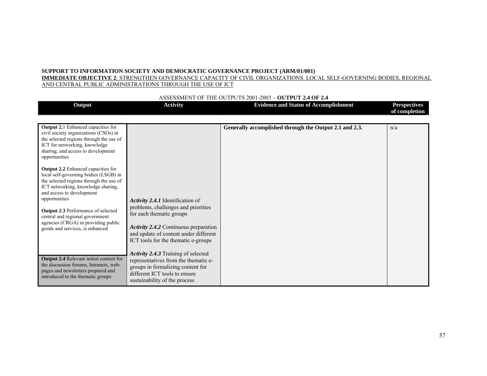**IMMEDIATE OBJECTIVE 2**: STRENGTHEN GOVERNANCE CAPACITY OF CIVIL ORGANIZATIONS. LOCAL SELF-GOVERNING BODIES, REGIONAL AND CENTRAL PUBLIC ADMINISTRATIONS THROUGH THE USE OF ICT

#### ASSESSMENT OF THE OUTPUTS 2001-2003 – **OUTPUT 2.4 OF 2.4**

| Output                                                                                                                                                                                                                                                                                                                                                                                                                                                                                                                                                                                        | <b>Activity</b>                                                                                                                                                                                                              | <b>Evidence and Status of Accomplishment</b>           | <b>Perspectives</b><br>of completion |
|-----------------------------------------------------------------------------------------------------------------------------------------------------------------------------------------------------------------------------------------------------------------------------------------------------------------------------------------------------------------------------------------------------------------------------------------------------------------------------------------------------------------------------------------------------------------------------------------------|------------------------------------------------------------------------------------------------------------------------------------------------------------------------------------------------------------------------------|--------------------------------------------------------|--------------------------------------|
| <b>Output 2.1</b> Enhanced capacities for<br>civil society organizations (CSOs) in<br>the selected regions through the use of<br>ICT for networking, knowledge<br>sharing, and access to development<br>opportunities<br>Output 2.2 Enhanced capacities for<br>local self-governing bodies (LSGB) in<br>the selected regions through the use of<br>ICT networking, knowledge sharing,<br>and access to development<br>opportunities<br><b>Output 2.3 Performance of selected</b><br>central and regional government<br>agencies (CRGA) in providing public<br>goods and services, is enhanced | Activity 2.4.1 Identification of<br>problems, challenges and priorities<br>for each thematic groups<br>Activity 2.4.2 Continuous preparation<br>and update of content under different<br>ICT tools for the thematic e-groups | Generally accomplished through the Output 2.1 and 2.3. | n/a                                  |
| <b>Output 2.4</b> Relevant initial content for<br>the discussion forums, Intranets, web-<br>pages and newsletters prepared and<br>introduced to the thematic groups                                                                                                                                                                                                                                                                                                                                                                                                                           | Activity 2.4.3 Training of selected<br>representatives from the thematic e-<br>groups in formalizing content for<br>different ICT tools to ensure<br>sustainability of the process                                           |                                                        |                                      |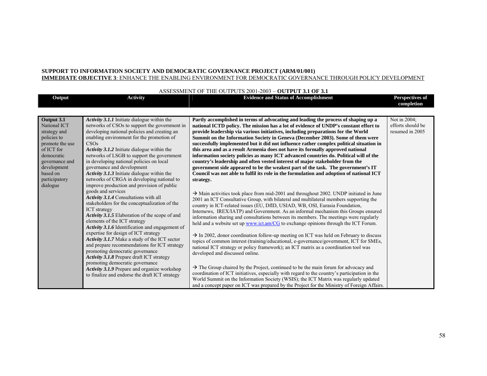#### **SUPPORT TO INFORMATION SOCIETY AND DEMOCRATIC GOVERNANCE PROJECT (ARM/01/001) IMMEDIATE OBJECTIVE 3**: ENHANCE THE ENABLING ENVIRONMENT FOR DEMOCRATIC GOVERNANCE THROUGH POLICY DEVELOPMENT

|                                                                                                                                                                                    |                                                                                                                                                                                                                                                                                                                                                                                                                                                                                                                                                                                                                                                                                                                                                                                                                                                                                                                                                                                                                                                                                                                                  | ASSESSMENT OF THE OUTPUTS 2001-2003 - OUTPUT 3.1 OF 3.1                                                                                                                                                                                                                                                                                                                                                                                                                                                                                                                                                                                                                                                                                                                                                                                                                                                                                                                                                                                                                                                                                                                                                                                                                                                                                                                                                                                                                                                                                                                                                                                                                                                                                                                                                                                                                                  |                                                      |
|------------------------------------------------------------------------------------------------------------------------------------------------------------------------------------|----------------------------------------------------------------------------------------------------------------------------------------------------------------------------------------------------------------------------------------------------------------------------------------------------------------------------------------------------------------------------------------------------------------------------------------------------------------------------------------------------------------------------------------------------------------------------------------------------------------------------------------------------------------------------------------------------------------------------------------------------------------------------------------------------------------------------------------------------------------------------------------------------------------------------------------------------------------------------------------------------------------------------------------------------------------------------------------------------------------------------------|------------------------------------------------------------------------------------------------------------------------------------------------------------------------------------------------------------------------------------------------------------------------------------------------------------------------------------------------------------------------------------------------------------------------------------------------------------------------------------------------------------------------------------------------------------------------------------------------------------------------------------------------------------------------------------------------------------------------------------------------------------------------------------------------------------------------------------------------------------------------------------------------------------------------------------------------------------------------------------------------------------------------------------------------------------------------------------------------------------------------------------------------------------------------------------------------------------------------------------------------------------------------------------------------------------------------------------------------------------------------------------------------------------------------------------------------------------------------------------------------------------------------------------------------------------------------------------------------------------------------------------------------------------------------------------------------------------------------------------------------------------------------------------------------------------------------------------------------------------------------------------------|------------------------------------------------------|
| Output                                                                                                                                                                             | <b>Activity</b>                                                                                                                                                                                                                                                                                                                                                                                                                                                                                                                                                                                                                                                                                                                                                                                                                                                                                                                                                                                                                                                                                                                  | <b>Evidence and Status of Accomplishment</b>                                                                                                                                                                                                                                                                                                                                                                                                                                                                                                                                                                                                                                                                                                                                                                                                                                                                                                                                                                                                                                                                                                                                                                                                                                                                                                                                                                                                                                                                                                                                                                                                                                                                                                                                                                                                                                             | Perspectives of<br>completion                        |
| Output 3.1<br>National ICT<br>strategy and<br>policies to<br>promote the use<br>of ICT for<br>democratic<br>governance and<br>development<br>based on<br>participatory<br>dialogue | <b>Activity 3.1.1</b> Initiate dialogue within the<br>networks of CSOs to support the government in<br>developing national policies and creating an<br>enabling environment for the promotion of<br>CSOs<br>Activity 3.1.2 Initiate dialogue within the<br>networks of LSGB to support the government<br>in developing national policies on local<br>governance and development<br><b>Activity 3.1.3</b> Initiate dialogue within the<br>networks of CRGA in developing national to<br>improve production and provision of public<br>goods and services<br>Activity 3.1.4 Consultations with all<br>stakeholders for the conceptualization of the<br><b>ICT</b> strategy<br>Activity 3.1.5 Elaboration of the scope of and<br>elements of the ICT strategy<br>Activity 3.1.6 Identification and engagement of<br>expertise for design of ICT strategy<br><b>Activity 3.1.7</b> Make a study of the ICT sector<br>and prepare recommendations for ICT strategy<br>promoting democratic governance<br>Activity 3.1.8 Prepare draft ICT strategy<br>promoting democratic governance<br>Activity 3.1.9 Prepare and organize workshop | Partly accomplished in terms of advocating and leading the process of shaping up a<br>national ICTD policy. The mission has a lot of evidence of UNDP's constant effort to<br>provide leadership via various initiatives, including preparations for the World<br>Summit on the Information Society in Geneva (December 2003). Some of them were<br>successfully implemented but it did not influence rather complex political situation in<br>this area and as a result Armenia does not have its formally approved national<br>information society policies as many ICT advanced countries do. Political will of the<br>country's leadership and often vested interest of major stakeholder from the<br>government side appeared to be the weakest part of the task. The government's IT<br>Council was not able to fulfil its role in the formulation and adoption of national ICT<br>strategy.<br>$\rightarrow$ Main activities took place from mid-2001 and throughout 2002. UNDP initiated in June<br>2001 an ICT Consultative Group, with bilateral and multilateral members supporting the<br>country in ICT-related issues (EU, DfID, USIAD, WB, OSI, Eurasia Foundation,<br>Internews, IREX/IATP) and Government. As an informal mechanism this Groups ensured<br>information sharing and consultations between its members. The meetings were regularly<br>held and a website set up www.ict.am/CG to exchange opinions through the ICT Forum.<br>$\rightarrow$ In 2002, donor coordination follow-up meeting on ICT was held on February to discuss<br>topics of common interest (training/educational, e-governance/government, ICT for SMEs,<br>national ICT strategy or policy framework); an ICT matrix as a coordination tool was<br>developed and discussed online.<br>$\rightarrow$ The Group chaired by the Project, continued to be the main forum for advocacy and | Not in 2004;<br>efforts should be<br>resumed in 2005 |
|                                                                                                                                                                                    | to finalize and endorse the draft ICT strategy                                                                                                                                                                                                                                                                                                                                                                                                                                                                                                                                                                                                                                                                                                                                                                                                                                                                                                                                                                                                                                                                                   | coordination of ICT initiatives, especially with regard to the country's participation in the<br>World Summit on the Information Society (WSIS); the ICT Matrix was regularly updated<br>and a concept paper on ICT was prepared by the Project for the Ministry of Foreign Affairs.                                                                                                                                                                                                                                                                                                                                                                                                                                                                                                                                                                                                                                                                                                                                                                                                                                                                                                                                                                                                                                                                                                                                                                                                                                                                                                                                                                                                                                                                                                                                                                                                     |                                                      |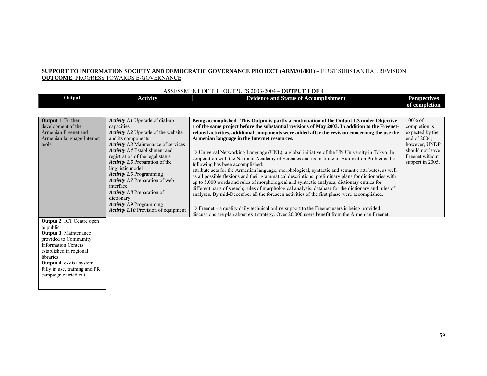#### **SUPPORT TO INFORMATION SOCIETY AND DEMOCRATIC GOVERNANCE PROJECT (ARM/01/001) –** FIRST SUBSTANTIAL REVISION **OUTCOME**: PROGRESS TOWARDS E-GOVERNANCE

|                                                                                                                                                                                                                                                                         |                                                                                                                                                                                                                                                                                                                                                                                                                                                                                                                 | ASSESSMENT OF THE OUTPUTS $2003 - 2004 = 00$ TPUT TOF 4                                                                                                                                                                                                                                                                                                                                                                                                                                                                                                                                                                                                                                                                                                                                                                                                                                                                                                                                                                                                                                                                                                                                                                                                                                                                  |                                                                                                                                               |
|-------------------------------------------------------------------------------------------------------------------------------------------------------------------------------------------------------------------------------------------------------------------------|-----------------------------------------------------------------------------------------------------------------------------------------------------------------------------------------------------------------------------------------------------------------------------------------------------------------------------------------------------------------------------------------------------------------------------------------------------------------------------------------------------------------|--------------------------------------------------------------------------------------------------------------------------------------------------------------------------------------------------------------------------------------------------------------------------------------------------------------------------------------------------------------------------------------------------------------------------------------------------------------------------------------------------------------------------------------------------------------------------------------------------------------------------------------------------------------------------------------------------------------------------------------------------------------------------------------------------------------------------------------------------------------------------------------------------------------------------------------------------------------------------------------------------------------------------------------------------------------------------------------------------------------------------------------------------------------------------------------------------------------------------------------------------------------------------------------------------------------------------|-----------------------------------------------------------------------------------------------------------------------------------------------|
| Output                                                                                                                                                                                                                                                                  | <b>Activity</b>                                                                                                                                                                                                                                                                                                                                                                                                                                                                                                 | <b>Evidence and Status of Accomplishment</b>                                                                                                                                                                                                                                                                                                                                                                                                                                                                                                                                                                                                                                                                                                                                                                                                                                                                                                                                                                                                                                                                                                                                                                                                                                                                             | <b>Perspectives</b><br>of completion                                                                                                          |
|                                                                                                                                                                                                                                                                         |                                                                                                                                                                                                                                                                                                                                                                                                                                                                                                                 |                                                                                                                                                                                                                                                                                                                                                                                                                                                                                                                                                                                                                                                                                                                                                                                                                                                                                                                                                                                                                                                                                                                                                                                                                                                                                                                          |                                                                                                                                               |
| <b>Output 1. Further</b><br>development of the<br>Armenian Freenet and<br>Armenian language Internet<br>tools.                                                                                                                                                          | Activity 1.1 Upgrade of dial-up<br>capacities<br><b>Activity 1.2</b> Upgrade of the website<br>and its components<br><b>Activity 1.3 Maintenance of services</b><br>Activity 1.4 Establishment and<br>registration of the legal status<br>Activity 1.5 Preparation of the<br>linguistic model<br><b>Activity 1.6 Programming</b><br>Activity 1.7 Preparation of web<br>interface<br>Activity 1.8 Preparation of<br>dictionary<br><b>Activity 1.9 Programming</b><br><b>Activity 1.10</b> Provision of equipment | Being accomplished. This Output is partly a continuation of the Output 1.3 under Objective<br>1 of the same project before the substantial revisions of May 2003. In addition to the Freenet-<br>related activities, additional components were added after the revision concerning the use the<br>Armenian language in the Internet resources.<br>> Universal Networking Language (UNL), a global initiative of the UN University in Tokyo. In<br>cooperation with the National Academy of Sciences and its Institute of Automation Problems the<br>following has been accomplished:<br>attribute sets for the Armenian language; morphological, syntactic and semantic attributes, as well<br>as all possible flexions and their grammatical descriptions; preliminary plans for dictionaries with<br>up to 5,000 words and rules of morphological and syntactic analyses; dictionary entries for<br>different parts of speech; rules of morphological analysis; database for the dictionary and rules of<br>analyses. By mid-December all the foreseen activities of the first phase were accomplished.<br>$\rightarrow$ Freenet – a quality daily technical online support to the Freenet users is being provided;<br>discussions are plan about exit strategy. Over 20,000 users benefit from the Armenian Freenet. | $100\%$ of<br>completion is<br>expected by the<br>end of $2004$ ;<br>however, UNDP<br>should not leave<br>Freenet without<br>support in 2005. |
| <b>Output 2. ICT Centre open</b><br>to public<br><b>Output 3. Maintenance</b><br>provided to Community<br><b>Information Centers</b><br>established in regional<br>libraries<br><b>Output 4. e-Visa system</b><br>fully in use, training and PR<br>campaign carried out |                                                                                                                                                                                                                                                                                                                                                                                                                                                                                                                 |                                                                                                                                                                                                                                                                                                                                                                                                                                                                                                                                                                                                                                                                                                                                                                                                                                                                                                                                                                                                                                                                                                                                                                                                                                                                                                                          |                                                                                                                                               |

## ASSESSMENT OF THE OUTPUTS 2003-2004 – **OUTPUT 1 OF 4**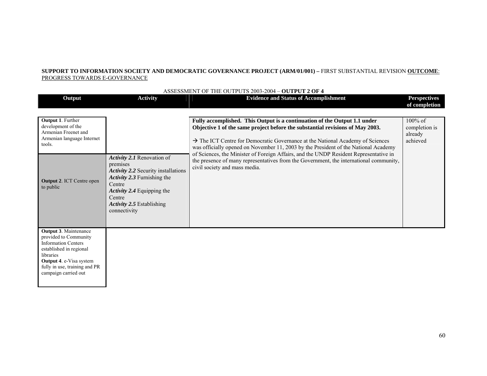### **SUPPORT TO INFORMATION SOCIETY AND DEMOCRATIC GOVERNANCE PROJECT (ARM/01/001) –** FIRST SUBSTANTIAL REVISION **OUTCOME**: PROGRESS TOWARDS E-GOVERNANCE

|                                                                                                                                                                                                                 |                                                                                                                                                                                                             | ASSESSMENT OF THE OUTPUTS 2003-2004 - OUTPUT 2 OF 4                                                                                                                                                                                                                                                                                                                                                                                                                                                                                                                 |                                                    |
|-----------------------------------------------------------------------------------------------------------------------------------------------------------------------------------------------------------------|-------------------------------------------------------------------------------------------------------------------------------------------------------------------------------------------------------------|---------------------------------------------------------------------------------------------------------------------------------------------------------------------------------------------------------------------------------------------------------------------------------------------------------------------------------------------------------------------------------------------------------------------------------------------------------------------------------------------------------------------------------------------------------------------|----------------------------------------------------|
| Output                                                                                                                                                                                                          | <b>Activity</b>                                                                                                                                                                                             | <b>Evidence and Status of Accomplishment</b>                                                                                                                                                                                                                                                                                                                                                                                                                                                                                                                        | <b>Perspectives</b>                                |
|                                                                                                                                                                                                                 |                                                                                                                                                                                                             |                                                                                                                                                                                                                                                                                                                                                                                                                                                                                                                                                                     | of completion                                      |
| <b>Output 1. Further</b><br>development of the<br>Armenian Freenet and<br>Armenian language Internet<br>tools.<br><b>Output 2. ICT Centre open</b><br>to public                                                 | Activity 2.1 Renovation of<br>premises<br>Activity 2.2 Security installations<br>Activity 2.3 Furnishing the<br>Centre<br>Activity 2.4 Equipping the<br>Centre<br>Activity 2.5 Establishing<br>connectivity | Fully accomplished. This Output is a continuation of the Output 1.1 under<br>Objective 1 of the same project before the substantial revisions of May 2003.<br>$\rightarrow$ The ICT Centre for Democratic Governance at the National Academy of Sciences<br>was officially opened on November 11, 2003 by the President of the National Academy<br>of Sciences, the Minister of Foreign Affairs, and the UNDP Resident Representative in<br>the presence of many representatives from the Government, the international community,<br>civil society and mass media. | $100\%$ of<br>completion is<br>already<br>achieved |
| <b>Output 3. Maintenance</b><br>provided to Community<br><b>Information Centers</b><br>established in regional<br>libraries<br>Output 4. e-Visa system<br>fully in use, training and PR<br>campaign carried out |                                                                                                                                                                                                             |                                                                                                                                                                                                                                                                                                                                                                                                                                                                                                                                                                     |                                                    |

60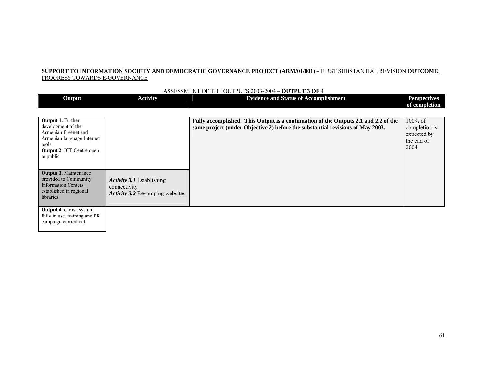#### **SUPPORT TO INFORMATION SOCIETY AND DEMOCRATIC GOVERNANCE PROJECT (ARM/01/001) –** FIRST SUBSTANTIAL REVISION **OUTCOME**: PROGRESS TOWARDS E-GOVERNANCE

|                                                                                                                                                                 |                                                                                            | ASSESSMENT OF THE OUTPUTS 2003-2004 – OUTPUT 3 OF 4                                                                                                                   |                                                                  |
|-----------------------------------------------------------------------------------------------------------------------------------------------------------------|--------------------------------------------------------------------------------------------|-----------------------------------------------------------------------------------------------------------------------------------------------------------------------|------------------------------------------------------------------|
| Output                                                                                                                                                          | <b>Activity</b>                                                                            | <b>Evidence and Status of Accomplishment</b>                                                                                                                          | <b>Perspectives</b><br>of completion                             |
| <b>Output 1. Further</b><br>development of the<br>Armenian Freenet and<br>Armenian language Internet<br>tools.<br><b>Output 2. ICT Centre open</b><br>to public |                                                                                            | Fully accomplished. This Output is a continuation of the Outputs 2.1 and 2.2 of the<br>same project (under Objective 2) before the substantial revisions of May 2003. | $100\%$ of<br>completion is<br>expected by<br>the end of<br>2004 |
| <b>Output 3. Maintenance</b><br>provided to Community<br><b>Information Centers</b><br>established in regional<br>libraries                                     | <b>Activity 3.1</b> Establishing<br>connectivity<br><b>Activity 3.2</b> Revamping websites |                                                                                                                                                                       |                                                                  |
| <b>Output 4. e-Visa system</b><br>fully in use, training and PR                                                                                                 |                                                                                            |                                                                                                                                                                       |                                                                  |

campaign carried out

ASSESSMENT OF THE OUTPUTS 2003-2004 – **OUTPUT 3 OF 4**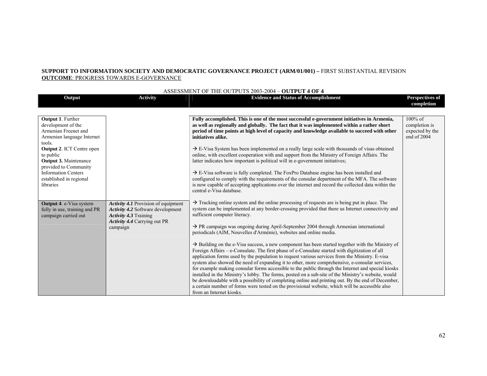### **SUPPORT TO INFORMATION SOCIETY AND DEMOCRATIC GOVERNANCE PROJECT (ARM/01/001) – FIRST SUBSTANTIAL REVISION OUTCOME**: PROGRESS TOWARDS E-GOVERNANCE

| ASSESSMENT OF THE OUTPUTS 2003-2004 - OUTPUT 4 OF 4                                                                                                                                                                                                                                     |                                                                                                                                               |                                                                                                                                                                                                                                                                                                                                                                                                                                                                                                                                                                                                                                                                                                                                                                                                                                                                                                                                                                                                                                                                                                                                                                                                                                                                                                  |                                                               |
|-----------------------------------------------------------------------------------------------------------------------------------------------------------------------------------------------------------------------------------------------------------------------------------------|-----------------------------------------------------------------------------------------------------------------------------------------------|--------------------------------------------------------------------------------------------------------------------------------------------------------------------------------------------------------------------------------------------------------------------------------------------------------------------------------------------------------------------------------------------------------------------------------------------------------------------------------------------------------------------------------------------------------------------------------------------------------------------------------------------------------------------------------------------------------------------------------------------------------------------------------------------------------------------------------------------------------------------------------------------------------------------------------------------------------------------------------------------------------------------------------------------------------------------------------------------------------------------------------------------------------------------------------------------------------------------------------------------------------------------------------------------------|---------------------------------------------------------------|
| Output                                                                                                                                                                                                                                                                                  | <b>Activity</b>                                                                                                                               | <b>Evidence and Status of Accomplishment</b>                                                                                                                                                                                                                                                                                                                                                                                                                                                                                                                                                                                                                                                                                                                                                                                                                                                                                                                                                                                                                                                                                                                                                                                                                                                     | <b>Perspectives of</b><br>completion                          |
|                                                                                                                                                                                                                                                                                         |                                                                                                                                               |                                                                                                                                                                                                                                                                                                                                                                                                                                                                                                                                                                                                                                                                                                                                                                                                                                                                                                                                                                                                                                                                                                                                                                                                                                                                                                  |                                                               |
| <b>Output 1. Further</b><br>development of the<br>Armenian Freenet and<br>Armenian language Internet<br>tools.<br><b>Output 2. ICT Centre open</b><br>to public<br>Output 3. Maintenance<br>provided to Community<br><b>Information Centers</b><br>established in regional<br>libraries |                                                                                                                                               | Fully accomplished. This is one of the most successful e-government initiatives in Armenia,<br>as well as regionally and globally. The fact that it was implemented within a rather short<br>period of time points at high level of capacity and knowledge available to succeed with other<br>initiatives alike.<br>$\rightarrow$ E-Visa System has been implemented on a really large scale with thousands of visas obtained<br>online, with excellent cooperation with and support from the Ministry of Foreign Affairs. The<br>latter indicates how important is political will in e-government initiatives;<br>$\rightarrow$ E-Visa software is fully completed. The FoxPro Database engine has been installed and<br>configured to comply with the requirements of the consular department of the MFA. The software<br>is now capable of accepting applications over the internet and record the collected data within the<br>central e-Visa database.                                                                                                                                                                                                                                                                                                                                      | $100\%$ of<br>completion is<br>expected by the<br>end of 2004 |
| <b>Output 4. e-Visa system</b><br>fully in use, training and PR<br>campaign carried out                                                                                                                                                                                                 | Activity 4.1 Provision of equipment<br>Activity 4.2 Software development<br>Activity 4.3 Training<br>Activity 4.4 Carrying out PR<br>campaign | $\rightarrow$ Tracking online system and the online processing of requests are is being put in place. The<br>system can be implemented at any border-crossing provided that there us Internet connectivity and<br>sufficient computer literacy.<br>$\rightarrow$ PR campaign was ongoing during April-September 2004 through Armenian international<br>periodicals (AIM, Nouvelles d'Arménie), websites and online media.<br>$\rightarrow$ Building on the e-Visa success, a new component has been started together with the Ministry of<br>Foreign Affairs - e-Consulate. The first phase of e-Consulate started with digitization of all<br>application forms used by the population to request various services from the Ministry. E-visa<br>system also showed the need of expanding it to other, more comprehensive, e-consular services,<br>for example making consular forms accessible to the public through the Internet and special kiosks<br>installed in the Ministry's lobby. The forms, posted on a sub-site of the Ministry's website, would<br>be downloadable with a possibility of completing online and printing out. By the end of December,<br>a certain number of forms were tested on the provisional website, which will be accessible also<br>from an Internet kiosks. |                                                               |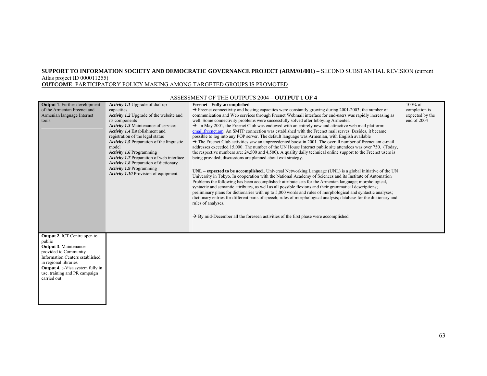#### **SUPPORT TO INFORMATION SOCIETY AND DEMOCRATIC GOVERNANCE PROJECT (ARM/01/001) –** SECOND SUBSTANTIAL REVISION (current Atlas project ID 000011255) **OUTCOME**: PARTICIPATORY POLICY MAKING AMONG TARGETED GROUPS IS PROMOTED

#### **Output 1**. Further development of the Armenian Freenet and Armenian language Internet tools. *Activity 1.1* Upgrade of dial-up capacities *Activity 1.2* Upgrade of the website and its components *Activity 1.3* Maintenance of services *Activity 1.4* Establishment and registration of the legal status *Activity 1.5* Preparation of the linguistic model *Activity 1.6* Programming *Activity 1.7* Preparation of web interface *Activity 1.8* Preparation of dictionary *Activity 1.9* Programming *Activity 1.10* Provision of equipment **Freenet - Fully accomplished**   $\rightarrow$  Freenet connectivity and hosting capacities were constantly growing during 2001-2003; the number of communication and Web services through Freenet Webmail interface for end-users was rapidly increasing as well. Some connectivity problems were successfully solved after lobbying Armentel.  $\rightarrow$  In May 2001, the Freenet Club was endowed with an entirely new and attractive web mail platform: email.freenet.am. An SMTP connection was established with the Freenet mail serves. Besides, it became possible to log into any POP server. The default language was Armenian, with English available  $\rightarrow$  The Freenet Club activities saw an unprecedented boost in 2001. The overall number of freenet.am e-mail addresses exceeded 15,000. The number of the UN House Internet public site attendees was over 750. (Today, the respective numbers are: 24,500 and 4,500). A quality daily technical online support to the Freenet users is being provided; discussions are planned about exit strategy. **UNL – expected to be accomplished**.. Universal Networking Language (UNL) is a global initiative of the UN University in Tokyo. In cooperation with the National Academy of Sciences and its Institute of Automation Problems the following has been accomplished: attribute sets for the Armenian language; morphological, syntactic and semantic attributes, as well as all possible flexions and their grammatical descriptions; preliminary plans for dictionaries with up to 5,000 words and rules of morphological and syntactic analyses; dictionary entries for different parts of speech; rules of morphological analysis; database for the dictionary and rules of analyses.  $\rightarrow$  By mid-December all the foreseen activities of the first phase were accomplished. 100% of completion is expected by the end of 2004 **Output 2**. ICT Centre open to public **Output 3**. Maintenance provided to Community Information Centers established in regional libraries **Output 4**. e-Visa system fully in use, training and PR campaign carried out

#### ASSESSMENT OF THE OUTPUTS 2004 – **OUTPUT 1 OF 4**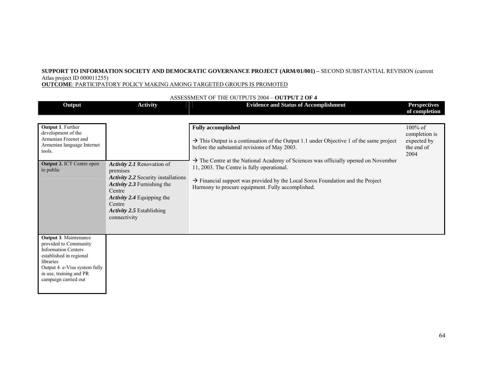**OUTCOME**: PARTICIPATORY POLICY MAKING AMONG TARGETED GROUPS IS PROMOTED

| Output                                                                                                                                                                                                          | <b>Activity</b>                                                                                                                                                                                             | <b>Evidence and Status of Accomplishment</b>                                                                                                                                                                                                                                                                                                                                                                                                                                         | <b>Perspectives</b><br>of completion                          |
|-----------------------------------------------------------------------------------------------------------------------------------------------------------------------------------------------------------------|-------------------------------------------------------------------------------------------------------------------------------------------------------------------------------------------------------------|--------------------------------------------------------------------------------------------------------------------------------------------------------------------------------------------------------------------------------------------------------------------------------------------------------------------------------------------------------------------------------------------------------------------------------------------------------------------------------------|---------------------------------------------------------------|
| <b>Output 1. Further</b><br>development of the<br>Armenian Freenet and<br>Armenian language Internet<br>tools.<br><b>Output 2. ICT Centre open</b><br>to public                                                 | Activity 2.1 Renovation of<br>premises<br>Activity 2.2 Security installations<br>Activity 2.3 Furnishing the<br>Centre<br>Activity 2.4 Equipping the<br>Centre<br>Activity 2.5 Establishing<br>connectivity | <b>Fully accomplished</b><br>$\rightarrow$ This Output is a continuation of the Output 1.1 under Objective 1 of the same project<br>before the substantial revisions of May 2003.<br>$\rightarrow$ The Centre at the National Academy of Sciences was officially opened on November<br>11, 2003. The Centre is fully operational.<br>$\rightarrow$ Financial support was provided by the Local Soros Foundation and the Project<br>Harmony to procure equipment. Fully accomplished. | 100% of<br>completion is<br>expected by<br>the end of<br>2004 |
| <b>Output 3. Maintenance</b><br>provided to Community<br><b>Information Centers</b><br>established in regional<br>libraries<br>Output 4. e-Visa system fully<br>in use, training and PR<br>campaign carried out |                                                                                                                                                                                                             |                                                                                                                                                                                                                                                                                                                                                                                                                                                                                      |                                                               |

#### ASSESSMENT OF THE OUTPUTS 2004 – **OUTPUT 2 OF 4**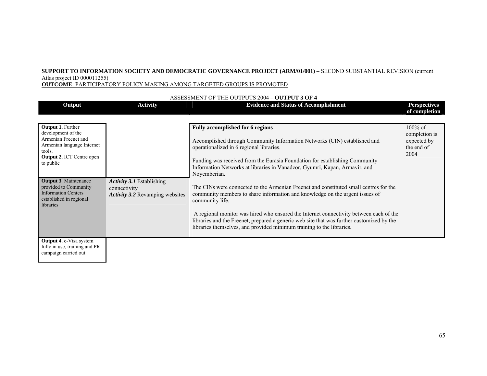**OUTCOME**: PARTICIPATORY POLICY MAKING AMONG TARGETED GROUPS IS PROMOTED

| Output                                                                                                                                      | <b>Activity</b>                                                                     | <b>Evidence and Status of Accomplishment</b>                                                                                                                                                                                                                 | <b>Perspectives</b><br>of completion                             |
|---------------------------------------------------------------------------------------------------------------------------------------------|-------------------------------------------------------------------------------------|--------------------------------------------------------------------------------------------------------------------------------------------------------------------------------------------------------------------------------------------------------------|------------------------------------------------------------------|
| Output 1. Further<br>development of the<br>Armenian Freenet and<br>Armenian language Internet<br>tools.<br><b>Output 2. ICT Centre open</b> |                                                                                     | <b>Fully accomplished for 6 regions</b><br>Accomplished through Community Information Networks (CIN) established and<br>operationalized in 6 regional libraries.                                                                                             | $100\%$ of<br>completion is<br>expected by<br>the end of<br>2004 |
| to public                                                                                                                                   |                                                                                     | Funding was received from the Eurasia Foundation for establishing Community<br>Information Networks at libraries in Vanadzor, Gyumri, Kapan, Armavir, and<br>Noyemberian.                                                                                    |                                                                  |
| <b>Output 3. Maintenance</b><br>provided to Community<br><b>Information Centers</b><br>established in regional<br>libraries                 | <b>Activity 3.1 Establishing</b><br>connectivity<br>Activity 3.2 Revamping websites | The CINs were connected to the Armenian Freenet and constituted small centres for the<br>community members to share information and knowledge on the urgent issues of<br>community life.                                                                     |                                                                  |
|                                                                                                                                             |                                                                                     | A regional monitor was hired who ensured the Internet connectivity between each of the<br>libraries and the Freenet, prepared a generic web site that was further customized by the<br>libraries themselves, and provided minimum training to the libraries. |                                                                  |
| <b>Output 4. e-Visa system</b><br>fully in use, training and PR<br>campaign carried out                                                     |                                                                                     |                                                                                                                                                                                                                                                              |                                                                  |

#### ASSESSMENT OF THE OUTPUTS 2004 – **OUTPUT 3 OF 4**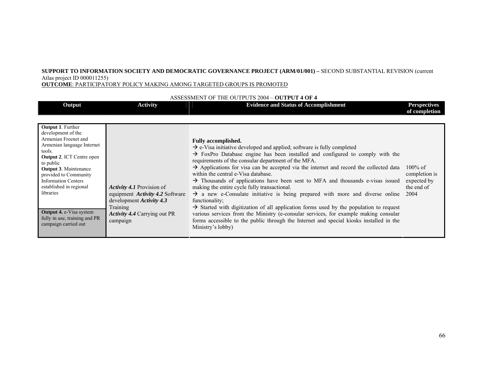**OUTCOME**: PARTICIPATORY POLICY MAKING AMONG TARGETED GROUPS IS PROMOTED

| Output                                                                                                                                                                                                                                                                                                                                                                                    | <b>Activity</b>                                                                                                                                                       | <b>Evidence and Status of Accomplishment</b>                                                                                                                                                                                                                                                                                                                                                                                                                                                                                                                                                                                                                                                                                                                                                                                                                                                                                                                                                 | <b>Perspectives</b><br>of completion                             |
|-------------------------------------------------------------------------------------------------------------------------------------------------------------------------------------------------------------------------------------------------------------------------------------------------------------------------------------------------------------------------------------------|-----------------------------------------------------------------------------------------------------------------------------------------------------------------------|----------------------------------------------------------------------------------------------------------------------------------------------------------------------------------------------------------------------------------------------------------------------------------------------------------------------------------------------------------------------------------------------------------------------------------------------------------------------------------------------------------------------------------------------------------------------------------------------------------------------------------------------------------------------------------------------------------------------------------------------------------------------------------------------------------------------------------------------------------------------------------------------------------------------------------------------------------------------------------------------|------------------------------------------------------------------|
| <b>Output 1. Further</b><br>development of the<br>Armenian Freenet and<br>Armenian language Internet<br>tools.<br><b>Output 2. ICT Centre open</b><br>to public<br><b>Output 3. Maintenance</b><br>provided to Community<br><b>Information Centers</b><br>established in regional<br>libraries<br><b>Output 4. e-Visa system</b><br>fully in use, training and PR<br>campaign carried out | <i>Activity 4.1</i> Provision of<br>equipment <i>Activity 4.2</i> Software<br>development Activity 4.3<br>Training<br><b>Activity 4.4 Carrying out PR</b><br>campaign | <b>Fully accomplished.</b><br>$\rightarrow$ e-Visa initiative developed and applied; software is fully completed<br>$\rightarrow$ FoxPro Database engine has been installed and configured to comply with the<br>requirements of the consular department of the MFA.<br>$\rightarrow$ Applications for visa can be accepted via the internet and record the collected data<br>within the central e-Visa database.<br>$\rightarrow$ Thousands of applications have been sent to MFA and thousands e-visas issued<br>making the entire cycle fully transactional.<br>$\rightarrow$ a new e-Consulate initiative is being prepared with more and diverse online<br>functionality;<br>$\rightarrow$ Started with digitization of all application forms used by the population to request<br>various services from the Ministry (e-consular services, for example making consular<br>forms accessible to the public through the Internet and special kiosks installed in the<br>Ministry's lobby) | $100\%$ of<br>completion is<br>expected by<br>the end of<br>2004 |

#### ASSESSMENT OF THE OUTPUTS 2004 – **OUTPUT 4 OF 4**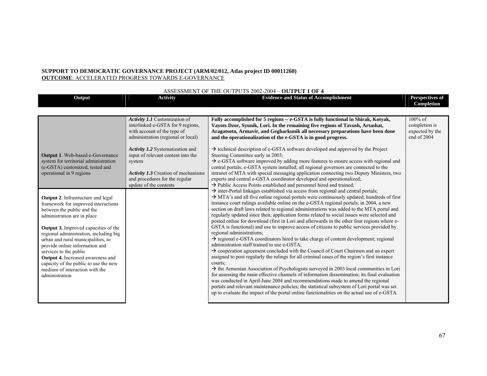#### **SUPPORT TO DEMOCRATIC GOVERNANCE PROJECT (ARM/02/012, Atlas project ID 00011260) OUTCOME**: ACCELERATED PROGRESS TOWARDS E-GOVERNANCE

| ASSESSMENT OF THE OUTPUTS 2002-2004 - OUTPUT 1 OF 4                                                                                                                                                                                                                                                                                                                                                                                                                                                                                                                                                                           |                                                                                                                                                                                                                                                                                                                                       |                                                                                                                                                                                                                                                                                                                                                                                                                                                                                                                                                                                                                                                                                                                                                                                                                                                                                                                                                                                                                                                                                                                                                                                                                                                                                                                                                                                                                                                                                                                                                                                                                                                                                                                                                                                                                                                                                                                                                                                                                                                                                                                                                                                                                                                                                                                                                                                                                                                                                   |                                                               |
|-------------------------------------------------------------------------------------------------------------------------------------------------------------------------------------------------------------------------------------------------------------------------------------------------------------------------------------------------------------------------------------------------------------------------------------------------------------------------------------------------------------------------------------------------------------------------------------------------------------------------------|---------------------------------------------------------------------------------------------------------------------------------------------------------------------------------------------------------------------------------------------------------------------------------------------------------------------------------------|-----------------------------------------------------------------------------------------------------------------------------------------------------------------------------------------------------------------------------------------------------------------------------------------------------------------------------------------------------------------------------------------------------------------------------------------------------------------------------------------------------------------------------------------------------------------------------------------------------------------------------------------------------------------------------------------------------------------------------------------------------------------------------------------------------------------------------------------------------------------------------------------------------------------------------------------------------------------------------------------------------------------------------------------------------------------------------------------------------------------------------------------------------------------------------------------------------------------------------------------------------------------------------------------------------------------------------------------------------------------------------------------------------------------------------------------------------------------------------------------------------------------------------------------------------------------------------------------------------------------------------------------------------------------------------------------------------------------------------------------------------------------------------------------------------------------------------------------------------------------------------------------------------------------------------------------------------------------------------------------------------------------------------------------------------------------------------------------------------------------------------------------------------------------------------------------------------------------------------------------------------------------------------------------------------------------------------------------------------------------------------------------------------------------------------------------------------------------------------------|---------------------------------------------------------------|
| Output                                                                                                                                                                                                                                                                                                                                                                                                                                                                                                                                                                                                                        | <b>Activity</b>                                                                                                                                                                                                                                                                                                                       | <b>Evidence and Status of Accomplishment</b>                                                                                                                                                                                                                                                                                                                                                                                                                                                                                                                                                                                                                                                                                                                                                                                                                                                                                                                                                                                                                                                                                                                                                                                                                                                                                                                                                                                                                                                                                                                                                                                                                                                                                                                                                                                                                                                                                                                                                                                                                                                                                                                                                                                                                                                                                                                                                                                                                                      | Perspectives of<br>Completion                                 |
|                                                                                                                                                                                                                                                                                                                                                                                                                                                                                                                                                                                                                               |                                                                                                                                                                                                                                                                                                                                       |                                                                                                                                                                                                                                                                                                                                                                                                                                                                                                                                                                                                                                                                                                                                                                                                                                                                                                                                                                                                                                                                                                                                                                                                                                                                                                                                                                                                                                                                                                                                                                                                                                                                                                                                                                                                                                                                                                                                                                                                                                                                                                                                                                                                                                                                                                                                                                                                                                                                                   |                                                               |
| <b>Output 1.</b> Web-based e-Governance<br>system for territorial administration<br>(e-GSTA) customized, tested and<br>operational in 9 regions<br><b>Output 2.</b> Infrastructure and legal<br>framework for improved interactions<br>between the public and the<br>administration are in place<br><b>Output 3.</b> Improved capacities of the<br>regional administration, including big<br>urban and rural municipalities, to<br>provide online information and<br>services to the public<br>Output 4. Increased awareness and<br>capacity of the public to use the new<br>medium of interaction with the<br>administration | Activity 1.1 Customization of<br>interlinked e-GSTA for 9 regions,<br>with account of the type of<br>administration (regional or local)<br>Activity 1.2 Systematization and<br>input of relevant content into the<br>system<br><b>Activity 1.3</b> Creation of mechanisms<br>and procedures for the regular<br>update of the contents | Fully accomplished for 5 regions -- e-GSTA is fully functional in Shirak, Kotyak,<br>Vayots Dzor, Syunik, Lori. In the remaining five regions of Tavush, Artashat,<br>Aragatsotn, Armavir, and Gegharkunik all necessary preparations have been done<br>and the operationalization of the e-GSTA is in good progress.<br>$\rightarrow$ technical description of e-GSTA software developed and approved by the Project<br>Steering Committee early in 2003;<br>$\rightarrow$ e-GSTA software improved by adding more features to ensure access with regional and<br>central portals; e-GSTA system installed; all regional governors are connected to the<br>intranet of MTA with special messaging application connecting two Deputy Ministers, two<br>experts and central e-GSTA coordinator developed and operationalized;<br>$\rightarrow$ Public Access Points established and personnel hired and trained;<br>$\rightarrow$ inter-Portal linkages established via access from regional and central portals;<br>> MTA's and all five online regional portals were continuously updated; hundreds of first<br>instance court rulings available online on the e-GSTA regional portals; in 2004, a new<br>section on draft laws related to regional administrations was added to the MTA portal and<br>regularly updated since then; application forms related to social issues were selected and<br>posted online for download (first in Lori and afterwards in the other four regions where e-<br>GSTA is functional) and use to improve access of citizens to public services provided by<br>regional administrations;<br>$\rightarrow$ regional e-GSTA coordinators hired to take charge of content development; regional<br>administration staff trained to use e-GSTA;<br>$\rightarrow$ cooperation agreement concluded with the Council of Court Chairmen and an expert<br>assigned to post regularly the rulings for all criminal cases of the region's first instance<br>courts;<br>$\rightarrow$ the Armenian Association of Psychologists surveyed in 2003 local communities in Lori<br>for assessing the main effective channels of information dissemination; its final evaluation<br>was conducted in April-June 2004 and recommendations made to amend the regional<br>portals and relevant maintenance policies; the statistical subsystem of Lori portal was set<br>up to evaluate the impact of the portal online functionalities on the actual use of e-GSTA. | $100\%$ of<br>completion is<br>expected by the<br>end of 2004 |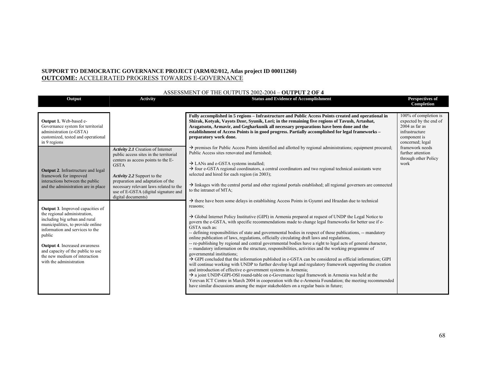#### **SUPPORT TO DEMOCRATIC GOVERNANCE PROJECT (ARM/02/012, Atlas project ID 00011260) OUTCOME:** ACCELERATED PROGRESS TOWARDS E-GOVERNANCE

| Output                                                                                                                                                                                                                                                                                                                              | Activity                                                                                                                                                                                                                      | <b>Status and Evidence of Accomplishment</b>                                                                                                                                                                                                                                                                                                                                                                                                                                                                                                                                                                                                                                                                                                                                                                                                                                                                                                                                                                                                                                                                                                                                                                                                                                                                                                          | Perspectives of<br>Completion                                                                                                                                     |
|-------------------------------------------------------------------------------------------------------------------------------------------------------------------------------------------------------------------------------------------------------------------------------------------------------------------------------------|-------------------------------------------------------------------------------------------------------------------------------------------------------------------------------------------------------------------------------|-------------------------------------------------------------------------------------------------------------------------------------------------------------------------------------------------------------------------------------------------------------------------------------------------------------------------------------------------------------------------------------------------------------------------------------------------------------------------------------------------------------------------------------------------------------------------------------------------------------------------------------------------------------------------------------------------------------------------------------------------------------------------------------------------------------------------------------------------------------------------------------------------------------------------------------------------------------------------------------------------------------------------------------------------------------------------------------------------------------------------------------------------------------------------------------------------------------------------------------------------------------------------------------------------------------------------------------------------------|-------------------------------------------------------------------------------------------------------------------------------------------------------------------|
| Output 1. Web-based e-<br>Governance system for territorial<br>administration (e-GSTA)<br>customized, tested and operational<br>in 9 regions                                                                                                                                                                                        | Activity 2.1 Creation of Internet<br>public access sites in the territorial                                                                                                                                                   | Fully accomplished in 5 regions – Infrastructure and Public Access Points created and operational in<br>Shirak, Kotyak, Vayots Dzor, Syunik, Lori; in the remaining five regions of Tavush, Artashat,<br>Aragatsotn, Armavir, and Gegharkunik all necessary preparations have been done and the<br>establishment of Access Points is in good progress. Partially accomplished for legal frameworks -<br>preparatory work done.<br>$\rightarrow$ premises for Public Access Points identified and allotted by regional administrations; equipment procured;<br>Public Access sites renovated and furnished;                                                                                                                                                                                                                                                                                                                                                                                                                                                                                                                                                                                                                                                                                                                                            | 100% of completion is<br>expected by the end of<br>$2004$ as far as<br>infrastructure<br>component is<br>concerned; legal<br>framework needs<br>further attention |
| <b>Output 2.</b> Infrastructure and legal<br>framework for improved<br>interactions between the public<br>and the administration are in place                                                                                                                                                                                       | centers as access points to the E-<br><b>GSTA</b><br>Activity 2.2 Support to the<br>preparation and adaptation of the<br>necessary relevant laws related to the<br>use of E-GSTA (digital signature and<br>digital documents) | $\rightarrow$ LANs and e-GSTA systems installed;<br>$\rightarrow$ four e-GSTA regional coordinators, a central coordinators and two regional technical assistants were<br>selected and hired for each region (in 2003);<br>$\rightarrow$ linkages with the central portal and other regional portals established; all regional governors are connected<br>to the intranet of MTA;<br>$\rightarrow$ there have been some delays in establishing Access Points in Gyumri and Hrazdan due to technical                                                                                                                                                                                                                                                                                                                                                                                                                                                                                                                                                                                                                                                                                                                                                                                                                                                   | through other Policy<br>work                                                                                                                                      |
| <b>Output 3.</b> Improved capacities of<br>the regional administration,<br>including big urban and rural<br>municipalities, to provide online<br>information and services to the<br>public<br><b>Output 4.</b> Increased awareness<br>and capacity of the public to use<br>the new medium of interaction<br>with the administration |                                                                                                                                                                                                                               | reasons:<br>$\rightarrow$ Global Internet Policy Institutive (GIPI) in Armenia prepared at request of UNDP the Legal Notice to<br>govern the e-GSTA, with specific recommendations made to change legal frameworks for better use if e-<br>GSTA such as:<br>-- defining responsibilities of state and governmental bodies in respect of those publications, -- mandatory<br>online publication of laws, regulations, officially circulating draft laws and regulations,<br>-- re-publishing by regional and central governmental bodies have a right to legal acts of general character,<br>-- mandatory information on the structure, responsibilities, activities and the working programme of<br>governmental institutions;<br>$\rightarrow$ GIPI concluded that the information published in e-GSTA can be considered as official information; GIPI<br>will continue working with UNDP to further develop legal and regulatory framework supporting the creation<br>and introduction of effective e-government systems in Armenia;<br>$\rightarrow$ a joint UNDP-GIPI-OSI round-table on e-Governance legal framework in Armenia was held at the<br>Yerevan ICT Centre in March 2004 in cooperation with the e-Armenia Foundation; the meeting recommended<br>have similar discussions among the major stakeholders on a regular basis in future; |                                                                                                                                                                   |

#### ASSESSMENT OF THE OUTPUTS 2002-2004 – **OUTPUT 2 OF 4**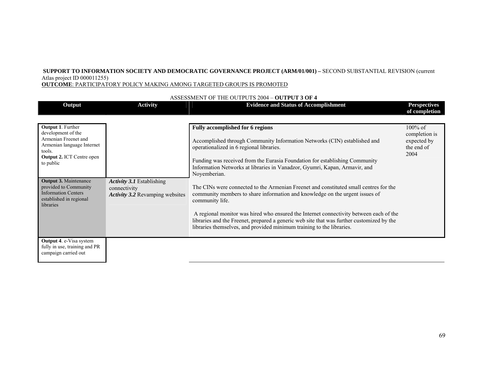**OUTCOME**: PARTICIPATORY POLICY MAKING AMONG TARGETED GROUPS IS PROMOTED

| Output                                                                                                                                                          | <b>Activity</b>                                                                     | <b>Evidence and Status of Accomplishment</b>                                                                                                                                                                                                                 | <b>Perspectives</b><br>of completion                             |
|-----------------------------------------------------------------------------------------------------------------------------------------------------------------|-------------------------------------------------------------------------------------|--------------------------------------------------------------------------------------------------------------------------------------------------------------------------------------------------------------------------------------------------------------|------------------------------------------------------------------|
|                                                                                                                                                                 |                                                                                     |                                                                                                                                                                                                                                                              |                                                                  |
| <b>Output 1. Further</b><br>development of the<br>Armenian Freenet and<br>Armenian language Internet<br>tools.<br><b>Output 2. ICT Centre open</b><br>to public |                                                                                     | <b>Fully accomplished for 6 regions</b><br>Accomplished through Community Information Networks (CIN) established and<br>operationalized in 6 regional libraries.                                                                                             | $100\%$ of<br>completion is<br>expected by<br>the end of<br>2004 |
|                                                                                                                                                                 |                                                                                     | Funding was received from the Eurasia Foundation for establishing Community<br>Information Networks at libraries in Vanadzor, Gyumri, Kapan, Armavir, and<br>Noyemberian.                                                                                    |                                                                  |
| <b>Output 3. Maintenance</b><br>provided to Community<br><b>Information Centers</b><br>established in regional<br>libraries                                     | <b>Activity 3.1 Establishing</b><br>connectivity<br>Activity 3.2 Revamping websites | The CINs were connected to the Armenian Freenet and constituted small centres for the<br>community members to share information and knowledge on the urgent issues of<br>community life.                                                                     |                                                                  |
|                                                                                                                                                                 |                                                                                     | A regional monitor was hired who ensured the Internet connectivity between each of the<br>libraries and the Freenet, prepared a generic web site that was further customized by the<br>libraries themselves, and provided minimum training to the libraries. |                                                                  |
| Output 4. e-Visa system<br>fully in use, training and PR<br>campaign carried out                                                                                |                                                                                     |                                                                                                                                                                                                                                                              |                                                                  |

#### ASSESSMENT OF THE OUTPUTS 2004 – **OUTPUT 3 OF 4**